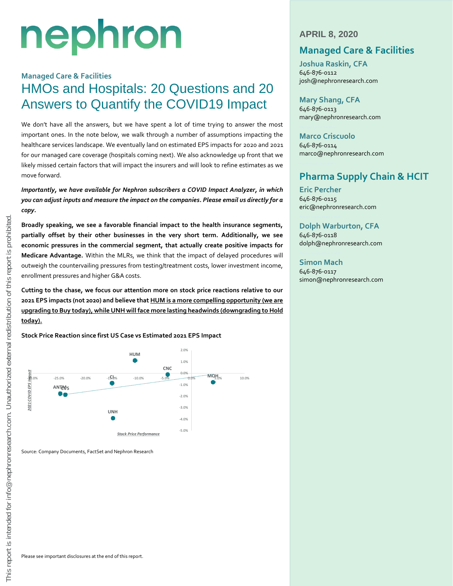# nephron

## **Managed Care & Facilities** HMOs and Hospitals: 20 Questions and 20 Answers to Quantify the COVID19 Impact

We don't have all the answers, but we have spent a lot of time trying to answer the most important ones. In the note below, we walk through a number of assumptions impacting the healthcare services landscape. We eventually land on estimated EPS impacts for 2020 and 2021 for our managed care coverage (hospitals coming next). We also acknowledge up front that we likely missed certain factors that will impact the insurers and will look to refine estimates as we move forward.

*Importantly, we have available for Nephron subscribers a COVID Impact Analyzer, in which you can adjust inputs and measure the impact on the companies. Please email us directly for a copy.*

**Broadly speaking, we see a favorable financial impact to the health insurance segments, partially offset by their other businesses in the very short term. Additionally, we see economic pressures in the commercial segment, that actually create positive impacts for Medicare Advantage.** Within the MLRs, we think that the impact of delayed procedures will outweigh the countervailing pressures from testing/treatment costs, lower investment income, enrollment pressures and higher G&A costs.

**Cutting to the chase, we focus our attention more on stock price reactions relative to our 2021 EPS impacts (not 2020) and believe that HUM is a more compelling opportunity (we are upgrading to Buy today), while UNH will face more lasting headwinds (downgrading to Hold today).** 

**Stock Price Reaction since first US Case vs Estimated 2021 EPS Impact** 



Source: Company Documents, FactSet and Nephron Research

### **APRIL 8, 2020**

## **Managed Care & Facilities**

**Joshua Raskin, CFA** 646-876-0112 josh@nephronresearch.com

**Mary Shang, CFA** 646-876-0113 mary@nephronresearch.com

#### **Marco Criscuolo** 646-876-0114 marco@nephronresearch.com

## **Pharma Supply Chain & HCIT**

**Eric Percher** 646-876-0115 eric@nephronresearch.com

#### **Dolph Warburton, CFA**

646-876-0118 dolph@nephronresearch.com

#### **Simon Mach**

646-876-0117 simon@nephronresearch.com

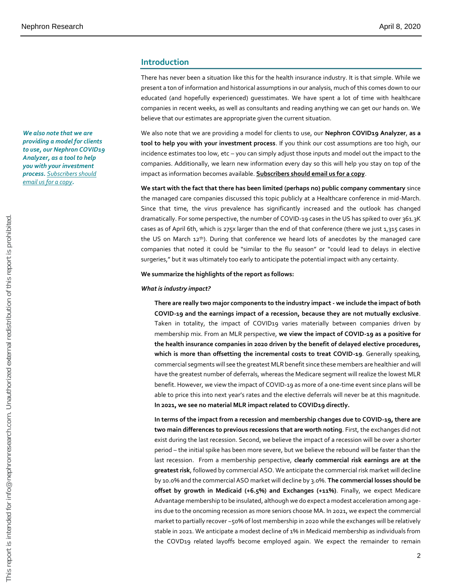*We also note that we are providing a model for clients to use, our Nephron COVID19 Analyzer, as a tool to help you with your investment process. Subscribers should email us for a copy.*

#### **Introduction**

There has never been a situation like this for the health insurance industry. It is that simple. While we present a ton of information and historical assumptions in our analysis, much of this comes down to our educated (and hopefully experienced) guesstimates. We have spent a lot of time with healthcare companies in recent weeks, as well as consultants and reading anything we can get our hands on. We believe that our estimates are appropriate given the current situation.

We also note that we are providing a model for clients to use, our **Nephron COVID19 Analyzer**, **as a tool to help you with your investment process**. If you think our cost assumptions are too high, our incidence estimates too low, etc – you can simply adjust those inputs and model out the impact to the companies. Additionally, we learn new information every day so this will help you stay on top of the impact as information becomes available. **Subscribers should email us for a copy**.

**We start with the fact that there has been limited (perhaps no) public company commentary** since the managed care companies discussed this topic publicly at a Healthcare conference in mid-March. Since that time, the virus prevalence has significantly increased and the outlook has changed dramatically. For some perspective, the number of COVID-19 cases in the US has spiked to over 361.3K cases as of April 6th, which is 275x larger than the end of that conference (there we just 1,315 cases in the US on March 12<sup>th</sup>). During that conference we heard lots of anecdotes by the managed care companies that noted it could be "similar to the flu season" or "could lead to delays in elective surgeries," but it was ultimately too early to anticipate the potential impact with any certainty.

#### **We summarize the highlights of the report as follows:**

#### *What is industry impact?*

**There are really two major components to the industry impact - we include the impact of both COVID-19 and the earnings impact of a recession, because they are not mutually exclusive**. Taken in totality, the impact of COVID19 varies materially between companies driven by membership mix. From an MLR perspective, **we view the impact of COVID-19 as a positive for the health insurance companies in 2020 driven by the benefit of delayed elective procedures, which is more than offsetting the incremental costs to treat COVID-19**. Generally speaking, commercial segments will see the greatest MLR benefit since these members are healthier and will have the greatest number of deferrals, whereas the Medicare segment will realize the lowest MLR benefit. However, we view the impact of COVID-19 as more of a one-time event since plans will be able to price this into next year's rates and the elective deferrals will never be at this magnitude. **In 2021, we see no material MLR impact related to COVID19 directly.**

**In terms of the impact from a recession and membership changes due to COVID-19, there are two main differences to previous recessions that are worth noting**. First, the exchanges did not exist during the last recession. Second, we believe the impact of a recession will be over a shorter period – the initial spike has been more severe, but we believe the rebound will be faster than the last recession. From a membership perspective, **clearly commercial risk earnings are at the greatest risk**, followed by commercial ASO. We anticipate the commercial risk market will decline by 10.0% and the commercial ASO market will decline by 3.0%. **The commercial losses should be offset by growth in Medicaid (+6.5%) and Exchanges (+11%)**. Finally, we expect Medicare Advantage membership to be insulated, although we do expect a modest acceleration among ageins due to the oncoming recession as more seniors choose MA. In 2021, we expect the commercial market to partially recover ~50% of lost membership in 2020 while the exchanges will be relatively stable in 2021. We anticipate a modest decline of 1% in Medicaid membership as individuals from the COVD19 related layoffs become employed again. We expect the remainder to remain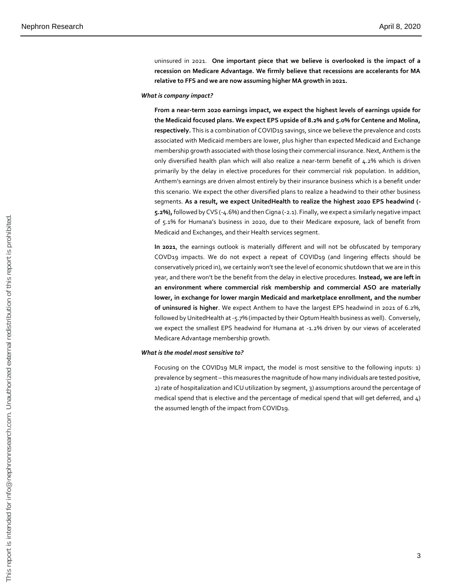uninsured in 2021. **One important piece that we believe is overlooked is the impact of a recession on Medicare Advantage. We firmly believe that recessions are accelerants for MA relative to FFS and we are now assuming higher MA growth in 2021.**

#### *What is company impact?*

**From a near-term 2020 earnings impact, we expect the highest levels of earnings upside for**  the Medicaid focused plans. We expect EPS upside of 8.2% and 5.0% for Centene and Molina, **respectively.** This is a combination of COVID19 savings, since we believe the prevalence and costs associated with Medicaid members are lower, plus higher than expected Medicaid and Exchange membership growth associated with those losing their commercial insurance. Next, Anthem is the only diversified health plan which will also realize a near-term benefit of 4.2% which is driven primarily by the delay in elective procedures for their commercial risk population. In addition, Anthem's earnings are driven almost entirely by their insurance business which is a benefit under this scenario. We expect the other diversified plans to realize a headwind to their other business segments. **As a result, we expect UnitedHealth to realize the highest 2020 EPS headwind (- 5.2%),**followed by CVS (-4.6%) and then Cigna (-2.1). Finally, we expect a similarly negative impact of 5.1% for Humana's business in 2020, due to their Medicare exposure, lack of benefit from Medicaid and Exchanges, and their Health services segment.

**In 2021**, the earnings outlook is materially different and will not be obfuscated by temporary COVD19 impacts. We do not expect a repeat of COVID19 (and lingering effects should be conservatively priced in), we certainly won't see the level of economic shutdown that we are in this year, and there won't be the benefit from the delay in elective procedures. **Instead, we are left in an environment where commercial risk membership and commercial ASO are materially lower, in exchange for lower margin Medicaid and marketplace enrollment, and the number of uninsured is higher**. We expect Anthem to have the largest EPS headwind in 2021 of 6.2%, followed by UnitedHealth at -5.7% (impacted by their Optum Health business as well). Conversely, we expect the smallest EPS headwind for Humana at -1.2% driven by our views of accelerated Medicare Advantage membership growth.

#### *What is the model most sensitive to?*

Focusing on the COVID19 MLR impact, the model is most sensitive to the following inputs: 1) prevalence by segment – this measures the magnitude of how many individuals are tested positive, 2) rate of hospitalization and ICU utilization by segment, 3) assumptions around the percentage of medical spend that is elective and the percentage of medical spend that will get deferred, and 4) the assumed length of the impact from COVID19.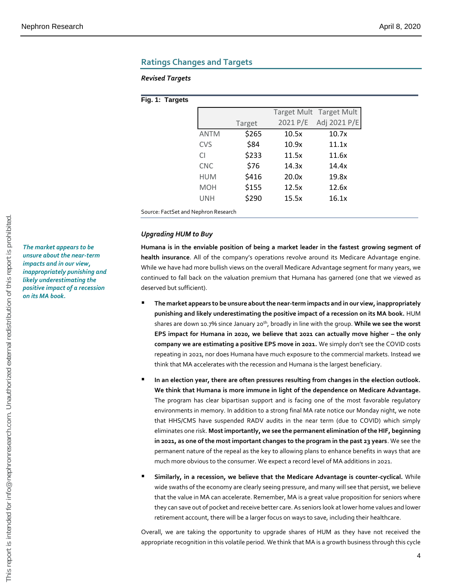#### **Ratings Changes and Targets**

#### *Revised Targets*

#### **Fig. 1: Targets**

|                                 |             |        |          | Target Mult Target Mult |  |  |
|---------------------------------|-------------|--------|----------|-------------------------|--|--|
|                                 |             | Target | 2021 P/E | Adj 2021 P/E            |  |  |
|                                 | <b>ANTM</b> | \$265  | 10.5x    | 10.7x                   |  |  |
|                                 | <b>CVS</b>  | \$84   | 10.9x    | 11.1x                   |  |  |
|                                 | <b>CI</b>   | \$233  | 11.5x    | 11.6x                   |  |  |
|                                 | <b>CNC</b>  | \$76   | 14.3x    | 14.4x                   |  |  |
|                                 | <b>HUM</b>  | \$416  | 20.0x    | 19.8x                   |  |  |
|                                 | <b>MOH</b>  | \$155  | 12.5x    | 12.6x                   |  |  |
|                                 | <b>UNH</b>  | \$290  | 15.5x    | 16.1x                   |  |  |
| e: FactSet and Nephron Research |             |        |          |                         |  |  |

#### *Upgrading HUM to Buy*

Sourc

**Humana is in the enviable position of being a market leader in the fastest growing segment of health insurance**. All of the company's operations revolve around its Medicare Advantage engine. While we have had more bullish views on the overall Medicare Advantage segment for many years, we continued to fall back on the valuation premium that Humana has garnered (one that we viewed as deserved but sufficient).

- **The market appears to be unsure about the near-term impacts and in our view, inappropriately punishing and likely underestimating the positive impact of a recession on its MA book.** HUM shares are down 10.7% since January 20th, broadly in line with the group. **While we see the worst**  EPS impact for Humana in 2020, we believe that 2021 can actually move higher - the only **company we are estimating a positive EPS move in 2021.** We simply don't see the COVID costs repeating in 2021, nor does Humana have much exposure to the commercial markets. Instead we think that MA accelerates with the recession and Humana is the largest beneficiary.
- In an election year, there are often pressures resulting from changes in the election outlook. **We think that Humana is more immune in light of the dependence on Medicare Advantage.** The program has clear bipartisan support and is facing one of the most favorable regulatory environments in memory. In addition to a strong final MA rate notice our Monday night, we note that HHS/CMS have suspended RADV audits in the near term (due to COVID) which simply eliminates one risk. **Most importantly, we see the permanent elimination of the HIF, beginning in 2021, as one of the most important changes to the program in the past 23 years**. We see the permanent nature of the repeal as the key to allowing plans to enhance benefits in ways that are much more obvious to the consumer. We expect a record level of MA additions in 2021. From the state of the state recognition in this volation is a growth and the state recognition in this voltation is the state of the state of the state of the state recognition is the state of the state of the state of th
- **Similarly, in a recession, we believe that the Medicare Advantage is counter-cyclical.** While wide swaths of the economy are clearly seeing pressure, and many will see that persist, we believe that the value in MA can accelerate. Remember, MA is a great value proposition for seniors where they can save out of pocket and receive better care. As seniors look at lower home values and lower retirement account, there will be a larger focus on ways to save, including their healthcare.

Overall, we are taking the opportunity to upgrade shares of HUM as they have not received the

*The market appears to be unsure about the near-term impacts and in our view, inappropriately punishing and likely underestimating the positive impact of a recession on its MA book.*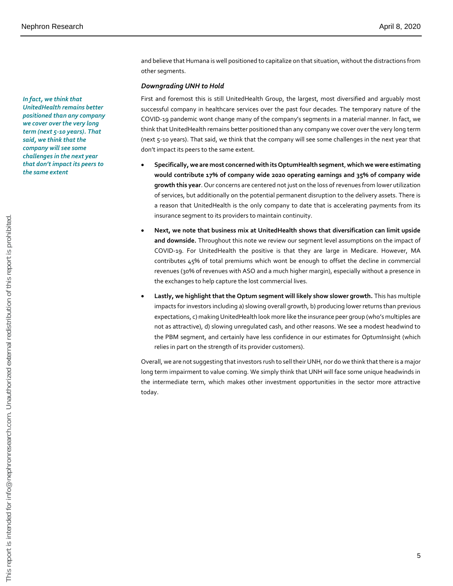and believe that Humana is well positioned to capitalize on that situation, without the distractions from other segments.

#### *Downgrading UNH to Hold*

First and foremost this is still UnitedHealth Group, the largest, most diversified and arguably most successful company in healthcare services over the past four decades. The temporary nature of the COVID-19 pandemic wont change many of the company's segments in a material manner. In fact, we think that UnitedHealth remains better positioned than any company we cover over the very long term (next 5-10 years). That said, we think that the company will see some challenges in the next year that don't impact its peers to the same extent.

- **Specifically, we are most concerned with its OptumHealth segment**, **which we were estimating would contribute 17% of company wide 2020 operating earnings and 35% of company wide growth this year**. Our concerns are centered not just on the loss of revenues from lower utilization of services, but additionally on the potential permanent disruption to the delivery assets. There is a reason that UnitedHealth is the only company to date that is accelerating payments from its insurance segment to its providers to maintain continuity.
- **Next, we note that business mix at UnitedHealth shows that diversification can limit upside and downside.** Throughout this note we review our segment level assumptions on the impact of COVID-19. For UnitedHealth the positive is that they are large in Medicare. However, MA contributes 45% of total premiums which wont be enough to offset the decline in commercial revenues (30% of revenues with ASO and a much higher margin), especially without a presence in the exchanges to help capture the lost commercial lives.
- **Lastly, we highlight that the Optum segment will likely show slower growth.** This has multiple impacts for investors including a) slowing overall growth, b) producing lower returns than previous expectations, c) making UnitedHealth look more like the insurance peer group (who's multiples are not as attractive), d) slowing unregulated cash, and other reasons. We see a modest headwind to the PBM segment, and certainly have less confidence in our estimates for OptumInsight (which relies in part on the strength of its provider customers).

Overall, we are not suggesting that investors rush to sell their UNH, nor do we think that there is a major long term impairment to value coming. We simply think that UNH will face some unique headwinds in the intermediate term, which makes other investment opportunities in the sector more attractive today.

*In fact, we think that UnitedHealth remains better positioned than any company we cover over the very long term (next 5-10 years). That said, we think that the company will see some challenges in the next year that don't impact its peers to the same extent*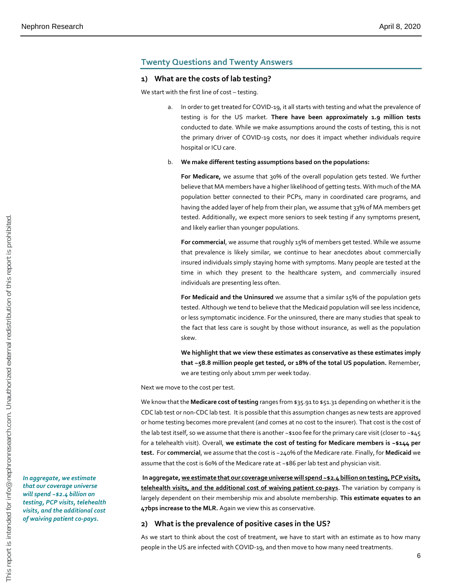#### **Twenty Questions and Twenty Answers**

#### **1) What are the costs of lab testing?**

We start with the first line of cost – testing.

In order to get treated for COVID-19, it all starts with testing and what the prevalence of testing is for the US market. **There have been approximately 1.9 million tests** conducted to date. While we make assumptions around the costs of testing, this is not the primary driver of COVID-19 costs, nor does it impact whether individuals require hospital or ICU care.

#### b. **We make different testing assumptions based on the populations:**

**For Medicare,** we assume that 30% of the overall population gets tested. We further believe that MA members have a higher likelihood of getting tests. With much of the MA population better connected to their PCPs, many in coordinated care programs, and having the added layer of help from their plan, we assume that 33% of MA members get tested. Additionally, we expect more seniors to seek testing if any symptoms present, and likely earlier than younger populations.

**For commercial**, we assume that roughly 15% of members get tested. While we assume that prevalence is likely similar, we continue to hear anecdotes about commercially insured individuals simply staying home with symptoms. Many people are tested at the time in which they present to the healthcare system, and commercially insured individuals are presenting less often.

**For Medicaid and the Uninsured** we assume that a similar 15% of the population gets tested. Although we tend to believe that the Medicaid population will see less incidence, or less symptomatic incidence. For the uninsured, there are many studies that speak to the fact that less care is sought by those without insurance, as well as the population skew.

**We highlight that we view these estimates as conservative as these estimates imply that ~58.8 million people get tested, or 18% of the total US population.** Remember, we are testing only about 1mm per week today.

Next we move to the cost per test.

We know that the **Medicare cost of testing** ranges from \$35.91 to \$51.31 depending on whether it is the CDC lab test or non-CDC lab test. It is possible that this assumption changes as new tests are approved or home testing becomes more prevalent (and comes at no cost to the insurer). That cost is the cost of the lab test itself, so we assume that there is another ~\$100 fee for the primary care visit (closer to ~\$45 for a telehealth visit). Overall, **we estimate the cost of testing for Medicare members is ~\$144 per test.** For **commercial**, we assume that the cost is ~240% of the Medicare rate. Finally, for **Medicaid** we assume that the cost is 60% of the Medicare rate at ~\$86 per lab test and physician visit.

**In aggregate, we estimate that our coverage universe will spend ~\$2.4 billion on testing, PCP visits, telehealth visits, and the additional cost of waiving patient co-pays.** The variation by company is largely dependent on their membership mix and absolute membership. **This estimate equates to an 47bps increase to the MLR.** Again we view this as conservative.

#### **2) What is the prevalence of positive cases in the US?**

As we start to think about the cost of treatment, we have to start with an estimate as to how many people in the US are infected with COVID-19, and then move to how many need treatments.

*In aggregate, we estimate that our coverage universe will spend ~\$2.4 billion on testing, PCP visits, telehealth visits, and the additional cost of waiving patient co-pays.*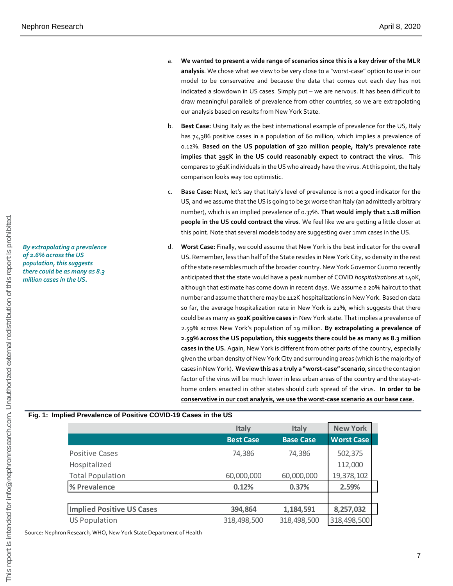*By extrapolating a prevalence of 2.6% across the US population, this suggests there could be as many as 8.3 million cases in the US.*

- a. **We wanted to present a wide range of scenarios since this is a key driver of the MLR analysis**. We chose what we view to be very close to a "worst-case" option to use in our model to be conservative and because the data that comes out each day has not indicated a slowdown in US cases. Simply put – we are nervous. It has been difficult to draw meaningful parallels of prevalence from other countries, so we are extrapolating our analysis based on results from New York State.
- b. **Best Case:** Using Italy as the best international example of prevalence for the US, Italy has 74,386 positive cases in a population of 60 million, which implies a prevalence of 0.12%. **Based on the US population of 320 million people, Italy's prevalence rate implies that 395K in the US could reasonably expect to contract the virus.** This compares to 361K individuals in the US who already have the virus. At this point, the Italy comparison looks way too optimistic.
- c. **Base Case:** Next, let's say that Italy's level of prevalence is not a good indicator for the US, and we assume that the US is going to be 3x worse than Italy (an admittedly arbitrary number), which is an implied prevalence of 0.37%. **That would imply that 1.18 million people in the US could contract the virus**. We feel like we are getting a little closer at this point. Note that several models today are suggesting over 1mm cases in the US.
- d. **Worst Case:** Finally, we could assume that New York is the best indicator for the overall US. Remember, less than half of the State resides in New York City, so density in the rest of the state resembles much of the broader country. New York Governor Cuomo recently anticipated that the state would have a peak number of COVID *hospitalizations* at 140K, although that estimate has come down in recent days. We assume a 20% haircut to that number and assume that there may be 112K hospitalizations in New York. Based on data so far, the average hospitalization rate in New York is 22%, which suggests that there could be as many as **502K positive cases** in New York state. That implies a prevalence of 2.59% across New York's population of 19 million. **By extrapolating a prevalence of 2.59% across the US population, this suggests there could be as many as 8.3 million cases in the US.** Again, New York is different from other parts of the country, especially given the urban density of New York City and surrounding areas (which is the majority of cases in New York). **We view this as a truly a "worst-case" scenario**, since the contagion factor of the virus will be much lower in less urban areas of the country and the stay-athome orders enacted in other states should curb spread of the virus. **In order to be conservative in our cost analysis, we use the worst-case scenario as our base case.**

## **Fig. 1: Implied Prevalence of Positive COVID-19 Cases in the US**

|                                                                    | Italy            | <b>Italy</b>     | <b>New York</b>   |
|--------------------------------------------------------------------|------------------|------------------|-------------------|
|                                                                    | <b>Best Case</b> | <b>Base Case</b> | <b>Worst Case</b> |
| <b>Positive Cases</b>                                              | 74,386           | 74,386           | 502,375           |
| Hospitalized                                                       |                  |                  | 112,000           |
| <b>Total Population</b>                                            | 60,000,000       | 60,000,000       | 19,378,102        |
| % Prevalence                                                       | 0.12%            | 0.37%            | 2.59%             |
|                                                                    |                  |                  |                   |
| <b>Implied Positive US Cases</b>                                   | 394,864          | 1,184,591        | 8,257,032         |
| <b>US Population</b>                                               | 318,498,500      | 318,498,500      | 318,498,500       |
| Source: Nephron Research, WHO, New York State Department of Health |                  |                  |                   |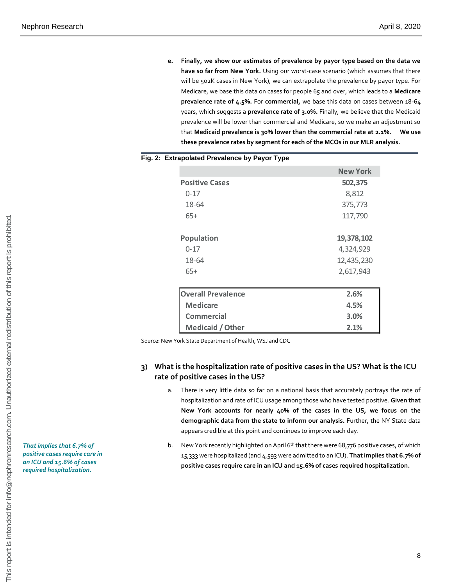**e. Finally, we show our estimates of prevalence by payor type based on the data we have so far from New York.** Using our worst-case scenario (which assumes that there will be 502K cases in New York), we can extrapolate the prevalence by payor type. For Medicare, we base this data on cases for people 65 and over, which leads to a **Medicare prevalence rate of 4.5%.** For **commercial,** we base this data on cases between 18-64 years, which suggests a **prevalence rate of 3.0%.** Finally, we believe that the Medicaid prevalence will be lower than commercial and Medicare, so we make an adjustment so that **Medicaid prevalence is 30% lower than the commercial rate at 2.1%. We use these prevalence rates by segment for each of the MCOs in our MLR analysis.**

#### **Fig. 2: Extrapolated Prevalence by Payor Type**

|                           | New York   |
|---------------------------|------------|
| <b>Positive Cases</b>     | 502,375    |
| $0 - 17$                  | 8,812      |
| 18-64                     | 375,773    |
| $65+$                     | 117,790    |
| <b>Population</b>         | 19,378,102 |
| $0 - 17$                  | 4,324,929  |
| 18-64                     | 12,435,230 |
| $65+$                     | 2,617,943  |
| <b>Overall Prevalence</b> | 2.6%       |
| <b>Medicare</b>           | 4.5%       |
| Commercial                | 3.0%       |
| Medicaid / Other          | 2.1%       |

Source: New York State Department of Health, WSJ and CDC

#### **3) What is the hospitalization rate of positive cases in the US? What is the ICU rate of positive cases in the US?**

- a. There is very little data so far on a national basis that accurately portrays the rate of hospitalization and rate of ICU usage among those who have tested positive. **Given that New York accounts for nearly 40% of the cases in the US, we focus on the demographic data from the state to inform our analysis.** Further, the NY State data appears credible at this point and continues to improve each day.
- b. New York recently highlighted on April 6<sup>th</sup> that there were 68,776 positive cases, of which 15,333 were hospitalized (and 4,593 were admitted to an ICU). **That implies that 6.7% of positive cases require care in an ICU and 15.6% of cases required hospitalization.**

*That implies that 6.7% of positive cases require care in an ICU and 15.6% of cases required hospitalization.*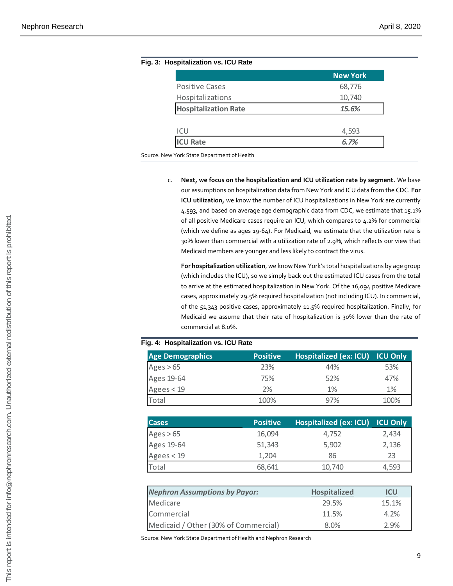|                                                                                                 |                 | <b>New York</b>                                                                                                                                                                                                                                                                                                                                                                                                                                                                                                                                                                                                                                                                                                           |                              |
|-------------------------------------------------------------------------------------------------|-----------------|---------------------------------------------------------------------------------------------------------------------------------------------------------------------------------------------------------------------------------------------------------------------------------------------------------------------------------------------------------------------------------------------------------------------------------------------------------------------------------------------------------------------------------------------------------------------------------------------------------------------------------------------------------------------------------------------------------------------------|------------------------------|
| <b>Positive Cases</b>                                                                           |                 | 68,776                                                                                                                                                                                                                                                                                                                                                                                                                                                                                                                                                                                                                                                                                                                    |                              |
| Hospitalizations                                                                                |                 | 10,740                                                                                                                                                                                                                                                                                                                                                                                                                                                                                                                                                                                                                                                                                                                    |                              |
| <b>Hospitalization Rate</b>                                                                     |                 | 15.6%                                                                                                                                                                                                                                                                                                                                                                                                                                                                                                                                                                                                                                                                                                                     |                              |
| ICU                                                                                             |                 | 4,593                                                                                                                                                                                                                                                                                                                                                                                                                                                                                                                                                                                                                                                                                                                     |                              |
| <b>ICU Rate</b>                                                                                 |                 | 6.7%                                                                                                                                                                                                                                                                                                                                                                                                                                                                                                                                                                                                                                                                                                                      |                              |
| Source: New York State Department of Health                                                     |                 |                                                                                                                                                                                                                                                                                                                                                                                                                                                                                                                                                                                                                                                                                                                           |                              |
|                                                                                                 |                 | our assumptions on hospitalization data from New York and ICU data from th<br>ICU utilization, we know the number of ICU hospitalizations in New York ar<br>4,593, and based on average age demographic data from CDC, we estimate<br>of all positive Medicare cases require an ICU, which compares to 4.2% for c<br>(which we define as ages 19-64). For Medicaid, we estimate that the utilizat<br>30% lower than commercial with a utilization rate of 2.9%, which reflects ou<br>Medicaid members are younger and less likely to contract the virus.<br>For hospitalization utilization, we know New York's total hospitalizations by<br>(which includes the ICU), so we simply back out the estimated ICU cases fror |                              |
| commercial at 8.0%.                                                                             |                 | to arrive at the estimated hospitalization in New York. Of the 16,094 positive<br>cases, approximately 29.5% required hospitalization (not including ICU). In co<br>of the 51,343 positive cases, approximately 11.5% required hospitalization.<br>Medicaid we assume that their rate of hospitalization is 30% lower than t                                                                                                                                                                                                                                                                                                                                                                                              |                              |
|                                                                                                 |                 |                                                                                                                                                                                                                                                                                                                                                                                                                                                                                                                                                                                                                                                                                                                           |                              |
|                                                                                                 | <b>Positive</b> | <b>Hospitalized (ex: ICU)</b>                                                                                                                                                                                                                                                                                                                                                                                                                                                                                                                                                                                                                                                                                             | <b>ICU</b>                   |
|                                                                                                 | 23%             | 44%                                                                                                                                                                                                                                                                                                                                                                                                                                                                                                                                                                                                                                                                                                                       |                              |
|                                                                                                 | 75%             | 52%                                                                                                                                                                                                                                                                                                                                                                                                                                                                                                                                                                                                                                                                                                                       |                              |
|                                                                                                 | 2%              | 1%                                                                                                                                                                                                                                                                                                                                                                                                                                                                                                                                                                                                                                                                                                                        | 53<br>47<br>$1^{\prime}$     |
| Total                                                                                           | 100%            | 97%                                                                                                                                                                                                                                                                                                                                                                                                                                                                                                                                                                                                                                                                                                                       | 10                           |
| <b>Cases</b>                                                                                    | <b>Positive</b> | <b>Hospitalized (ex: ICU)</b>                                                                                                                                                                                                                                                                                                                                                                                                                                                                                                                                                                                                                                                                                             | ICU                          |
|                                                                                                 | 16,094          | 4,752                                                                                                                                                                                                                                                                                                                                                                                                                                                                                                                                                                                                                                                                                                                     |                              |
|                                                                                                 | 51,343          | 5,902                                                                                                                                                                                                                                                                                                                                                                                                                                                                                                                                                                                                                                                                                                                     |                              |
| <b>Age Demographics</b><br>Ages > 65<br>Ages 19-64<br>Agees $<$ 19<br>Ages $> 65$<br>Ages 19-64 | 1,204           | 86                                                                                                                                                                                                                                                                                                                                                                                                                                                                                                                                                                                                                                                                                                                        | 2,4<br>2,1<br>$\overline{2}$ |
| Agees < $19$<br>Total                                                                           | 68,641          | 10,740                                                                                                                                                                                                                                                                                                                                                                                                                                                                                                                                                                                                                                                                                                                    |                              |
|                                                                                                 |                 |                                                                                                                                                                                                                                                                                                                                                                                                                                                                                                                                                                                                                                                                                                                           | 4,5                          |
|                                                                                                 |                 | Hospitalized                                                                                                                                                                                                                                                                                                                                                                                                                                                                                                                                                                                                                                                                                                              | IC                           |
| <b>Nephron Assumptions by Payor:</b><br>Medicare                                                |                 | 29.5%                                                                                                                                                                                                                                                                                                                                                                                                                                                                                                                                                                                                                                                                                                                     | 15.                          |
| Fig. 4: Hospitalization vs. ICU Rate<br>Commercial<br>Medicaid / Other (30% of Commercial)      |                 | 11.5%<br>8.0%                                                                                                                                                                                                                                                                                                                                                                                                                                                                                                                                                                                                                                                                                                             | 4.2<br>2.9                   |

## **Fig. 3: Hospitalization vs. ICU Rate**

c. **Next, we focus on the hospitalization and ICU utilization rate by segment.** We base our assumptions on hospitalization data from New York and ICU data from the CDC. **For ICU utilization,** we know the number of ICU hospitalizations in New York are currently 4,593, and based on average age demographic data from CDC, we estimate that 15.1% of all positive Medicare cases require an ICU, which compares to 4.2% for commercial (which we define as ages 19-64). For Medicaid, we estimate that the utilization rate is 30% lower than commercial with a utilization rate of 2.9%, which reflects our view that Medicaid members are younger and less likely to contract the virus.

**For hospitalization utilization**, we know New York's total hospitalizations by age group (which includes the ICU), so we simply back out the estimated ICU cases from the total to arrive at the estimated hospitalization in New York. Of the 16,094 positive Medicare cases, approximately 29.5% required hospitalization (not including ICU). In commercial, of the 51,343 positive cases, approximately 11.5% required hospitalization. Finally, for Medicaid we assume that their rate of hospitalization is 30% lower than the rate of commercial at 8.0%. Medicand one of Commercial Website Companies are proportional COM companies to 4.3% of Commercial Value Commercial Value Commercial Value Commercial Value Commercial Value Commercial redistribution of the state of the st

#### **Fig. 4: Hospitalization vs. ICU Rate**

| <b>Age Demographics</b> | <b>Positive</b> | Hospitalized (ex: ICU) | <b>ICU Only</b> |
|-------------------------|-----------------|------------------------|-----------------|
| Ages $> 65$             | 23%             | 44%                    | 53%             |
| Ages 19-64              | 75%             | 52%                    | 47%             |
| Agees < 19              | 2%              | 1%                     | 1%              |
| Total                   | 100%            | 97%                    | 100%            |

| <b>Cases</b> | <b>Positive</b> | Hospitalized (ex: ICU) ICU Only |       |
|--------------|-----------------|---------------------------------|-------|
| Ages $> 65$  | 16,094          | 4,752                           | 2,434 |
| Ages 19-64   | 51,343          | 5,902                           | 2,136 |
| Agees < 19   | 1,204           | 86                              | 23    |
| Total        | 68,641          | 10,740                          | 4,593 |

| <b>Nephron Assumptions by Payor:</b> | <b>Hospitalized</b> | ICU   |
|--------------------------------------|---------------------|-------|
| Medicare                             | 29.5%               | 15.1% |
| Commercial                           | 11.5%               | 4.2%  |
| Medicaid / Other (30% of Commercial) | 8.0%                | 2.9%  |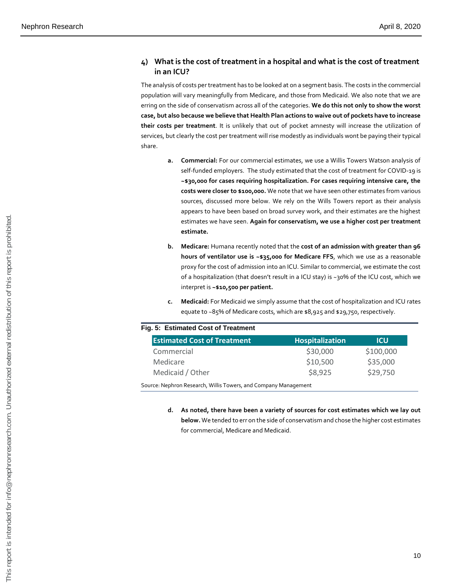#### **4) What is the cost of treatment in a hospital and what is the cost of treatment in an ICU?**

The analysis of costs per treatment has to be looked at on a segment basis. The costs in the commercial population will vary meaningfully from Medicare, and those from Medicaid. We also note that we are erring on the side of conservatism across all of the categories. **We do this not only to show the worst case, but also because we believe that Health Plan actions to waive out of pockets have to increase their costs per treatment**. It is unlikely that out of pocket amnesty will increase the utilization of services, but clearly the cost per treatment will rise modestly as individuals wont be paying their typical share.

- **a. Commercial:** For our commercial estimates, we use a Willis Towers Watson analysis of self-funded employers. The study estimated that the cost of treatment for COVID-19 is **~\$30,000 for cases requiring hospitalization. For cases requiring intensive care, the costs were closer to \$100,000.** We note that we have seen other estimates from various sources, discussed more below. We rely on the Wills Towers report as their analysis appears to have been based on broad survey work, and their estimates are the highest estimates we have seen. **Again for conservatism, we use a higher cost per treatment estimate.**
- **b. Medicare:** Humana recently noted that the **cost of an admission with greater than 96 hours of ventilator use is ~\$35,000 for Medicare FFS**, which we use as a reasonable proxy for the cost of admission into an ICU. Similar to commercial, we estimate the cost of a hospitalization (that doesn't result in a ICU stay) is ~30% of the ICU cost, which we interpret is **~\$10,500 per patient.**
- **c. Medicaid:** For Medicaid we simply assume that the cost of hospitalization and ICU rates equate to ~85% of Medicare costs, which are \$8,925 and \$29,750, respectively.

#### **Fig. 5: Estimated Cost of Treatment**

| estimate.        |                                                                                                     |                                                                                                                                                                                                                                                                                                                                                                                                                                                                                                                                                                                                                                                                                                                                                                                                                                                                                                                                                                                                        |
|------------------|-----------------------------------------------------------------------------------------------------|--------------------------------------------------------------------------------------------------------------------------------------------------------------------------------------------------------------------------------------------------------------------------------------------------------------------------------------------------------------------------------------------------------------------------------------------------------------------------------------------------------------------------------------------------------------------------------------------------------------------------------------------------------------------------------------------------------------------------------------------------------------------------------------------------------------------------------------------------------------------------------------------------------------------------------------------------------------------------------------------------------|
| b.<br>c.         |                                                                                                     |                                                                                                                                                                                                                                                                                                                                                                                                                                                                                                                                                                                                                                                                                                                                                                                                                                                                                                                                                                                                        |
|                  |                                                                                                     |                                                                                                                                                                                                                                                                                                                                                                                                                                                                                                                                                                                                                                                                                                                                                                                                                                                                                                                                                                                                        |
|                  |                                                                                                     |                                                                                                                                                                                                                                                                                                                                                                                                                                                                                                                                                                                                                                                                                                                                                                                                                                                                                                                                                                                                        |
|                  |                                                                                                     | <b>ICU</b>                                                                                                                                                                                                                                                                                                                                                                                                                                                                                                                                                                                                                                                                                                                                                                                                                                                                                                                                                                                             |
|                  |                                                                                                     | \$100,000                                                                                                                                                                                                                                                                                                                                                                                                                                                                                                                                                                                                                                                                                                                                                                                                                                                                                                                                                                                              |
|                  |                                                                                                     | \$35,000                                                                                                                                                                                                                                                                                                                                                                                                                                                                                                                                                                                                                                                                                                                                                                                                                                                                                                                                                                                               |
| Medicaid / Other |                                                                                                     | \$29,750                                                                                                                                                                                                                                                                                                                                                                                                                                                                                                                                                                                                                                                                                                                                                                                                                                                                                                                                                                                               |
|                  |                                                                                                     |                                                                                                                                                                                                                                                                                                                                                                                                                                                                                                                                                                                                                                                                                                                                                                                                                                                                                                                                                                                                        |
| d.               |                                                                                                     |                                                                                                                                                                                                                                                                                                                                                                                                                                                                                                                                                                                                                                                                                                                                                                                                                                                                                                                                                                                                        |
|                  | Fig. 5: Estimated Cost of Treatment<br><b>Estimated Cost of Treatment</b><br>Commercial<br>Medicare | estimates we have seen. Again for conservatism, we use a higher cost per treatr<br>Medicare: Humana recently noted that the cost of an admission with greater tha<br>hours of ventilator use is ~\$35,000 for Medicare FFS, which we use as a reasor<br>proxy for the cost of admission into an ICU. Similar to commercial, we estimate the<br>of a hospitalization (that doesn't result in a ICU stay) is ~30% of the ICU cost, whic<br>interpret is ~\$10,500 per patient.<br>Medicaid: For Medicaid we simply assume that the cost of hospitalization and ICU<br>equate to ~85% of Medicare costs, which are \$8,925 and \$29,750, respectively.<br><b>Hospitalization</b><br>\$30,000<br>\$10,500<br>\$8,925<br>Source: Nephron Research, Willis Towers, and Company Management<br>As noted, there have been a variety of sources for cost estimates which we lay<br>below. We tended to err on the side of conservatism and chose the higher cost estin<br>for commercial, Medicare and Medicaid. |

**d. As noted, there have been a variety of sources for cost estimates which we lay out below.** We tended to err on the side of conservatism and chose the higher cost estimates for commercial, Medicare and Medicaid.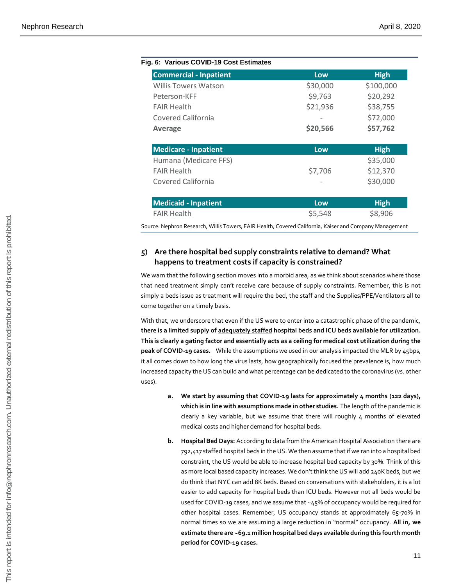| <b>Commercial - Inpatient</b> | Low      | <b>High</b> |
|-------------------------------|----------|-------------|
| Willis Towers Watson          | \$30,000 | \$100,000   |
| Peterson-KFF                  | \$9,763  | \$20,292    |
| <b>FAIR Health</b>            | \$21,936 | \$38,755    |
| Covered California            |          | \$72,000    |
| <b>Average</b>                | \$20,566 | \$57,762    |
| <b>Medicare - Inpatient</b>   | Low      | <b>High</b> |
| Humana (Medicare FFS)         |          | \$35,000    |
| <b>FAIR Health</b>            | \$7,706  | \$12,370    |
| Covered California            |          | \$30,000    |
| <b>Medicaid - Inpatient</b>   | Low      | <b>High</b> |
|                               |          | \$8,906     |

#### **5) Are there hospital bed supply constraints relative to demand? What happens to treatment costs if capacity is constrained?**

We warn that the following section moves into a morbid area, as we think about scenarios where those that need treatment simply can't receive care because of supply constraints. Remember, this is not simply a beds issue as treatment will require the bed, the staff and the Supplies/PPE/Ventilators all to come together on a timely basis.

With that, we underscore that even if the US were to enter into a catastrophic phase of the pandemic, **there is a limited supply of adequately staffed hospital beds and ICU beds available for utilization. This is clearly a gating factor and essentially acts as a ceiling for medical cost utilization during the peak of COVID-19 cases.** While the assumptions we used in our analysis impacted the MLR by 45bps, it all comes down to how long the virus lasts, how geographically focused the prevalence is, how much increased capacity the US can build and what percentage can be dedicated to the coronavirus (vs. other uses).

- **a. We start by assuming that COVID-19 lasts for approximately 4 months (122 days), which is in line with assumptions made in other studies.** The length of the pandemic is clearly a key variable, but we assume that there will roughly  $\mu$  months of elevated medical costs and higher demand for hospital beds.
- **b. Hospital Bed Days:** According to data from the American Hospital Association there are 792,417 staffed hospital beds in the US. We then assume that if we ran into a hospital bed constraint, the US would be able to increase hospital bed capacity by 30%. Think of this as more local based capacity increases. We don't think the US will add 240K beds, but we do think that NYC can add 8K beds. Based on conversations with stakeholders, it is a lot easier to add capacity for hospital beds than ICU beds. However not all beds would be used for COVID-19 cases, and we assume that  $\sim$ 45% of occupancy would be required for other hospital cases. Remember, US occupancy stands at approximately 65-70% in normal times so we are assuming a large reduction in "normal" occupancy. **All in, we estimate there are ~69.1 million hospital bed days available during this fourth month period for COVID-19 cases.** FAIR Health comes the state of the most state of the state of the state of the state of the state of the state of the state of the state of the state of the state of the state of the state of the state of the state of the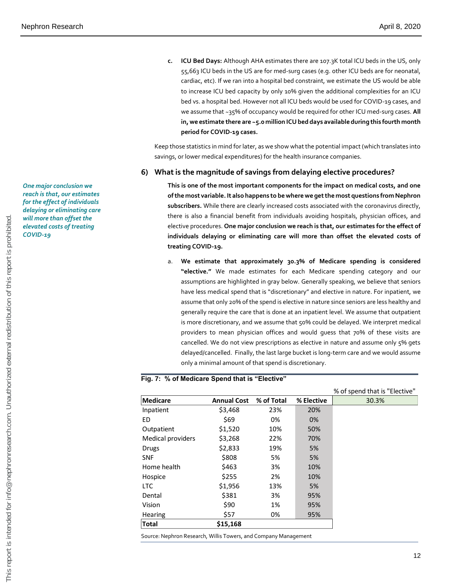**c. ICU Bed Days:** Although AHA estimates there are 107.3K total ICU beds in the US, only 55,663 ICU beds in the US are for med-surg cases (e.g. other ICU beds are for neonatal, cardiac, etc). If we ran into a hospital bed constraint, we estimate the US would be able to increase ICU bed capacity by only 10% given the additional complexities for an ICU bed vs. a hospital bed. However not all ICU beds would be used for COVID-19 cases, and we assume that ~35% of occupancy would be required for other ICU med-surg cases. **All in, we estimate there are ~5.0 million ICU bed days available during this fourth month period for COVID-19 cases.**

Keep those statistics in mind for later, as we show what the potential impact (which translates into savings, or lower medical expenditures) for the health insurance companies.

#### **6) What is the magnitude of savings from delaying elective procedures?**

**This is one of the most important components for the impact on medical costs, and one ofthe most variable. It also happens to be where we get the most questions from Nephron subscribers.** While there are clearly increased costs associated with the coronavirus directly, there is also a financial benefit from individuals avoiding hospitals, physician offices, and elective procedures. **One major conclusion we reach is that, our estimates for the effect of individuals delaying or eliminating care will more than offset the elevated costs of treating COVID-19.**

a. **We estimate that approximately 30.3% of Medicare spending is considered "elective."** We made estimates for each Medicare spending category and our assumptions are highlighted in gray below. Generally speaking, we believe that seniors have less medical spend that is "discretionary" and elective in nature. For inpatient, we assume that only 20% of the spend is elective in nature since seniors are less healthy and generally require the care that is done at an inpatient level. We assume that outpatient is more discretionary, and we assume that 50% could be delayed. We interpret medical providers to mean physician offices and would guess that 70% of these visits are cancelled. We do not view prescriptions as elective in nature and assume only 5% gets delayed/cancelled. Finally, the last large bucket is long-term care and we would assume only a minimal amount of that spend is discretionary.

#### **Fig. 7: % of Medicare Spend that is "Elective"**

|                                                                 |                    |            |            | % of spend that is "Elective" |
|-----------------------------------------------------------------|--------------------|------------|------------|-------------------------------|
| Medicare                                                        | <b>Annual Cost</b> | % of Total | % Elective | 30.3%                         |
| Inpatient                                                       | \$3,468            | 23%        | 20%        |                               |
| ED                                                              | \$69               | 0%         | 0%         |                               |
| Outpatient                                                      | \$1,520            | 10%        | 50%        |                               |
| Medical providers                                               | \$3,268            | 22%        | 70%        |                               |
| <b>Drugs</b>                                                    | \$2,833            | 19%        | 5%         |                               |
| <b>SNF</b>                                                      | \$808              | 5%         | 5%         |                               |
| Home health                                                     | \$463              | 3%         | 10%        |                               |
| Hospice                                                         | \$255              | 2%         | 10%        |                               |
| LTC.                                                            | \$1,956            | 13%        | 5%         |                               |
| Dental                                                          | \$381              | 3%         | 95%        |                               |
| Vision                                                          | \$90               | 1%         | 95%        |                               |
| Hearing                                                         | \$57               | 0%         | 95%        |                               |
| <b>Total</b>                                                    | \$15,168           |            |            |                               |
| Source: Nephron Research, Willis Towers, and Company Management |                    |            |            |                               |

*One major conclusion we reach is that, our estimates for the effect of individuals delaying or eliminating care will more than offset the elevated costs of treating COVID-19*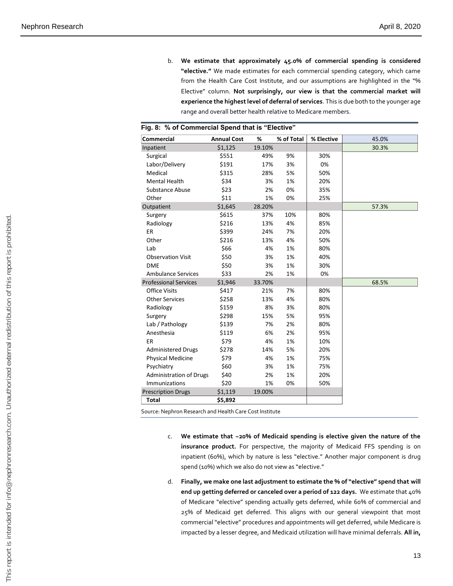b. **We estimate that approximately 45.0% of commercial spending is considered "elective."** We made estimates for each commercial spending category, which came from the Health Care Cost Institute, and our assumptions are highlighted in the "% Elective" column. **Not surprisingly, our view is that the commercial market will experience the highest level of deferral of services**. This is due both to the younger age range and overall better health relative to Medicare members.

| <b>Commercial</b>                                       | <b>Annual Cost</b>                                   | %      | % of Total | % Elective | 45.0%                                                                                                                                                                                                                                                                                                                                                                                                                                                                                                                                        |
|---------------------------------------------------------|------------------------------------------------------|--------|------------|------------|----------------------------------------------------------------------------------------------------------------------------------------------------------------------------------------------------------------------------------------------------------------------------------------------------------------------------------------------------------------------------------------------------------------------------------------------------------------------------------------------------------------------------------------------|
| Inpatient                                               | \$1,125                                              | 19.10% |            |            | 30.3%                                                                                                                                                                                                                                                                                                                                                                                                                                                                                                                                        |
| Surgical                                                | \$551                                                | 49%    | 9%         | 30%        |                                                                                                                                                                                                                                                                                                                                                                                                                                                                                                                                              |
| Labor/Delivery                                          | \$191                                                | 17%    | 3%         | 0%         |                                                                                                                                                                                                                                                                                                                                                                                                                                                                                                                                              |
| Medical                                                 | \$315                                                | 28%    | 5%         | 50%        |                                                                                                                                                                                                                                                                                                                                                                                                                                                                                                                                              |
| <b>Mental Health</b>                                    | \$34                                                 | 3%     | 1%         | 20%        |                                                                                                                                                                                                                                                                                                                                                                                                                                                                                                                                              |
| <b>Substance Abuse</b>                                  | \$23                                                 | 2%     | 0%         | 35%        |                                                                                                                                                                                                                                                                                                                                                                                                                                                                                                                                              |
| Other                                                   | \$11                                                 | 1%     | 0%         | 25%        |                                                                                                                                                                                                                                                                                                                                                                                                                                                                                                                                              |
| Outpatient                                              | \$1,645                                              | 28.20% |            |            | 57.3%                                                                                                                                                                                                                                                                                                                                                                                                                                                                                                                                        |
| Surgery                                                 | \$615                                                | 37%    | 10%        | 80%        |                                                                                                                                                                                                                                                                                                                                                                                                                                                                                                                                              |
| Radiology                                               | \$216                                                | 13%    | 4%         | 85%        |                                                                                                                                                                                                                                                                                                                                                                                                                                                                                                                                              |
| ER                                                      | \$399                                                | 24%    | 7%         | 20%        |                                                                                                                                                                                                                                                                                                                                                                                                                                                                                                                                              |
| Other                                                   | \$216                                                | 13%    | 4%         | 50%        |                                                                                                                                                                                                                                                                                                                                                                                                                                                                                                                                              |
| Lab                                                     | \$66                                                 | 4%     | 1%         | 80%        |                                                                                                                                                                                                                                                                                                                                                                                                                                                                                                                                              |
| <b>Observation Visit</b>                                | \$50                                                 | 3%     | 1%         | 40%        |                                                                                                                                                                                                                                                                                                                                                                                                                                                                                                                                              |
| <b>DME</b>                                              | \$50                                                 | 3%     | 1%         | 30%        |                                                                                                                                                                                                                                                                                                                                                                                                                                                                                                                                              |
| <b>Ambulance Services</b>                               | \$33                                                 | 2%     | 1%         | 0%         |                                                                                                                                                                                                                                                                                                                                                                                                                                                                                                                                              |
| <b>Professional Services</b>                            | \$1,946                                              | 33.70% |            |            | 68.5%                                                                                                                                                                                                                                                                                                                                                                                                                                                                                                                                        |
| <b>Office Visits</b>                                    | \$417                                                | 21%    | 7%         | 80%        |                                                                                                                                                                                                                                                                                                                                                                                                                                                                                                                                              |
| <b>Other Services</b>                                   | \$258                                                | 13%    | 4%         | 80%        |                                                                                                                                                                                                                                                                                                                                                                                                                                                                                                                                              |
| Radiology                                               | \$159                                                | 8%     | 3%         | 80%        |                                                                                                                                                                                                                                                                                                                                                                                                                                                                                                                                              |
| Surgery                                                 | \$298                                                | 15%    | 5%         | 95%        |                                                                                                                                                                                                                                                                                                                                                                                                                                                                                                                                              |
| Lab / Pathology                                         | \$139                                                | 7%     | 2%         | 80%        |                                                                                                                                                                                                                                                                                                                                                                                                                                                                                                                                              |
| Anesthesia                                              | \$119                                                | 6%     | 2%         | 95%        |                                                                                                                                                                                                                                                                                                                                                                                                                                                                                                                                              |
| ER                                                      | \$79                                                 | 4%     | 1%         | 10%        |                                                                                                                                                                                                                                                                                                                                                                                                                                                                                                                                              |
| <b>Administered Drugs</b>                               | \$278                                                | 14%    | 5%         | 20%        |                                                                                                                                                                                                                                                                                                                                                                                                                                                                                                                                              |
| <b>Physical Medicine</b>                                | \$79                                                 | 4%     | 1%         | 75%        |                                                                                                                                                                                                                                                                                                                                                                                                                                                                                                                                              |
| Psychiatry                                              | \$60                                                 | 3%     | 1%         | 75%        |                                                                                                                                                                                                                                                                                                                                                                                                                                                                                                                                              |
| <b>Administration of Drugs</b>                          | \$40                                                 | 2%     | 1%         | 20%        |                                                                                                                                                                                                                                                                                                                                                                                                                                                                                                                                              |
| Immunizations                                           | \$20                                                 | 1%     | 0%         | 50%        |                                                                                                                                                                                                                                                                                                                                                                                                                                                                                                                                              |
| <b>Prescription Drugs</b>                               | \$1,119                                              | 19.00% |            |            |                                                                                                                                                                                                                                                                                                                                                                                                                                                                                                                                              |
| Total                                                   | \$5,892                                              |        |            |            |                                                                                                                                                                                                                                                                                                                                                                                                                                                                                                                                              |
| Source: Nephron Research and Health Care Cost Institute |                                                      |        |            |            |                                                                                                                                                                                                                                                                                                                                                                                                                                                                                                                                              |
| c.                                                      | spend (10%) which we also do not view as "elective." |        |            |            | We estimate that ~20% of Medicaid spending is elective given the nature of the<br>insurance product. For perspective, the majority of Medicaid FFS spending is on<br>inpatient (60%), which by nature is less "elective." Another major component is drug                                                                                                                                                                                                                                                                                    |
| d.                                                      |                                                      |        |            |            | Finally, we make one last adjustment to estimate the % of "elective" spend that will<br>end up getting deferred or canceled over a period of 122 days. We estimate that 40%<br>of Medicare "elective" spending actually gets deferred, while 60% of commercial and<br>25% of Medicaid get deferred. This aligns with our general viewpoint that most<br>commercial "elective" procedures and appointments will get deferred, while Medicare is<br>impacted by a lesser degree, and Medicaid utilization will have minimal deferrals. All in, |
|                                                         |                                                      |        |            |            | 13                                                                                                                                                                                                                                                                                                                                                                                                                                                                                                                                           |
|                                                         |                                                      |        |            |            |                                                                                                                                                                                                                                                                                                                                                                                                                                                                                                                                              |

| Fig. 8: % of Commercial Spend that is "Elective" |  |
|--------------------------------------------------|--|

- c. **We estimate that ~20% of Medicaid spending is elective given the nature of the insurance product.** For perspective, the majority of Medicaid FFS spending is on inpatient (60%), which by nature is less "elective." Another major component is drug spend (10%) which we also do not view as "elective."
- d. **Finally, we make one last adjustment to estimate the % of "elective" spend that will end up getting deferred or canceled over a period of 122 days.** We estimate that 40% of Medicare "elective" spending actually gets deferred, while 60% of commercial and 25% of Medicaid get deferred. This aligns with our general viewpoint that most commercial "elective" procedures and appointments will get deferred, while Medicare is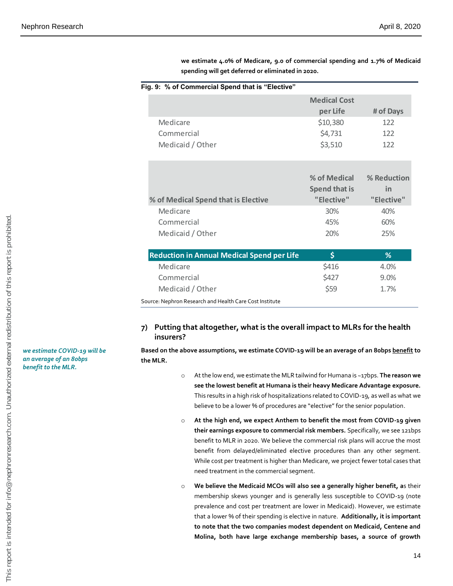|                  | Fig. 9: % of Commercial Spend that is "Elective"                                                                                                                                                                                                                                                                                                                                                                                                                     |                                                                                       |             |
|------------------|----------------------------------------------------------------------------------------------------------------------------------------------------------------------------------------------------------------------------------------------------------------------------------------------------------------------------------------------------------------------------------------------------------------------------------------------------------------------|---------------------------------------------------------------------------------------|-------------|
|                  |                                                                                                                                                                                                                                                                                                                                                                                                                                                                      | <b>Medical Cost</b>                                                                   |             |
|                  |                                                                                                                                                                                                                                                                                                                                                                                                                                                                      | per Life                                                                              | # of Days   |
| Medicare         |                                                                                                                                                                                                                                                                                                                                                                                                                                                                      | \$10,380                                                                              | 122         |
| Commercial       |                                                                                                                                                                                                                                                                                                                                                                                                                                                                      | \$4,731                                                                               | 122         |
| Medicaid / Other |                                                                                                                                                                                                                                                                                                                                                                                                                                                                      | \$3,510                                                                               | 122         |
|                  |                                                                                                                                                                                                                                                                                                                                                                                                                                                                      |                                                                                       |             |
|                  |                                                                                                                                                                                                                                                                                                                                                                                                                                                                      | % of Medical                                                                          | % Reduction |
|                  |                                                                                                                                                                                                                                                                                                                                                                                                                                                                      | <b>Spend that is</b>                                                                  | in          |
|                  | % of Medical Spend that is Elective                                                                                                                                                                                                                                                                                                                                                                                                                                  | "Elective"                                                                            | "Elective"  |
| Medicare         |                                                                                                                                                                                                                                                                                                                                                                                                                                                                      | 30%                                                                                   | 40%         |
| Commercial       |                                                                                                                                                                                                                                                                                                                                                                                                                                                                      | 45%                                                                                   | 60%         |
| Medicaid / Other |                                                                                                                                                                                                                                                                                                                                                                                                                                                                      | 20%                                                                                   | 25%         |
|                  |                                                                                                                                                                                                                                                                                                                                                                                                                                                                      |                                                                                       |             |
|                  | <b>Reduction in Annual Medical Spend per Life</b>                                                                                                                                                                                                                                                                                                                                                                                                                    | \$                                                                                    | %           |
| Medicare         |                                                                                                                                                                                                                                                                                                                                                                                                                                                                      | \$416                                                                                 | 4.0%        |
| Commercial       |                                                                                                                                                                                                                                                                                                                                                                                                                                                                      | \$427                                                                                 | 9.0%        |
| Medicaid / Other |                                                                                                                                                                                                                                                                                                                                                                                                                                                                      | \$59                                                                                  | 1.7%        |
|                  | Source: Nephron Research and Health Care Cost Institute                                                                                                                                                                                                                                                                                                                                                                                                              |                                                                                       |             |
| insurers?        | Putting that altogether, what is the overall impact to MLRs for the health                                                                                                                                                                                                                                                                                                                                                                                           |                                                                                       |             |
| the MLR.         | Based on the above assumptions, we estimate COVID-19 will be an average of an 8obps <u>benefit</u> to                                                                                                                                                                                                                                                                                                                                                                |                                                                                       |             |
| $\circ$          | At the low end, we estimate the MLR tailwind for Humana is ~17bps. The reason we<br>see the lowest benefit at Humana is their heavy Medicare Advantage exposure.<br>This results in a high risk of hospitalizations related to COVID-19, as well as what we<br>believe to be a lower % of procedures are "elective" for the senior population.                                                                                                                       |                                                                                       |             |
| $\circ$          | At the high end, we expect Anthem to benefit the most from COVID-19 given<br>their earnings exposure to commercial risk members. Specifically, we see 121bps<br>benefit to MLR in 2020. We believe the commercial risk plans will accrue the most<br>benefit from delayed/eliminated elective procedures than any other segment.<br>While cost per treatment is higher than Medicare, we project fewer total cases that<br>need treatment in the commercial segment. |                                                                                       |             |
| $\circ$          | We believe the Medicaid MCOs will also see a generally higher benefit, as their<br>membership skews younger and is generally less susceptible to COVID-19 (note<br>prevalence and cost per treatment are lower in Medicaid). However, we estimate                                                                                                                                                                                                                    | that a lower % of their spending is elective in nature. Additionally, it is important |             |

**we estimate 4.0% of Medicare, 9.0 of commercial spending and 1.7% of Medicaid spending will get deferred or eliminated in 2020.**

#### **7) Putting that altogether, what is the overall impact to MLRs for the health insurers?**

- o At the low end, we estimate the MLR tailwind for Humana is ~17bps. **The reason we see the lowest benefit at Humana is their heavy Medicare Advantage exposure.**  This results in a high risk of hospitalizations related to COVID-19, as well as what we believe to be a lower % of procedures are "elective" for the senior population.
- o **At the high end, we expect Anthem to benefit the most from COVID-19 given their earnings exposure to commercial risk members.** Specifically, we see 121bps benefit to MLR in 2020. We believe the commercial risk plans will accrue the most benefit from delayed/eliminated elective procedures than any other segment. While cost per treatment is higher than Medicare, we project fewer total cases that need treatment in the commercial segment.
- o **We believe the Medicaid MCOs will also see a generally higher benefit, a**s their membership skews younger and is generally less susceptible to COVID-19 (note prevalence and cost per treatment are lower in Medicaid). However, we estimate that a lower % of their spending is elective in nature. **Additionally, it is important to note that the two companies modest dependent on Medicaid, Centene and**

*we estimate COVID-19 will be an average of an 80bps benefit to the MLR.*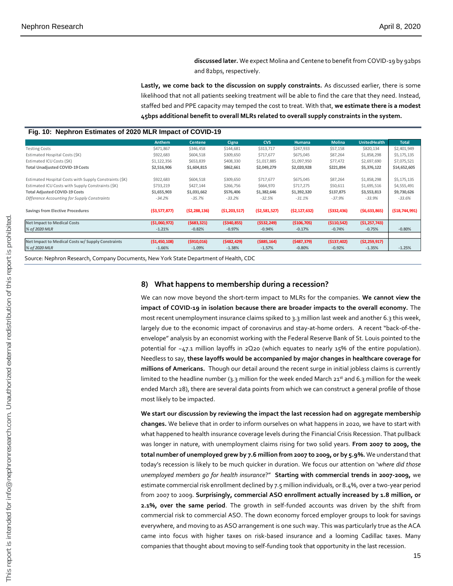**discussed later.** We expect Molina and Centene to benefit from COVID-19 by 92bps and 82bps, respectively.

**Lastly, we come back to the discussion on supply constraints.** As discussed earlier, there is some likelihood that not all patients seeking treatment will be able to find the care that they need. Instead, staffed bed and PPE capacity may temped the cost to treat. With that, **we estimate there is a modest 45bps additional benefit to overall MLRs related to overall supply constraints in the system.** 

#### **Fig. 10: Nephron Estimates of 2020 MLR Impact of COVID-19**

|                                                        | <b>Anthem</b>  | <b>Centene</b> | Cigna          | <b>CVS</b>     | <b>Humana</b>  | <b>Molina</b> | <b>UnitedHealth</b> | <b>Total</b>    |
|--------------------------------------------------------|----------------|----------------|----------------|----------------|----------------|---------------|---------------------|-----------------|
| <b>Testing Costs</b>                                   | \$471,867      | \$346,458      | \$144,681      | \$313,717      | \$247,933      | \$57,158      | \$820,134           | \$2,401,949     |
| Estimated Hospital Costs (\$K)                         | \$922,683      | \$604,518      | \$309,650      | \$717,677      | \$675,045      | \$87,264      | \$1,858,298         | \$5,175,135     |
| Estimated ICU Costs (\$K)                              | \$1,122,356    | \$653,839      | \$408,330      | \$1,017,885    | \$1,097,950    | \$77,472      | \$2,697,690         | \$7,075,521     |
| <b>Total Unadjusted COVID-19 Costs</b>                 | \$2,516,906    | \$1,604,815    | \$862,661      | \$2,049,279    | \$2,020,928    | \$221,894     | \$5,376,122         | \$14,652,605    |
| Estimated Hospital Costs with Supply Constraints (\$K) | \$922,683      | \$604,518      | \$309,650      | \$717,677      | \$675,045      | \$87,264      | \$1,858,298         | \$5,175,135     |
| Estimated ICU Costs with Supply Constraints (\$K)      | \$733,219      | \$427,144      | \$266,756      | \$664,970      | \$717,275      | \$50,611      | \$1,695,516         | \$4,555,491     |
| <b>Total Adjusted COVID-19 Costs</b>                   | \$1,655,903    | \$1,031,662    | \$576,406      | \$1,382,646    | \$1,392,320    | \$137,875     | \$3,553,813         | \$9,730,626     |
| Difference Accounting for Supply Constraints           | $-34.2%$       | $-35.7%$       | $-33.2%$       | $-32.5%$       | $-31.1%$       | $-37.9%$      | $-33.9%$            | $-33.6%$        |
| <b>Savings from Elective Procedures</b>                | (53,577,877)   | (52, 288, 136) | (51, 203, 517) | (52,581,527)   | (52, 127, 632) | (5332, 436)   | (56, 633, 865)      | ( \$18,744,991) |
| <b>Net Impact to Medical Costs</b>                     | ( \$1,060,972) | (5683, 321)    | ( \$340, 855)  | ( \$532, 249)  | (\$106,705)    | ( \$110, 542) | (51, 257, 743)      |                 |
| % of 2020 MLR                                          | $-1.21%$       | $-0.82%$       | $-0.97%$       | $-0.94%$       | $-0.17%$       | $-0.74%$      | $-0.75%$            | $-0.80%$        |
|                                                        |                |                |                |                |                |               |                     |                 |
| Net Impact to Medical Costs w/ Supply Constraints      | (51, 450, 108) | (5910, 016)    | (5482, 429)    | $($ \$885,164) | (5487, 379)    | (5137, 402)   | (52, 259, 917)      |                 |
| % of 2020 MLR                                          | $-1.66%$       | $-1.09%$       | $-1.38%$       | $-1.57%$       | $-0.80%$       | $-0.92%$      | $-1.35%$            | $-1.25%$        |
|                                                        |                |                |                |                |                |               |                     |                 |

Source: Nephron Research, Company Documents, New York State Department of Health, CDC

#### **8) What happens to membership during a recession?**

We can now move beyond the short-term impact to MLRs for the companies. **We cannot view the impact of COVID-19 in isolation because there are broader impacts to the overall economy.** The most recent unemployment insurance claims spiked to 3.3 million last week and another 6.3 this week, largely due to the economic impact of coronavirus and stay-at-home orders. A recent "back-of-theenvelope" analysis by an economist working with the Federal Reserve Bank of St. Louis pointed to the potential for ~47.1 million layoffs in 2Q20 (which equates to nearly 15% of the entire population). Needless to say, **these layoffs would be accompanied by major changes in healthcare coverage for millions of Americans.** Though our detail around the recent surge in initial jobless claims is currently limited to the headline number (3.3 million for the week ended March  $21^{st}$  and 6.3 million for the week ended March 28), there are several data points from which we can construct a general profile of those most likely to be impacted.

**We start our discussion by reviewing the impact the last recession had on aggregate membership changes.** We believe that in order to inform ourselves on what happens in 2020, we have to start with what happened to health insurance coverage levels during the Financial Crisis Recession. That pullback was longer in nature, with unemployment claims rising for two solid years. **From 2007 to 2009, the total number of unemployed grew by 7.6 million from 2007 to 2009, or by 5.9%.** We understand that today's recession is likely to be much quicker in duration. We focus our attention on '*where did those unemployed members go for health insurance*?" **Starting with commercial trends in 2007-2009,** we estimate commercial risk enrollment declined by 7.5 million individuals, or 8.4%, over a two-year period from 2007 to 2009. **Surprisingly, commercial ASO enrollment actually increased by 1.8 million, or 2.1%, over the same period**. The growth in self-funded accounts was driven by the shift from commercial risk to commercial ASO. The down economy forced employer groups to look for savings everywhere, and moving to as ASO arrangement is one such way. This was particularly true as the ACA came into focus with higher taxes on risk-based insurance and a looming Cadillac taxes. Many companies that thought about moving to self-funding took that opportunity in the last recession. Entrainmental control of the state of the state of the state of the state of the state of the state of the state of the state of the state of the state of the state of the state of the state of the state of the state of t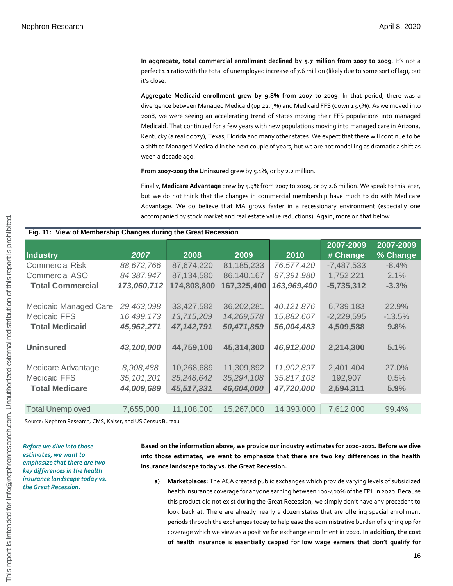**In aggregate, total commercial enrollment declined by 5.7 million from 2007 to 2009**. It's not a perfect 1:1 ratio with the total of unemployed increase of 7.6 million (likely due to some sort of lag), but it's close.

**Aggregate Medicaid enrollment grew by 9.8% from 2007 to 2009**. In that period, there was a divergence between Managed Medicaid (up 22.9%) and Medicaid FFS (down 13.5%). As we moved into 2008, we were seeing an accelerating trend of states moving their FFS populations into managed Medicaid. That continued for a few years with new populations moving into managed care in Arizona, Kentucky (a real doozy), Texas, Florida and many other states. We expect that there will continue to be a shift to Managed Medicaid in the next couple of years, but we are not modelling as dramatic a shift as ween a decade ago.

**From 2007-2009 the Uninsured** grew by 5.1%, or by 2.2 million.

Finally, **Medicare Advantage** grew by 5.9% from 2007 to 2009, or by 2.6 million. We speak to this later, but we do not think that the changes in commercial membership have much to do with Medicare Advantage. We do believe that MA grows faster in a recessionary environment (especially one accompanied by stock market and real estate value reductions). Again, more on that below.

#### **Fig. 11: View of Membership Changes during the Great Recession**

|                              |              |             |             |              | 2007-2009    | 2007-2009 |
|------------------------------|--------------|-------------|-------------|--------------|--------------|-----------|
| <b>Industry</b>              | 2007         | 2008        | 2009        | 2010         | # Change     | % Change  |
| <b>Commercial Risk</b>       | 88,672,766   | 87,674,220  | 81,185,233  | 76,577,420   | $-7,487,533$ | $-8.4\%$  |
| Commercial ASO               | 84,387,947   | 87,134,580  | 86,140,167  | 87,391,980   | 1,752,221    | 2.1%      |
| <b>Total Commercial</b>      | 173,060,712  | 174,808,800 | 167,325,400 | 163,969,400  | $-5,735,312$ | $-3.3%$   |
|                              |              |             |             |              |              |           |
| <b>Medicaid Managed Care</b> | 29,463,098   | 33,427,582  | 36,202,281  | 40, 121, 876 | 6,739,183    | 22.9%     |
| <b>Medicaid FFS</b>          | 16,499,173   | 13,715,209  | 14,269,578  | 15,882,607   | $-2,229,595$ | $-13.5%$  |
| <b>Total Medicaid</b>        | 45,962,271   | 47,142,791  | 50,471,859  | 56,004,483   | 4,509,588    | 9.8%      |
|                              |              |             |             |              |              |           |
| <b>Uninsured</b>             | 43,100,000   | 44,759,100  | 45,314,300  | 46,912,000   | 2,214,300    | 5.1%      |
|                              |              |             |             |              |              |           |
| Medicare Advantage           | 8,908,488    | 10,268,689  | 11,309,892  | 11,902,897   | 2,401,404    | 27.0%     |
| <b>Medicaid FFS</b>          | 35, 101, 201 | 35,248,642  | 35,294,108  | 35,817,103   | 192,907      | 0.5%      |
| <b>Total Medicare</b>        | 44,009,689   | 45,517,331  | 46,604,000  | 47,720,000   | 2,594,311    | 5.9%      |
|                              |              |             |             |              |              |           |
| <b>Total Unemployed</b>      | 7,655,000    | 11,108,000  | 15,267,000  | 14,393,000   | 7,612,000    | 99.4%     |
|                              |              |             |             |              |              |           |

Source: Nephron Research, CMS, Kaiser, and US Census Bureau

*Before we dive into those estimates, we want to emphasize that there are two key differences in the health insurance landscape today vs. the Great Recession.*

**Based on the information above, we provide our industry estimates for 2020-2021. Before we dive into those estimates, we want to emphasize that there are two key differences in the health insurance landscape today vs. the Great Recession.** 

**a) Marketplaces:** The ACA created public exchanges which provide varying levels of subsidized health insurance coverage for anyone earning between 100-400% of the FPL in 2020. Because this product did not exist during the Great Recession, we simply don't have any precedent to look back at. There are already nearly a dozen states that are offering special enrollment periods through the exchanges today to help ease the administrative burden of signing up for coverage which we view as a positive for exchange enrollment in 2020. **In addition, the cost of health insurance is essentially capped for low wage earners that don't qualify for**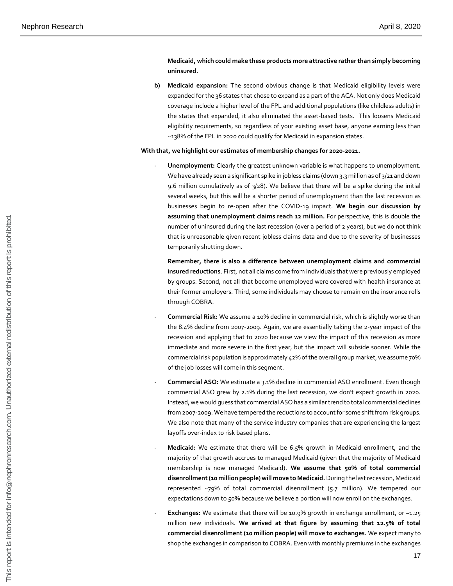#### **Medicaid, which could make these products more attractive rather than simply becoming uninsured.**

**b) Medicaid expansion:** The second obvious change is that Medicaid eligibility levels were expanded for the 36 states that chose to expand as a part of the ACA. Not only does Medicaid coverage include a higher level of the FPL and additional populations (like childless adults) in the states that expanded, it also eliminated the asset-based tests. This loosens Medicaid eligibility requirements, so regardless of your existing asset base, anyone earning less than ~138% of the FPL in 2020 could qualify for Medicaid in expansion states.

#### **With that, we highlight our estimates of membership changes for 2020-2021.**

**Unemployment:** Clearly the greatest unknown variable is what happens to unemployment. We have already seen a significant spike in jobless claims (down 3.3 million as of 3/21 and down 9.6 million cumulatively as of  $3/28$ ). We believe that there will be a spike during the initial several weeks, but this will be a shorter period of unemployment than the last recession as businesses begin to re-open after the COVID-19 impact. **We begin our discussion by assuming that unemployment claims reach 12 million.** For perspective, this is double the number of uninsured during the last recession (over a period of 2 years), but we do not think that is unreasonable given recent jobless claims data and due to the severity of businesses temporarily shutting down.

**Remember, there is also a difference between unemployment claims and commercial insured reductions**. First, not all claims come from individuals that were previously employed by groups. Second, not all that become unemployed were covered with health insurance at their former employers. Third, some individuals may choose to remain on the insurance rolls through COBRA.

- **Commercial Risk:** We assume a 10% decline in commercial risk, which is slightly worse than the 8.4% decline from 2007-2009. Again, we are essentially taking the 2-year impact of the recession and applying that to 2020 because we view the impact of this recession as more immediate and more severe in the first year, but the impact will subside sooner. While the commercial risk population is approximately 42% of the overall group market, we assume 70% of the job losses will come in this segment.
- **Commercial ASO:** We estimate a 3.1% decline in commercial ASO enrollment. Even though commercial ASO grew by 2.1% during the last recession, we don't expect growth in 2020. Instead, we would guess that commercial ASO has a similar trend to total commercial declines from 2007-2009. We have tempered the reductions to account for some shift from risk groups. We also note that many of the service industry companies that are experiencing the largest layoffs over-index to risk based plans.
- **Medicaid:** We estimate that there will be 6.5% growth in Medicaid enrollment, and the majority of that growth accrues to managed Medicaid (given that the majority of Medicaid membership is now managed Medicaid). **We assume that 50% of total commercial disenrollment (10 million people) will move to Medicaid.**During the last recession, Medicaid represented ~79% of total commercial disenrollment (5.7 million). We tempered our expectations down to 50% because we believe a portion will now enroll on the exchanges.
- **Exchanges:** We estimate that there will be 10.9% growth in exchange enrollment, or ~1.25 million new individuals. **We arrived at that figure by assuming that 12.5% of total commercial disenrollment (10 million people) will move to exchanges.** We expect many to shop the exchanges in comparison to COBRA. Even with monthly premiums in the exchanges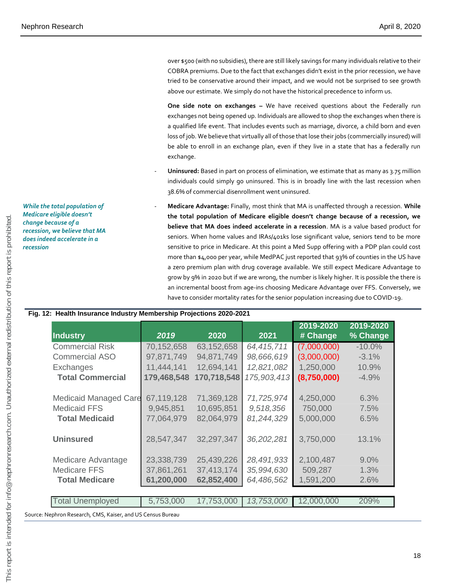over \$500 (with no subsidies), there are still likely savings for many individuals relative to their COBRA premiums. Due to the fact that exchanges didn't exist in the prior recession, we have tried to be conservative around their impact, and we would not be surprised to see growth above our estimate. We simply do not have the historical precedence to inform us.

**One side note on exchanges –** We have received questions about the Federally run exchanges not being opened up. Individuals are allowed to shop the exchanges when there is a qualified life event. That includes events such as marriage, divorce, a child born and even loss of job. We believe that virtually all of those that lose their jobs (commercially insured) will be able to enroll in an exchange plan, even if they live in a state that has a federally run exchange.

- Uninsured: Based in part on process of elimination, we estimate that as many as 3.75 million individuals could simply go uninsured. This is in broadly line with the last recession when 38.6% of commercial disenrollment went uninsured.
- **Medicare Advantage:** Finally, most think that MA is unaffected through a recession. **While the total population of Medicare eligible doesn't change because of a recession, we believe that MA does indeed accelerate in a recession**. MA is a value based product for seniors. When home values and IRAs/401ks lose significant value, seniors tend to be more sensitive to price in Medicare. At this point a Med Supp offering with a PDP plan could cost more than \$4,000 per year, while MedPAC just reported that 93% of counties in the US have a zero premium plan with drug coverage available. We still expect Medicare Advantage to grow by 9% in 2020 but if we are wrong, the number is likely higher. It is possible the there is an incremental boost from age-ins choosing Medicare Advantage over FFS. Conversely, we have to consider mortality rates for the senior population increasing due to COVID-19.

| While the total population of |
|-------------------------------|
| Medicare eligible doesn't     |
| change because of a           |
| recession, we believe that MA |
| does indeed accelerate in a   |
| recession                     |
|                               |

|                         |             |             |             | 2019-2020   | 2019-2020 |
|-------------------------|-------------|-------------|-------------|-------------|-----------|
| <b>Industry</b>         | 2019        | 2020        | 2021        | # Change    | % Change  |
| <b>Commercial Risk</b>  | 70,152,658  | 63,152,658  | 64,415,711  | (7,000,000) | $-10.0%$  |
| <b>Commercial ASO</b>   | 97,871,749  | 94,871,749  | 98,666,619  | (3,000,000) | $-3.1%$   |
| Exchanges               | 11,444,141  | 12,694,141  | 12,821,082  | 1,250,000   | 10.9%     |
| <b>Total Commercial</b> | 179,468,548 | 170,718,548 | 175,903,413 | (8,750,000) | $-4.9%$   |
| Medicaid Managed Care   | 67,119,128  | 71,369,128  | 71,725,974  | 4,250,000   | 6.3%      |
| <b>Medicaid FFS</b>     | 9,945,851   | 10,695,851  | 9,518,356   | 750,000     | 7.5%      |
| <b>Total Medicaid</b>   | 77,064,979  | 82,064,979  | 81,244,329  | 5,000,000   | 6.5%      |
| <b>Uninsured</b>        | 28,547,347  | 32,297,347  | 36,202,281  | 3,750,000   | 13.1%     |
| Medicare Advantage      | 23,338,739  | 25,439,226  | 28,491,933  | 2,100,487   | 9.0%      |
| <b>Medicare FFS</b>     | 37,861,261  | 37,413,174  | 35,994,630  | 509,287     | 1.3%      |
| <b>Total Medicare</b>   | 61,200,000  | 62,852,400  | 64,486,562  | 1,591,200   | 2.6%      |
|                         |             |             |             |             |           |
| <b>Total Unemployed</b> | 5,753,000   | 17,753,000  | 13,753,000  | 12,000,000  | 209%      |

#### **Fig. 12: Health Insurance Industry Membership Projections 2020-2021**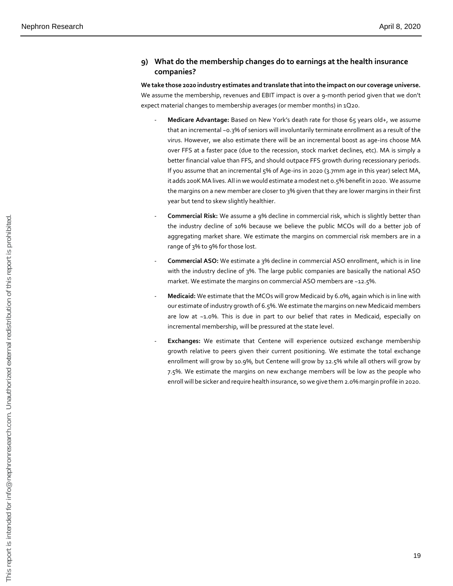#### **9) What do the membership changes do to earnings at the health insurance companies?**

**We take those 2020 industry estimates and translate that into the impact on our coverage universe.** We assume the membership, revenues and EBIT impact is over a 9-month period given that we don't expect material changes to membership averages (or member months) in 1Q20.

- **Medicare Advantage:** Based on New York's death rate for those 65 years old+, we assume that an incremental ~0.3% of seniors will involuntarily terminate enrollment as a result of the virus. However, we also estimate there will be an incremental boost as age-ins choose MA over FFS at a faster pace (due to the recession, stock market declines, etc). MA is simply a better financial value than FFS, and should outpace FFS growth during recessionary periods. If you assume that an incremental 5% of Age-ins in 2020 (3.7mm age in this year) select MA, it adds 200K MA lives. All in we would estimate a modest net 0.5% benefit in 2020. We assume the margins on a new member are closer to 3% given that they are lower margins in their first year but tend to skew slightly healthier.
- Commercial Risk: We assume a 9% decline in commercial risk, which is slightly better than the industry decline of 10% because we believe the public MCOs will do a better job of aggregating market share. We estimate the margins on commercial risk members are in a range of 3% to 9% for those lost.
- **Commercial ASO:** We estimate a 3% decline in commercial ASO enrollment, which is in line with the industry decline of 3%. The large public companies are basically the national ASO market. We estimate the margins on commercial ASO members are ~12.5%.
- **Medicaid:** We estimate that the MCOs will grow Medicaid by 6.0%, again which is in line with our estimate of industry growth of 6.5%. We estimate the margins on new Medicaid members are low at ~1.0%. This is due in part to our belief that rates in Medicaid, especially on incremental membership, will be pressured at the state level.
- **Exchanges:** We estimate that Centene will experience outsized exchange membership growth relative to peers given their current positioning. We estimate the total exchange enrollment will grow by 10.9%, but Centene will grow by 12.5% while all others will grow by 7.5%. We estimate the margins on new exchange members will be low as the people who enroll will be sicker and require health insurance, so we give them 2.0% margin profile in 2020.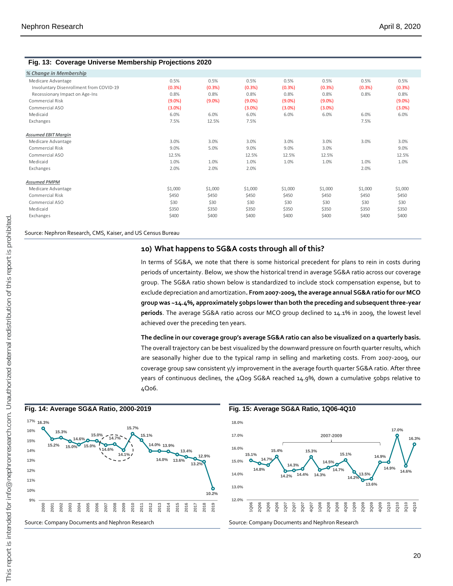#### **Fig. 13: Coverage Universe Membership Projections 2020**

| % Change in Membership                  |           |           |           |           |           |         |           |
|-----------------------------------------|-----------|-----------|-----------|-----------|-----------|---------|-----------|
| Medicare Advantage                      | 0.5%      | 0.5%      | 0.5%      | 0.5%      | 0.5%      | 0.5%    | 0.5%      |
| Involuntary Disenrollment from COVID-19 | (0.3% )   | (0.3%)    | (0.3%)    | (0.3%)    | (0.3%)    | (0.3% ) | (0.3%)    |
| Recessionary Impact on Age-Ins          | 0.8%      | 0.8%      | 0.8%      | 0.8%      | 0.8%      | 0.8%    | 0.8%      |
| Commercial Risk                         | $(9.0\%)$ | $(9.0\%)$ | $(9.0\%)$ | $(9.0\%)$ | $(9.0\%)$ |         | $(9.0\%)$ |
| Commercial ASO                          | $(3.0\%)$ |           | $(3.0\%)$ | $(3.0\%)$ | $(3.0\%)$ |         | $(3.0\%)$ |
| Medicaid                                | 6.0%      | 6.0%      | 6.0%      | 6.0%      | 6.0%      | 6.0%    | 6.0%      |
| Exchanges                               | 7.5%      | 12.5%     | 7.5%      |           |           | 7.5%    |           |
| <b>Assumed EBIT Margin</b>              |           |           |           |           |           |         |           |
| Medicare Advantage                      | 3.0%      | 3.0%      | 3.0%      | 3.0%      | 3.0%      | 3.0%    | 3.0%      |
| Commercial Risk                         | 9.0%      | 5.0%      | 9.0%      | 9.0%      | 3.0%      |         | 9.0%      |
| Commercial ASO                          | 12.5%     |           | 12.5%     | 12.5%     | 12.5%     |         | 12.5%     |
| Medicaid                                | 1.0%      | 1.0%      | 1.0%      | 1.0%      | 1.0%      | 1.0%    | 1.0%      |
| Exchanges                               | 2.0%      | 2.0%      | 2.0%      |           |           | 2.0%    |           |
| <b>Assumed PMPM</b>                     |           |           |           |           |           |         |           |
| Medicare Advantage                      | \$1,000   | \$1,000   | \$1,000   | \$1,000   | \$1,000   | \$1,000 | \$1,000   |
| Commercial Risk                         | \$450     | \$450     | \$450     | \$450     | \$450     | \$450   | \$450     |
| Commercial ASO                          | \$30      | \$30      | \$30      | \$30      | \$30      | \$30    | \$30      |
| Medicaid                                | \$350     | \$350     | \$350     | \$350     | \$350     | \$350   | \$350     |
| Exchanges                               | \$400     | \$400     | \$400     | \$400     | \$400     | \$400   | \$400     |

Source: Nephron Research, CMS, Kaiser, and US Census Bureau

#### **10) What happens to SG&A costs through all of this?**

In terms of SG&A, we note that there is some historical precedent for plans to rein in costs during periods of uncertainty. Below, we show the historical trend in average SG&A ratio across our coverage group. The SG&A ratio shown below is standardized to include stock compensation expense, but to exclude depreciation and amortization**. From 2007-2009, the average annual SG&A ratio for our MCO group was ~14.4%, approximately 50bps lower than both the preceding and subsequent three-year periods**. The average SG&A ratio across our MCO group declined to 14.1% in 2009, the lowest level achieved over the preceding ten years.

**The decline in our coverage group's average SG&A ratio can also be visualized on a quarterly basis.** The overall trajectory can be best visualized by the downward pressure on fourth quarter results, which are seasonally higher due to the typical ramp in selling and marketing costs. From 2007-2009, our coverage group saw consistent y/y improvement in the average fourth quarter SG&A ratio. After three years of continuous declines, the 4Q09 SG&A reached 14.9%, down a cumulative 50bps relative to 4Q06.





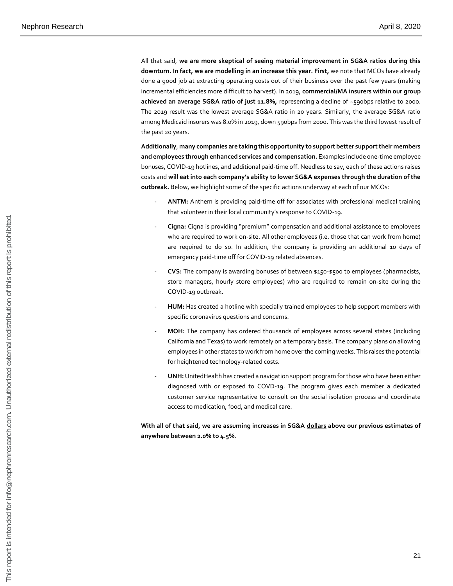All that said, **we are more skeptical of seeing material improvement in SG&A ratios during this downturn. In fact, we are modelling in an increase this year. First,** we note that MCOs have already done a good job at extracting operating costs out of their business over the past few years (making incremental efficiencies more difficult to harvest). In 2019, **commercial/MA insurers within our group achieved an average SG&A ratio of just 11.8%,** representing a decline of ~590bps relative to 2000. The 2019 result was the lowest average SG&A ratio in 20 years. Similarly, the average SG&A ratio among Medicaid insurers was 8.0% in 2019, down 590bps from 2000. This was the third lowest result of the past 20 years.

**Additionally**, **many companies are taking this opportunity to support better support their members and employees through enhanced services and compensation.** Examples include one-time employee bonuses, COVID-19 hotlines, and additional paid-time off. Needless to say, each of these actions raises costs and **will eat into each company's ability to lower SG&A expenses through the duration of the outbreak.** Below, we highlight some of the specific actions underway at each of our MCOs:

- ANTM: Anthem is providing paid-time off for associates with professional medical training that volunteer in their local community's response to COVID-19.
- **Cigna:** Cigna is providing "premium" compensation and additional assistance to employees who are required to work on-site. All other employees (i.e. those that can work from home) are required to do so. In addition, the company is providing an additional 10 days of emergency paid-time off for COVID-19 related absences.
- **CVS:** The company is awarding bonuses of between \$150-\$500 to employees (pharmacists, store managers, hourly store employees) who are required to remain on-site during the COVID-19 outbreak.
- HUM: Has created a hotline with specially trained employees to help support members with specific coronavirus questions and concerns.
- MOH: The company has ordered thousands of employees across several states (including California and Texas) to work remotely on a temporary basis. The company plans on allowing employees in other states to work from home over the coming weeks. This raises the potential for heightened technology-related costs.
- **UNH:**UnitedHealth has created a navigation support program for those who have been either diagnosed with or exposed to COVD-19. The program gives each member a dedicated customer service representative to consult on the social isolation process and coordinate access to medication, food, and medical care.

**With all of that said, we are assuming increases in SG&A dollars above our previous estimates of anywhere between 2.0% to 4.5%**.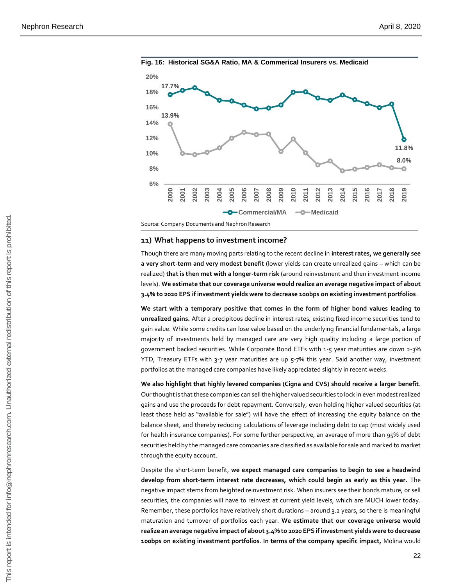

## **11) What happens to investment income?**

Though there are many moving parts relating to the recent decline in **interest rates, we generally see a very short-term and very modest benefit** (lower yields can create unrealized gains – which can be realized) **that is then met with a longer-term risk** (around reinvestment and then investment income levels). **We estimate that our coverage universe would realize an average negative impact of about 3.4% to 2020 EPS if investment yields were to decrease 100bps on existing investment portfolios**.

**We start with a temporary positive that comes in the form of higher bond values leading to unrealized gains.** After a precipitous decline in interest rates, existing fixed income securities tend to gain value. While some credits can lose value based on the underlying financial fundamentals, a large majority of investments held by managed care are very high quality including a large portion of government backed securities. While Corporate Bond ETFs with 1-5 year maturities are down 2-3% YTD, Treasury ETFs with 3-7 year maturities are up 5-7% this year. Said another way, investment portfolios at the managed care companies have likely appreciated slightly in recent weeks.

**We also highlight that highly levered companies (Cigna and CVS) should receive a larger benefit**. Our thought is that these companies can sell the higher valued securities to lock in even modest realized gains and use the proceeds for debt repayment. Conversely, even holding higher valued securities (at least those held as "available for sale") will have the effect of increasing the equity balance on the balance sheet, and thereby reducing calculations of leverage including debt to cap (most widely used for health insurance companies). For some further perspective, an average of more than 95% of debt securities held by the managed care companies are classified as available for sale and marked to market through the equity account.

Despite the short-term benefit, **we expect managed care companies to begin to see a headwind develop from short-term interest rate decreases, which could begin as early as this year.** The negative impact stems from heighted reinvestment risk. When insurers see their bonds mature, or sell securities, the companies will have to reinvest at current yield levels, which are MUCH lower today. Remember, these portfolios have relatively short durations – around 3.2 years, so there is meaningful maturation and turnover of portfolios each year. **We estimate that our coverage universe would realize an average negative impact of about 3.4% to 2020 EPS if investment yields were to decrease**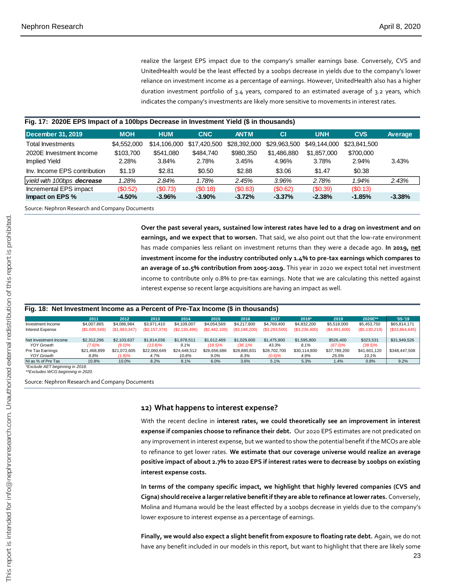realize the largest EPS impact due to the company's smaller earnings base. Conversely, CVS and UnitedHealth would be the least effected by a 100bps decrease in yields due to the company's lower reliance on investment income as a percentage of earnings. However, UnitedHealth also has a higher duration investment portfolio of 3.4 years, compared to an estimated average of 3.2 years, which indicates the company's investments are likely more sensitive to movements in interest rates.

#### **Fig. 17: 2020E EPS Impact of a 100bps Decrease in Investment Yield (\$ in thousands)**

| December 31, 2019            | <b>MOH</b>  | <b>HUM</b>   | <b>CNC</b>   | <b>ANTM</b>  | <b>CI</b>    | <b>UNH</b>   | <b>CVS</b>   | Average  |
|------------------------------|-------------|--------------|--------------|--------------|--------------|--------------|--------------|----------|
| Total Investments            | \$4,552,000 | \$14,106,000 | \$17,420,500 | \$28,392,000 | \$29,963,500 | \$49.144.000 | \$23,841,500 |          |
| 2020E Investment Income      | \$103.700   | \$541,080    | \$484,740    | \$980.350    | \$1,486,880  | \$1,857,000  | \$700,000    |          |
| Implied Yield                | 2.28%       | 3.84%        | 2.78%        | 3.45%        | 4.96%        | 3.78%        | 2.94%        | 3.43%    |
| Inv. Income EPS contribution | \$1.19      | \$2.81       | \$0.50       | \$2.88       | \$3.06       | \$1.47       | \$0.38       |          |
| vield with 100bps decrease   | 1.28%       | 2.84%        | 1.78%        | 2.45%        | 3.96%        | 2.78%        | 1.94%        | 2.43%    |
| Incremental EPS impact       | (S0.52)     | (S0.73)      | (S0.18)      | (S0.83)      | (\$0.62)     | (S0.39)      | (S0.13)      |          |
| Impact on EPS %              | $-4.50%$    | $-3.96\%$    | $-3.90\%$    | $-3.72%$     | $-3.37\%$    | $-2.38%$     | $-1.85%$     | $-3.38%$ |

Source: Nephron Research and Company Documents

#### **Fig. 18: Net Investment Income as a Percent of Pre-Tax Income (\$ in thousands)**

|                                                                                                                        |                              |                              |                              |                              |                                                                 |                              |                              |                                                                             |                                                                                                      |                              | earnings, and we expect that to worsen. That said, we also point out that the low-rate environment<br>has made companies less reliant on investment returns than they were a decade ago. In 2019, net                                                                                                                                                                                                                                                                                                                    |
|------------------------------------------------------------------------------------------------------------------------|------------------------------|------------------------------|------------------------------|------------------------------|-----------------------------------------------------------------|------------------------------|------------------------------|-----------------------------------------------------------------------------|------------------------------------------------------------------------------------------------------|------------------------------|--------------------------------------------------------------------------------------------------------------------------------------------------------------------------------------------------------------------------------------------------------------------------------------------------------------------------------------------------------------------------------------------------------------------------------------------------------------------------------------------------------------------------|
|                                                                                                                        |                              |                              |                              |                              |                                                                 |                              |                              |                                                                             |                                                                                                      |                              | investment income for the industry contributed only 1.4% to pre-tax earnings which compares to                                                                                                                                                                                                                                                                                                                                                                                                                           |
|                                                                                                                        |                              |                              |                              |                              |                                                                 |                              |                              |                                                                             |                                                                                                      |                              | an average of 10.5% contribution from 2005-2019. This year in 2020 we expect total net investment                                                                                                                                                                                                                                                                                                                                                                                                                        |
|                                                                                                                        |                              |                              |                              |                              |                                                                 |                              |                              |                                                                             | income to contribute only 0.8% to pre-tax earnings. Note that we are calculating this netted against |                              |                                                                                                                                                                                                                                                                                                                                                                                                                                                                                                                          |
|                                                                                                                        |                              |                              |                              |                              |                                                                 |                              |                              | interest expense so recent large acquisitions are having an impact as well. |                                                                                                      |                              |                                                                                                                                                                                                                                                                                                                                                                                                                                                                                                                          |
| Fig. 18: Net Investment Income as a Percent of Pre-Tax Income (\$ in thousands)                                        |                              |                              |                              |                              |                                                                 |                              |                              |                                                                             |                                                                                                      |                              |                                                                                                                                                                                                                                                                                                                                                                                                                                                                                                                          |
|                                                                                                                        | 2011                         | 2012                         | 2013                         | 2014                         | 2015                                                            | 2016                         | 2017                         | 2018*                                                                       | 2019                                                                                                 | 2020E**                      | $'05-'19$                                                                                                                                                                                                                                                                                                                                                                                                                                                                                                                |
| Investment Income<br>Interest Expense                                                                                  | \$4,007,865<br>(\$1,695,569) | \$4,086,984<br>(\$1,983,347) | \$3,971,410<br>(\$2,157,374) | \$4,109,007<br>(\$2,130,496) | \$4,054,569<br>(\$2,442,100)                                    | \$4,217,800<br>(\$3,188,200) | \$4,769,400<br>(\$3,293,500) | \$4,832,200<br>(\$3,236,400)                                                | \$5,518,000<br>(\$4,991,600)                                                                         | \$5,453,750<br>(\$5,130,219) | \$65,814,171<br>(\$33,864,645)                                                                                                                                                                                                                                                                                                                                                                                                                                                                                           |
| Net Investment Income<br><b>YOY Growth</b>                                                                             | \$2,312,296<br>(7.6)%        | \$2,103,637<br>$(9.0)\%$     | \$1,814,036<br>$(13.8)\%$    | \$1,978,511<br>9.1%          | \$1,612,469<br>$(18.5)\%$                                       | \$1,029,600<br>$(36.1)\%$    | \$1,475,900<br>43.3%         | \$1,595,800<br>8.1%                                                         | \$526,400<br>$(67.0)\%$                                                                              | \$323,531<br>$(38.5)\%$      | \$31,949,526                                                                                                                                                                                                                                                                                                                                                                                                                                                                                                             |
| Pre Tax Earnings<br><b>YOY Growth</b>                                                                                  | \$21,468,899<br>8.8%         | \$21,072,605<br>(1.8)%       | \$22,060,649<br>4.7%         | \$24,448,512<br>10.8%        | \$26,656,686<br>9.0%                                            | \$28,880,831<br>8.3%         | \$28,702,700<br>(0.6)%       | \$30,114,800<br>4.9%                                                        | \$37,789,200<br>25.5%                                                                                | \$41,601,120<br>10.1%        | \$348,447,508                                                                                                                                                                                                                                                                                                                                                                                                                                                                                                            |
| NI as % of Pre Tax                                                                                                     | 10.8%                        | 10.0%                        | 8.2%                         | 8.1%                         | 6.0%                                                            | 3.6%                         | 5.1%                         | 5.3%                                                                        | 1.4%                                                                                                 | 0.8%                         | 9.2%                                                                                                                                                                                                                                                                                                                                                                                                                                                                                                                     |
| *Exclude AET beginning in 2018.<br>**Excludes WCG beginning in 2020.<br>Source: Nephron Research and Company Documents |                              |                              |                              |                              |                                                                 |                              |                              |                                                                             |                                                                                                      |                              |                                                                                                                                                                                                                                                                                                                                                                                                                                                                                                                          |
|                                                                                                                        |                              |                              |                              |                              | 12) What happens to interest expense?                           |                              |                              |                                                                             |                                                                                                      |                              |                                                                                                                                                                                                                                                                                                                                                                                                                                                                                                                          |
|                                                                                                                        |                              |                              |                              |                              |                                                                 |                              |                              |                                                                             |                                                                                                      |                              |                                                                                                                                                                                                                                                                                                                                                                                                                                                                                                                          |
|                                                                                                                        |                              |                              |                              |                              |                                                                 |                              |                              |                                                                             |                                                                                                      |                              |                                                                                                                                                                                                                                                                                                                                                                                                                                                                                                                          |
|                                                                                                                        |                              |                              |                              |                              |                                                                 |                              |                              |                                                                             |                                                                                                      |                              |                                                                                                                                                                                                                                                                                                                                                                                                                                                                                                                          |
|                                                                                                                        |                              |                              |                              |                              |                                                                 |                              |                              |                                                                             |                                                                                                      |                              |                                                                                                                                                                                                                                                                                                                                                                                                                                                                                                                          |
|                                                                                                                        |                              |                              |                              | interest expense costs.      |                                                                 |                              |                              |                                                                             |                                                                                                      |                              | With the recent decline in interest rates, we could theoretically see an improvement in interest<br>expense if companies choose to refinance their debt. Our 2020 EPS estimates are not predicated or<br>any improvement in interest expense, but we wanted to show the potential benefit if the MCOs are able<br>to refinance to get lower rates. We estimate that our coverage universe would realize an average<br>positive impact of about 2.7% to 2020 EPS if interest rates were to decrease by 100bps on existing |
|                                                                                                                        |                              |                              |                              |                              |                                                                 |                              |                              |                                                                             |                                                                                                      |                              | In terms of the company specific impact, we highlight that highly levered companies (CVS and                                                                                                                                                                                                                                                                                                                                                                                                                             |
|                                                                                                                        |                              |                              |                              |                              |                                                                 |                              |                              |                                                                             |                                                                                                      |                              | Cigna) should receive a larger relative benefit if they are able to refinance at lower rates. Conversely                                                                                                                                                                                                                                                                                                                                                                                                                 |
|                                                                                                                        |                              |                              |                              |                              |                                                                 |                              |                              |                                                                             |                                                                                                      |                              | Molina and Humana would be the least effected by a 100bps decrease in yields due to the company's                                                                                                                                                                                                                                                                                                                                                                                                                        |
|                                                                                                                        |                              |                              |                              |                              | lower exposure to interest expense as a percentage of earnings. |                              |                              |                                                                             |                                                                                                      |                              |                                                                                                                                                                                                                                                                                                                                                                                                                                                                                                                          |
|                                                                                                                        |                              |                              |                              |                              |                                                                 |                              |                              |                                                                             |                                                                                                      |                              | Finally, we would also expect a slight benefit from exposure to floating rate debt. Again, we do not                                                                                                                                                                                                                                                                                                                                                                                                                     |

#### **12) What happens to interest expense?**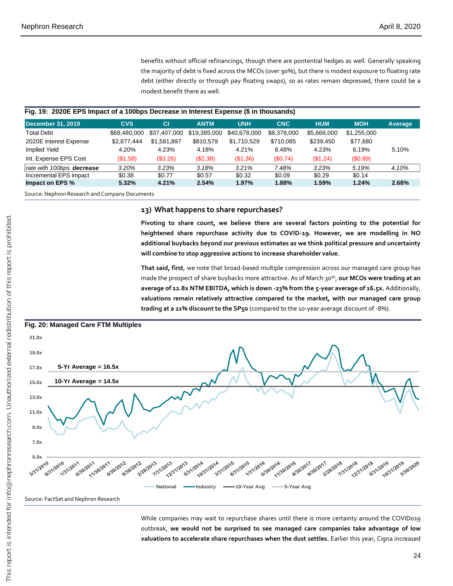benefits without official refinancings, though there are pontential hedges as well. Generally speaking the majority of debt is fixed across the MCOs (over 90%), but there is modest exposure to floating rate debt (either directly or through pay floating swaps), so as rates remain depressed, there could be a modest benefit there as well.

#### **Fig. 19: 2020E EPS Impact of a 100bps Decrease in Interest Expense (\$ in thousands)**

| <b>December 31, 2019</b>  | <b>CVS</b>   | <b>CI</b>    | <b>ANTM</b>  | <b>UNH</b>   | <b>CNC</b>  | <b>HUM</b>  | <b>MOH</b>  | Average |
|---------------------------|--------------|--------------|--------------|--------------|-------------|-------------|-------------|---------|
| <b>Total Debt</b>         | \$68,480,000 | \$37,407,000 | \$19,385,000 | \$40,678,000 | \$8,378,000 | \$5,666,000 | \$1,255,000 |         |
| 2020E Interest Expense    | \$2.877.444  | \$1.581.897  | \$810.579    | \$1,710,529  | \$710,085   | \$239.450   | \$77.680    |         |
| Implied Yield             | 4.20%        | 4.23%        | 4.18%        | 4.21%        | 8.48%       | 4.23%       | 6.19%       | 5.10%   |
| Int. Expense EPS Cost     | (\$1.58)     | (\$3.26)     | (\$2.38)     | (\$1.36)     | (S0.74)     | (\$1.24)    | (S0.89)     |         |
| rate with 100bps decrease | 3.20%        | 3.23%        | 3.18%        | 3.21%        | 7.48%       | 3.23%       | 5.19%       | 4.10%   |
| Incremental EPS impact    | \$0.38       | \$0.77       | \$0.57       | \$0.32       | \$0.09      | \$0.29      | \$0.14      |         |
| Impact on EPS %           | 5.32%        | 4.21%        | 2.54%        | $1.97\%$     | 1.88%       | 1.59%       | 1.24%       | 2.68%   |

Source: Nephron Research and Company Documents

#### **13) What happens to share repurchases?**

**Pivoting to share count, we believe there are several factors pointing to the potential for heightened share repurchase activity due to COVID-19. However, we are modelling in NO additional buybacks beyond our previous estimates as we think political pressure and uncertainty will combine to stop aggressive actions to increase shareholder value.** 

**That said, first**, we note that broad-based multiple compression across our managed care group has made the prospect of share buybacks more attractive. As of March 30th , **our MCOs were trading at an average of 12.8x NTM EBITDA, which is down -23% from the 5-year average of 16.5x.** Additionally, **valuations remain relatively attractive compared to the market, with our managed care group trading at a 21% discount to the SP50** (compared to the 10-year average discount of -8%).



Source: FactSet and Nephron Research

While companies may wait to repurchase shares until there is more certainty around the COVID019 outbreak, **we would not be surprised to see managed care companies take advantage of low**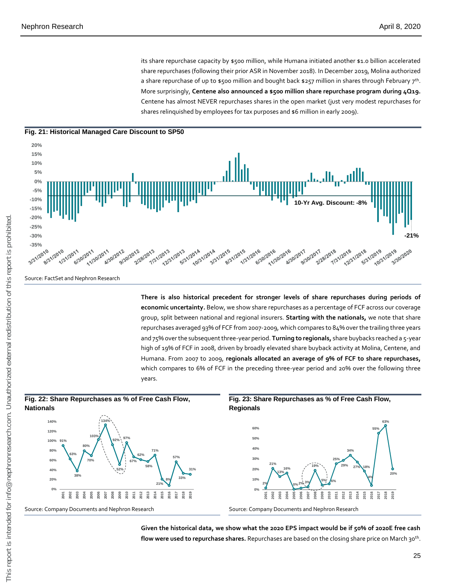its share repurchase capacity by \$500 million, while Humana initiated another \$1.0 billion accelerated share repurchases (following their prior ASR in November 2018). In December 2019, Molina authorized a share repurchase of up to \$500 million and bought back \$257 million in shares through February 7th . More surprisingly, **Centene also announced a \$500 million share repurchase program during 4Q19.** Centene has almost NEVER repurchases shares in the open market (just very modest repurchases for shares relinquished by employees for tax purposes and \$6 million in early 2009).





**There is also historical precedent for stronger levels of share repurchases during periods of economic uncertainty.** Below, we show share repurchases as a percentage of FCF across our coverage group, split between national and regional insurers. **Starting with the nationals,** we note that share repurchases averaged 93% of FCF from 2007-2009, which compares to 84% over the trailing three years and 75% over the subsequent three-year period. **Turning to regionals,** share buybacks reached a 5-year high of 19% of FCF in 2008, driven by broadly elevated share buyback activity at Molina, Centene, and Humana. From 2007 to 2009, **regionals allocated an average of 9% of FCF to share repurchases,**  which compares to 6% of FCF in the preceding three-year period and 20% over the following three years.



**Given the historical data, we show what the 2020 EPS impact would be if 50% of 2020E free cash flow were used to repurchase shares.** Repurchases are based on the closing share price on March 30th .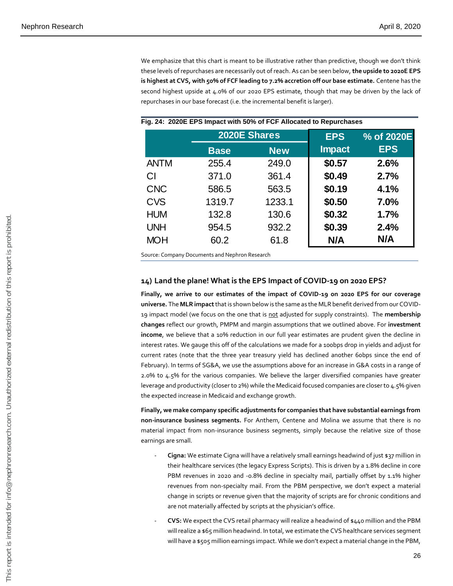We emphasize that this chart is meant to be illustrative rather than predictive, though we don't think these levels of repurchases are necessarily out of reach. As can be seen below, **the upside to 2020E EPS is highest at CVS, with 50% of FCF leading to 7.2% accretion off our base estimate.** Centene has the second highest upside at 4.0% of our 2020 EPS estimate, though that may be driven by the lack of repurchases in our base forecast (i.e. the incremental benefit is larger).

|             | 2020E Shares |            | <b>EPS</b>    | % of 2020E |
|-------------|--------------|------------|---------------|------------|
|             | <b>Base</b>  | <b>New</b> | <b>Impact</b> | <b>EPS</b> |
| <b>ANTM</b> | 255.4        | 249.0      | \$0.57        | 2.6%       |
| CI          | 371.0        | 361.4      | \$0.49        | 2.7%       |
| <b>CNC</b>  | 586.5        | 563.5      | \$0.19        | 4.1%       |
| <b>CVS</b>  | 1319.7       | 1233.1     | \$0.50        | 7.0%       |
| <b>HUM</b>  | 132.8        | 130.6      | \$0.32        | 1.7%       |
| <b>UNH</b>  | 954.5        | 932.2      | \$0.39        | 2.4%       |
| <b>MOH</b>  | 60.2         | 61.8       | N/A           | N/A        |

#### **Fig. 24: 2020E EPS Impact with 50% of FCF Allocated to Repurchases**

Source: Company Documents and Nephron Research

#### **14) Land the plane! What is the EPS Impact of COVID-19 on 2020 EPS?**

**Finally, we arrive to our estimates of the impact of COVID-19 on 2020 EPS for our coverage universe.** The **MLR impact**that is shown below is the same as the MLR benefit derived from our COVID-19 impact model (we focus on the one that is not adjusted for supply constraints). The **membership changes** reflect our growth, PMPM and margin assumptions that we outlined above. For **investment income**, we believe that a 10% reduction in our full year estimates are prudent given the decline in interest rates. We gauge this off of the calculations we made for a 100bps drop in yields and adjust for current rates (note that the three year treasury yield has declined another 60bps since the end of February). In terms of SG&A, we use the assumptions above for an increase in G&A costs in a range of 2.0% to 4.5% for the various companies. We believe the larger diversified companies have greater leverage and productivity (closer to 2%) while the Medicaid focused companies are closer to 4.5% given the expected increase in Medicaid and exchange growth. Base New Impact<br>255.4 24.90 361.4 **\$0.49 2.7%**<br>371.0 361.4 **\$0.49 2.7%**<br>586.5 563.5 **\$0.19 4.1%**<br>139.7 1233.3 130.6 **\$0.30 7.0%**<br>132.8 130.6 **\$0.30 7.0%**<br>954.5 932.2 **\$0.39 2.4%**<br>60.2 61.8 NI/A NI/A NI/A HIP parameterism i

**Finally, we make company specific adjustments for companies that have substantial earnings from non-insurance business segments.** For Anthem, Centene and Molina we assume that there is no material impact from non-insurance business segments, simply because the relative size of those earnings are small.

- **Cigna:** We estimate Cigna will have a relatively small earnings headwind of just \$37 million in their healthcare services (the legacy Express Scripts). This is driven by a 1.8% decline in core PBM revenues in 2020 and -0.8% decline in specialty mail, partially offset by 1.1% higher revenues from non-specialty mail. From the PBM perspective, we don't expect a material change in scripts or revenue given that the majority of scripts are for chronic conditions and are not materially affected by scripts at the physician's office.
- **CVS:** We expect the CVS retail pharmacy will realize a headwind of \$440 million and the PBM will realize a \$65 million headwind. In total, we estimate the CVS healthcare services segment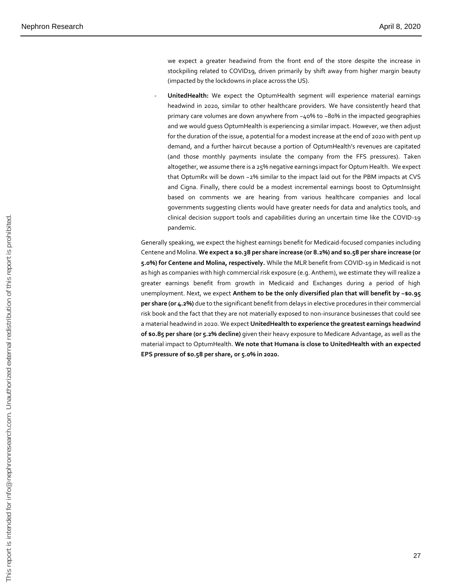we expect a greater headwind from the front end of the store despite the increase in stockpiling related to COVID19, driven primarily by shift away from higher margin beauty (impacted by the lockdowns in place across the US).

- **UnitedHealth:** We expect the OptumHealth segment will experience material earnings headwind in 2020, similar to other healthcare providers. We have consistently heard that primary care volumes are down anywhere from ~40% to ~80% in the impacted geographies and we would guess OptumHealth is experiencing a similar impact. However, we then adjust for the duration of the issue, a potential for a modest increase at the end of 2020 with pent up demand, and a further haircut because a portion of OptumHealth's revenues are capitated (and those monthly payments insulate the company from the FFS pressures). Taken altogether, we assume there is a 25% negative earnings impact for Optum Health. We expect that OptumRx will be down ~2% similar to the impact laid out for the PBM impacts at CVS and Cigna. Finally, there could be a modest incremental earnings boost to OptumInsight based on comments we are hearing from various healthcare companies and local governments suggesting clients would have greater needs for data and analytics tools, and clinical decision support tools and capabilities during an uncertain time like the COVID-19 pandemic.

Generally speaking, we expect the highest earnings benefit for Medicaid-focused companies including Centene and Molina. **We expect a \$0.38 per share increase (or 8.2%) and \$0.58 per share increase (or 5.0%) for Centene and Molina, respectively.** While the MLR benefit from COVID-19 in Medicaid is not as high as companies with high commercial risk exposure (e.g. Anthem), we estimate they will realize a greater earnings benefit from growth in Medicaid and Exchanges during a period of high unemployment. Next, we expect **Anthem to be the only diversified plan that will benefit by ~\$0.95 per share (or 4.2%)** due to the significant benefit from delays in elective procedures in their commercial risk book and the fact that they are not materially exposed to non-insurance businesses that could see a material headwind in 2020. We expect **UnitedHealth to experience the greatest earnings headwind of \$0.85 per share (or 5.2% decline)** given their heavy exposure to Medicare Advantage, as well as the material impact to OptumHealth. **We note that Humana is close to UnitedHealth with an expected EPS pressure of \$0.58 per share, or 5.0% in 2020.**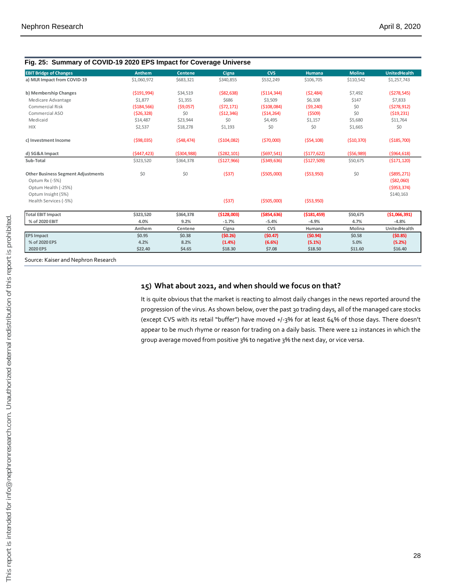| a) MLR Impact from COVID-19<br>b) Membership Changes<br>Medicare Advantage<br>Commercial Risk<br>Commercial ASO<br>Medicaid<br>c) Investment Income<br>d) SG&A Impact<br>Sub-Total<br><b>Other Business Segment Adjustments</b><br>Optum Rx (-5%)<br>Optum Health (-25%)<br>Optum Insight (5%)<br>Health Services (-5%)<br><b>Total EBIT Impact</b> | \$1,060,972<br>( \$191, 994)<br>\$1,877<br>( \$184, 566)<br>(526, 328)<br>\$14,487<br>\$2,537<br>( \$98,035)<br>(5447, 423)<br>\$323,520<br>\$0 | \$683,321<br>\$34,519<br>\$1,355<br>( \$9,057)<br>\$0<br>\$23,944<br>\$18,278<br>( \$48,474)<br>( \$304, 988)<br>\$364,378<br>\$0 | \$340,855<br>( \$82, 638)<br>\$686<br>(572, 171)<br>( \$12, 346)<br>\$0<br>\$1,193<br>( \$104,082)<br>(5282, 101)<br>(\$127,966)<br>(537) | \$532,249<br>( \$114, 344)<br>\$3,509<br>( \$108,084)<br>( \$14, 264)<br>\$4,495<br>\$0<br>( \$70,000]<br>(5697,541)<br>( \$349, 636)<br>( \$505,000) | \$106,705<br>(52, 484)<br>\$6,108<br>(59, 240)<br>(5509)<br>\$1,157<br>\$0<br>( \$54, 108)<br>( \$177, 622)<br>( \$127,509)<br>( \$53, 950)                                                                                                                                                                                                                                          | \$110,542<br>\$7,492<br>\$147<br>\$0<br>\$0<br>\$5,680<br>\$1,665<br>( \$10, 370)<br>( \$56, 989)<br>\$50,675 | \$1,257,743<br>(5278, 545)<br>\$7,833<br>(5278, 912)<br>( \$19, 231)<br>\$11,764<br>\$0<br>( \$185,700)<br>( \$964, 618)<br>( \$171, 120) |
|-----------------------------------------------------------------------------------------------------------------------------------------------------------------------------------------------------------------------------------------------------------------------------------------------------------------------------------------------------|-------------------------------------------------------------------------------------------------------------------------------------------------|-----------------------------------------------------------------------------------------------------------------------------------|-------------------------------------------------------------------------------------------------------------------------------------------|-------------------------------------------------------------------------------------------------------------------------------------------------------|--------------------------------------------------------------------------------------------------------------------------------------------------------------------------------------------------------------------------------------------------------------------------------------------------------------------------------------------------------------------------------------|---------------------------------------------------------------------------------------------------------------|-------------------------------------------------------------------------------------------------------------------------------------------|
|                                                                                                                                                                                                                                                                                                                                                     |                                                                                                                                                 |                                                                                                                                   |                                                                                                                                           |                                                                                                                                                       |                                                                                                                                                                                                                                                                                                                                                                                      |                                                                                                               |                                                                                                                                           |
|                                                                                                                                                                                                                                                                                                                                                     |                                                                                                                                                 |                                                                                                                                   |                                                                                                                                           |                                                                                                                                                       |                                                                                                                                                                                                                                                                                                                                                                                      |                                                                                                               |                                                                                                                                           |
|                                                                                                                                                                                                                                                                                                                                                     |                                                                                                                                                 |                                                                                                                                   |                                                                                                                                           |                                                                                                                                                       |                                                                                                                                                                                                                                                                                                                                                                                      |                                                                                                               |                                                                                                                                           |
|                                                                                                                                                                                                                                                                                                                                                     |                                                                                                                                                 |                                                                                                                                   |                                                                                                                                           |                                                                                                                                                       |                                                                                                                                                                                                                                                                                                                                                                                      |                                                                                                               |                                                                                                                                           |
|                                                                                                                                                                                                                                                                                                                                                     |                                                                                                                                                 |                                                                                                                                   |                                                                                                                                           |                                                                                                                                                       |                                                                                                                                                                                                                                                                                                                                                                                      |                                                                                                               |                                                                                                                                           |
|                                                                                                                                                                                                                                                                                                                                                     |                                                                                                                                                 |                                                                                                                                   |                                                                                                                                           |                                                                                                                                                       |                                                                                                                                                                                                                                                                                                                                                                                      |                                                                                                               |                                                                                                                                           |
|                                                                                                                                                                                                                                                                                                                                                     |                                                                                                                                                 |                                                                                                                                   |                                                                                                                                           |                                                                                                                                                       |                                                                                                                                                                                                                                                                                                                                                                                      |                                                                                                               |                                                                                                                                           |
|                                                                                                                                                                                                                                                                                                                                                     |                                                                                                                                                 |                                                                                                                                   |                                                                                                                                           |                                                                                                                                                       |                                                                                                                                                                                                                                                                                                                                                                                      |                                                                                                               |                                                                                                                                           |
|                                                                                                                                                                                                                                                                                                                                                     |                                                                                                                                                 |                                                                                                                                   |                                                                                                                                           |                                                                                                                                                       |                                                                                                                                                                                                                                                                                                                                                                                      |                                                                                                               |                                                                                                                                           |
|                                                                                                                                                                                                                                                                                                                                                     |                                                                                                                                                 |                                                                                                                                   |                                                                                                                                           |                                                                                                                                                       |                                                                                                                                                                                                                                                                                                                                                                                      |                                                                                                               |                                                                                                                                           |
|                                                                                                                                                                                                                                                                                                                                                     |                                                                                                                                                 |                                                                                                                                   |                                                                                                                                           |                                                                                                                                                       |                                                                                                                                                                                                                                                                                                                                                                                      |                                                                                                               |                                                                                                                                           |
|                                                                                                                                                                                                                                                                                                                                                     |                                                                                                                                                 |                                                                                                                                   |                                                                                                                                           |                                                                                                                                                       |                                                                                                                                                                                                                                                                                                                                                                                      | \$0                                                                                                           | ( \$895, 271)<br>( \$82,060)<br>( \$953, 374)                                                                                             |
|                                                                                                                                                                                                                                                                                                                                                     |                                                                                                                                                 |                                                                                                                                   | (537)                                                                                                                                     | ( \$505,000)                                                                                                                                          | ( \$53, 950)                                                                                                                                                                                                                                                                                                                                                                         |                                                                                                               | \$140,163                                                                                                                                 |
|                                                                                                                                                                                                                                                                                                                                                     |                                                                                                                                                 |                                                                                                                                   |                                                                                                                                           |                                                                                                                                                       |                                                                                                                                                                                                                                                                                                                                                                                      |                                                                                                               |                                                                                                                                           |
|                                                                                                                                                                                                                                                                                                                                                     | \$323,520                                                                                                                                       | \$364,378                                                                                                                         | (\$128,003)                                                                                                                               | ( \$854, 636)                                                                                                                                         | ( \$181,459)                                                                                                                                                                                                                                                                                                                                                                         | \$50,675                                                                                                      | ( \$1,066,391)                                                                                                                            |
| % of 2020 EBIT                                                                                                                                                                                                                                                                                                                                      | 4.0%                                                                                                                                            | 9.2%                                                                                                                              | $-1.7%$                                                                                                                                   | $-5.4%$                                                                                                                                               | $-4.9%$                                                                                                                                                                                                                                                                                                                                                                              | 4.7%                                                                                                          | $-4.8%$                                                                                                                                   |
|                                                                                                                                                                                                                                                                                                                                                     | Anthem                                                                                                                                          | Centene                                                                                                                           | Cigna                                                                                                                                     | <b>CVS</b>                                                                                                                                            | Humana                                                                                                                                                                                                                                                                                                                                                                               | Molina                                                                                                        | UnitedHealth                                                                                                                              |
| <b>EPS Impact</b>                                                                                                                                                                                                                                                                                                                                   | \$0.95                                                                                                                                          | \$0.38                                                                                                                            | (50.26)                                                                                                                                   | (50.47)                                                                                                                                               | (50.94)                                                                                                                                                                                                                                                                                                                                                                              | \$0.58                                                                                                        | (50.85)                                                                                                                                   |
| % of 2020 EPS                                                                                                                                                                                                                                                                                                                                       | 4.2%                                                                                                                                            | 8.2%                                                                                                                              | (1.4%)                                                                                                                                    | (6.6%)                                                                                                                                                | (5.1%)                                                                                                                                                                                                                                                                                                                                                                               | 5.0%                                                                                                          | (5.2%)                                                                                                                                    |
| <b>2020 EPS</b>                                                                                                                                                                                                                                                                                                                                     | \$22.40                                                                                                                                         | \$4.65                                                                                                                            | \$18.30                                                                                                                                   | \$7.08                                                                                                                                                | \$18.50                                                                                                                                                                                                                                                                                                                                                                              | \$11.60                                                                                                       | \$16.40                                                                                                                                   |
|                                                                                                                                                                                                                                                                                                                                                     |                                                                                                                                                 |                                                                                                                                   |                                                                                                                                           |                                                                                                                                                       | 15) What about 2021, and when should we focus on that?<br>It is quite obvious that the market is reacting to almost daily changes in the news reported around the<br>progression of the virus. As shown below, over the past 30 trading days, all of the managed care stocks<br>(except CVS with its retail "buffer") have moved +/-3% for at least 64% of those days. There doesn't |                                                                                                               |                                                                                                                                           |
|                                                                                                                                                                                                                                                                                                                                                     |                                                                                                                                                 |                                                                                                                                   |                                                                                                                                           |                                                                                                                                                       | appear to be much rhyme or reason for trading on a daily basis. There were 12 instances in which the<br>group average moved from positive 3% to negative 3% the next day, or vice versa.                                                                                                                                                                                             |                                                                                                               |                                                                                                                                           |
|                                                                                                                                                                                                                                                                                                                                                     |                                                                                                                                                 |                                                                                                                                   |                                                                                                                                           |                                                                                                                                                       |                                                                                                                                                                                                                                                                                                                                                                                      |                                                                                                               |                                                                                                                                           |
|                                                                                                                                                                                                                                                                                                                                                     |                                                                                                                                                 |                                                                                                                                   |                                                                                                                                           |                                                                                                                                                       |                                                                                                                                                                                                                                                                                                                                                                                      |                                                                                                               |                                                                                                                                           |
|                                                                                                                                                                                                                                                                                                                                                     |                                                                                                                                                 |                                                                                                                                   |                                                                                                                                           |                                                                                                                                                       |                                                                                                                                                                                                                                                                                                                                                                                      |                                                                                                               |                                                                                                                                           |
|                                                                                                                                                                                                                                                                                                                                                     |                                                                                                                                                 |                                                                                                                                   |                                                                                                                                           |                                                                                                                                                       |                                                                                                                                                                                                                                                                                                                                                                                      |                                                                                                               |                                                                                                                                           |
|                                                                                                                                                                                                                                                                                                                                                     |                                                                                                                                                 |                                                                                                                                   |                                                                                                                                           |                                                                                                                                                       |                                                                                                                                                                                                                                                                                                                                                                                      |                                                                                                               |                                                                                                                                           |
|                                                                                                                                                                                                                                                                                                                                                     |                                                                                                                                                 |                                                                                                                                   |                                                                                                                                           |                                                                                                                                                       |                                                                                                                                                                                                                                                                                                                                                                                      |                                                                                                               |                                                                                                                                           |
|                                                                                                                                                                                                                                                                                                                                                     |                                                                                                                                                 |                                                                                                                                   |                                                                                                                                           |                                                                                                                                                       |                                                                                                                                                                                                                                                                                                                                                                                      |                                                                                                               |                                                                                                                                           |
|                                                                                                                                                                                                                                                                                                                                                     |                                                                                                                                                 |                                                                                                                                   |                                                                                                                                           |                                                                                                                                                       |                                                                                                                                                                                                                                                                                                                                                                                      |                                                                                                               |                                                                                                                                           |
|                                                                                                                                                                                                                                                                                                                                                     |                                                                                                                                                 |                                                                                                                                   |                                                                                                                                           |                                                                                                                                                       |                                                                                                                                                                                                                                                                                                                                                                                      |                                                                                                               |                                                                                                                                           |
|                                                                                                                                                                                                                                                                                                                                                     |                                                                                                                                                 |                                                                                                                                   |                                                                                                                                           |                                                                                                                                                       |                                                                                                                                                                                                                                                                                                                                                                                      |                                                                                                               |                                                                                                                                           |
|                                                                                                                                                                                                                                                                                                                                                     |                                                                                                                                                 |                                                                                                                                   |                                                                                                                                           |                                                                                                                                                       |                                                                                                                                                                                                                                                                                                                                                                                      |                                                                                                               |                                                                                                                                           |
|                                                                                                                                                                                                                                                                                                                                                     |                                                                                                                                                 |                                                                                                                                   |                                                                                                                                           |                                                                                                                                                       |                                                                                                                                                                                                                                                                                                                                                                                      |                                                                                                               |                                                                                                                                           |
|                                                                                                                                                                                                                                                                                                                                                     |                                                                                                                                                 |                                                                                                                                   |                                                                                                                                           |                                                                                                                                                       |                                                                                                                                                                                                                                                                                                                                                                                      |                                                                                                               |                                                                                                                                           |
|                                                                                                                                                                                                                                                                                                                                                     |                                                                                                                                                 |                                                                                                                                   |                                                                                                                                           |                                                                                                                                                       |                                                                                                                                                                                                                                                                                                                                                                                      |                                                                                                               |                                                                                                                                           |
|                                                                                                                                                                                                                                                                                                                                                     |                                                                                                                                                 |                                                                                                                                   |                                                                                                                                           |                                                                                                                                                       |                                                                                                                                                                                                                                                                                                                                                                                      |                                                                                                               |                                                                                                                                           |

#### **Fig. 25: Summary of COVID-19 2020 EPS Impact for Coverage Universe**

#### **15) What about 2021, and when should we focus on that?**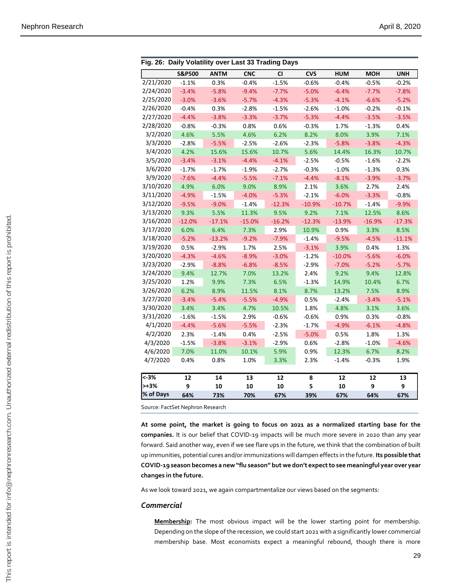|                                                                                                                                                                                              | <b>S&amp;P500</b> | <b>ANTM</b> | <b>CNC</b> | <b>CI</b>  | <b>CVS</b> | <b>HUM</b> | <b>MOH</b>                                                                                        | <b>UNH</b> |
|----------------------------------------------------------------------------------------------------------------------------------------------------------------------------------------------|-------------------|-------------|------------|------------|------------|------------|---------------------------------------------------------------------------------------------------|------------|
| 2/21/2020                                                                                                                                                                                    | $-1.1%$           | 0.3%        | $-0.4%$    | $-1.5%$    | $-0.6%$    | $-0.4%$    | $-0.5%$                                                                                           | $-0.2%$    |
| 2/24/2020                                                                                                                                                                                    | $-3.4%$           | $-5.8%$     | $-9.4%$    | $-7.7%$    | $-5.0%$    | $-6.4%$    | $-7.7%$                                                                                           | $-7.8%$    |
| 2/25/2020                                                                                                                                                                                    | $-3.0%$           | $-3.6%$     | $-5.7%$    | $-4.3%$    | $-5.3%$    | $-4.1%$    | $-6.6%$                                                                                           | $-5.2%$    |
| 2/26/2020                                                                                                                                                                                    | $-0.4%$           | 0.3%        | $-2.8%$    | $-1.5%$    | $-2.6%$    | $-1.0%$    | $-0.2%$                                                                                           | $-0.1%$    |
| 2/27/2020                                                                                                                                                                                    | $-4.4%$           | $-3.8%$     | $-3.3%$    | $-3.7%$    | $-5.3%$    | $-4.4%$    | $-3.5%$                                                                                           | $-3.5%$    |
| 2/28/2020                                                                                                                                                                                    | $-0.8%$           | $-0.3%$     | 0.8%       | 0.6%       | $-0.3%$    | 1.7%       | $-1.3%$                                                                                           | 0.4%       |
| 3/2/2020                                                                                                                                                                                     | 4.6%              | 5.5%        | 4.6%       | 6.2%       | 8.2%       | 8.0%       | 3.9%                                                                                              | 7.1%       |
| 3/3/2020                                                                                                                                                                                     | $-2.8%$           | $-5.5%$     | $-2.5%$    | $-2.6%$    | $-2.3%$    | $-5.8%$    | $-3.8%$                                                                                           | $-4.3%$    |
| 3/4/2020                                                                                                                                                                                     | 4.2%              | 15.6%       | 15.6%      | 10.7%      | 5.6%       | 14.4%      | 16.3%                                                                                             | 10.7%      |
| 3/5/2020                                                                                                                                                                                     | $-3.4%$           | $-3.1%$     | $-4.4%$    | $-4.1%$    | $-2.5%$    | $-0.5%$    | $-1.6%$                                                                                           | $-2.2%$    |
| 3/6/2020                                                                                                                                                                                     | $-1.7%$           | $-1.7%$     | $-1.9%$    | $-2.7%$    | $-0.3%$    | $-1.0%$    | $-1.3%$                                                                                           | 0.3%       |
| 3/9/2020                                                                                                                                                                                     | $-7.6%$           | $-4.4%$     | $-5.5%$    | $-7.1%$    | $-4.4%$    | $-8.1%$    | $-3.9%$                                                                                           | $-3.7%$    |
| 3/10/2020                                                                                                                                                                                    | 4.9%              | 6.0%        | 9.0%       | 8.9%       | 2.1%       | 3.6%       | 2.7%                                                                                              | 2.4%       |
| 3/11/2020                                                                                                                                                                                    | $-4.9%$           | $-1.5%$     | $-4.0%$    | $-5.3%$    | $-2.1%$    | $-6.0%$    | $-3.3%$                                                                                           | $-0.8%$    |
| 3/12/2020                                                                                                                                                                                    | $-9.5%$           | $-9.0%$     | $-1.4%$    | $-12.3%$   | $-10.9%$   | $-10.7%$   | $-1.4%$                                                                                           | $-9.9%$    |
| 3/13/2020                                                                                                                                                                                    | 9.3%              | 5.5%        | 11.3%      | 9.5%       | 9.2%       | 7.1%       | 12.5%                                                                                             | 8.6%       |
| 3/16/2020                                                                                                                                                                                    | $-12.0%$          | $-17.1%$    | $-15.0%$   | $-16.2%$   | $-12.3%$   | $-13.9%$   | $-16.9%$                                                                                          | $-17.3%$   |
| 3/17/2020                                                                                                                                                                                    | 6.0%              | 6.4%        | 7.3%       | 2.9%       | 10.9%      | 0.9%       | 3.3%                                                                                              | 8.5%       |
| 3/18/2020                                                                                                                                                                                    | $-5.2%$           | $-13.2%$    | $-9.2%$    | $-7.9%$    | $-1.4%$    | $-9.5%$    | $-4.5%$                                                                                           | $-11.1%$   |
| 3/19/2020                                                                                                                                                                                    | 0.5%              | $-2.9%$     | 1.7%       | 2.5%       | $-3.1%$    | 3.9%       | 0.4%                                                                                              | 1.3%       |
| 3/20/2020                                                                                                                                                                                    | $-4.3%$           | $-4.6%$     | $-8.9%$    | $-3.0%$    | $-1.2%$    | $-10.0%$   | $-5.6%$                                                                                           | $-6.0%$    |
| 3/23/2020                                                                                                                                                                                    | $-2.9%$           | $-8.8%$     | $-6.8%$    | $-8.5%$    | $-2.9%$    | $-7.0%$    | $-5.2%$                                                                                           | $-5.7%$    |
| 3/24/2020                                                                                                                                                                                    | 9.4%              | 12.7%       | 7.0%       | 13.2%      | 2.4%       | 9.2%       | 9.4%                                                                                              | 12.8%      |
| 3/25/2020                                                                                                                                                                                    | 1.2%              | 9.9%        | 7.3%       | 6.5%       | $-1.3%$    | 14.9%      | 10.4%                                                                                             | 6.7%       |
| 3/26/2020                                                                                                                                                                                    | 6.2%              | 8.9%        | 11.5%      | 8.1%       | 8.7%       | 13.2%      | 7.5%                                                                                              | 8.9%       |
| 3/27/2020                                                                                                                                                                                    | $-3.4%$           | $-5.4%$     | $-5.5%$    | $-4.9%$    | 0.5%       | $-2.4%$    | $-3.4%$                                                                                           | $-5.1%$    |
| 3/30/2020                                                                                                                                                                                    | 3.4%              | 3.4%        | 4.7%       | 10.5%      | 1.8%       | 4.8%       | 3.1%                                                                                              | 3.6%       |
| 3/31/2020                                                                                                                                                                                    | $-1.6%$           | $-1.5%$     | 2.9%       | $-0.6%$    | $-0.6%$    | 0.9%       | 0.3%                                                                                              | $-0.8%$    |
| 4/1/2020                                                                                                                                                                                     | $-4.4%$           | $-5.6%$     | $-5.5%$    | $-2.3%$    | $-1.7%$    | $-4.9%$    | $-6.1%$                                                                                           | $-4.8%$    |
| 4/2/2020                                                                                                                                                                                     | 2.3%              | $-1.4%$     | 0.4%       | $-2.5%$    | $-5.0%$    | 0.5%       | 1.8%                                                                                              | 1.3%       |
| 4/3/2020                                                                                                                                                                                     | $-1.5%$           | $-3.8%$     | $-3.1%$    | $-2.9%$    | 0.6%       | $-2.8%$    | $-1.0%$                                                                                           | $-4.6%$    |
| 4/6/2020                                                                                                                                                                                     | 7.0%              | 11.0%       | 10.1%      | 5.9%       | 0.9%       | 12.3%      | 6.7%                                                                                              | 8.2%       |
| 4/7/2020                                                                                                                                                                                     | 0.4%              | 0.8%        | 1.0%       | 3.3%       | 2.3%       | $-1.4%$    | $-0.3%$                                                                                           | 1.9%       |
| $\overline{\left(-3\right)}$                                                                                                                                                                 | 12                | 14          | 13         | ${\bf 12}$ | 8          | 12         | ${\bf 12}$                                                                                        | 13         |
| $> +3\%$                                                                                                                                                                                     | 9                 | 10          | ${\bf 10}$ | ${\bf 10}$ | 5          | 10         | 9                                                                                                 | 9          |
| % of Days                                                                                                                                                                                    | 64%               | 73%         | 70%        | 67%        | 39%        | 67%        | 64%                                                                                               | 67%        |
| Source: FactSet Nephron Research                                                                                                                                                             |                   |             |            |            |            |            |                                                                                                   |            |
| At some point, the market is going to focus on 2021 as a normalized starting base for the<br>companies. It is our belief that COVID-19 impacts will be much more severe in 2020 than any yea |                   |             |            |            |            |            |                                                                                                   |            |
| forward. Said another way, even if we see flare ups in the future, we think that the combination of buil                                                                                     |                   |             |            |            |            |            |                                                                                                   |            |
| up immunities, potential cures and/or immunizations will dampen effects in the future. Its possible that                                                                                     |                   |             |            |            |            |            |                                                                                                   |            |
| COVID-19 season becomes a new "flu season" but we don't expect to see meaningful year over yea                                                                                               |                   |             |            |            |            |            |                                                                                                   |            |
| changes in the future.                                                                                                                                                                       |                   |             |            |            |            |            |                                                                                                   |            |
| As we look toward 2021, we again compartmentalize our views based on the segments:                                                                                                           |                   |             |            |            |            |            |                                                                                                   |            |
| Commercial                                                                                                                                                                                   |                   |             |            |            |            |            |                                                                                                   |            |
|                                                                                                                                                                                              |                   |             |            |            |            |            |                                                                                                   |            |
|                                                                                                                                                                                              |                   |             |            |            |            |            | Membership: The most obvious impact will be the lower starting point for membership               |            |
|                                                                                                                                                                                              |                   |             |            |            |            |            | Depending on the slope of the recession, we could start 2021 with a significantly lower commercia |            |
|                                                                                                                                                                                              |                   |             |            |            |            |            | membership base. Most economists expect a meaningful rebound, though there is more                |            |

|  | Fig. 26: Daily Volatility over Last 33 Trading Days |
|--|-----------------------------------------------------|

#### *Commercial*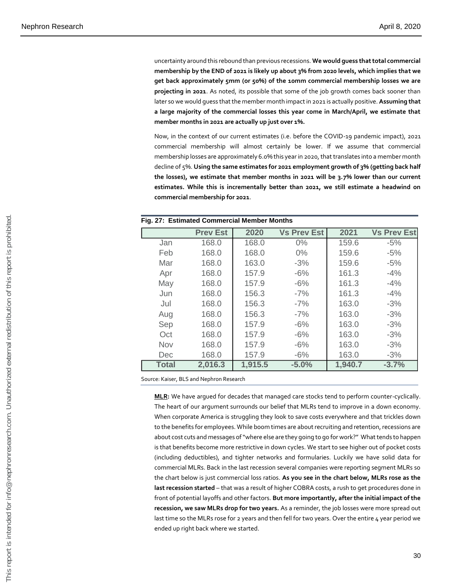uncertainty around this rebound than previous recessions. **We would guess that total commercial membership by the END of 2021 is likely up about 3% from 2020 levels, which implies that we get back approximately 5mm (or 50%) of the 10mm commercial membership losses we are projecting in 2021**. As noted, its possible that some of the job growth comes back sooner than later so we would guess that the member month impact in 2021 is actually positive. **Assuming that a large majority of the commercial losses this year come in March/April, we estimate that member months in 2021 are actually up just over 1%.**

Now, in the context of our current estimates (i.e. before the COVID-19 pandemic impact), 2021 commercial membership will almost certainly be lower. If we assume that commercial membership losses are approximately 6.0% this year in 2020, that translates into a member month decline of 5%. **Using the same estimates for 2021 employment growth of 3% (getting back half the losses), we estimate that member months in 2021 will be 3.7% lower than our current estimates. While this is incrementally better than 2021, we still estimate a headwind on commercial membership for 2021**.

|              |                                       |         | Fig. 27: Estimated Commercial Member Months                                                                                                                                                                                                                                                             |         |                                                                                             |
|--------------|---------------------------------------|---------|---------------------------------------------------------------------------------------------------------------------------------------------------------------------------------------------------------------------------------------------------------------------------------------------------------|---------|---------------------------------------------------------------------------------------------|
|              | <b>Prev Est</b>                       | 2020    | <b>Vs Prev Est</b>                                                                                                                                                                                                                                                                                      | 2021    | <b>Vs Prev Est</b>                                                                          |
| Jan          | 168.0                                 | 168.0   | $0\%$                                                                                                                                                                                                                                                                                                   | 159.6   | $-5%$                                                                                       |
| Feb          | 168.0                                 | 168.0   | $0\%$                                                                                                                                                                                                                                                                                                   | 159.6   | $-5%$                                                                                       |
| Mar          | 168.0                                 | 163.0   | $-3%$                                                                                                                                                                                                                                                                                                   | 159.6   | $-5%$                                                                                       |
| Apr          | 168.0                                 | 157.9   | $-6%$                                                                                                                                                                                                                                                                                                   | 161.3   | $-4%$                                                                                       |
| May          | 168.0                                 | 157.9   | $-6%$                                                                                                                                                                                                                                                                                                   | 161.3   | $-4%$                                                                                       |
| Jun          | 168.0                                 | 156.3   | $-7%$                                                                                                                                                                                                                                                                                                   | 161.3   | $-4%$                                                                                       |
| Jul          | 168.0                                 | 156.3   | $-7%$                                                                                                                                                                                                                                                                                                   | 163.0   | $-3%$                                                                                       |
| Aug          | 168.0                                 | 156.3   | $-7%$                                                                                                                                                                                                                                                                                                   | 163.0   | $-3%$                                                                                       |
|              | 168.0                                 | 157.9   | $-6%$                                                                                                                                                                                                                                                                                                   | 163.0   | $-3%$                                                                                       |
| Sep          |                                       |         |                                                                                                                                                                                                                                                                                                         | 163.0   |                                                                                             |
| Oct          | 168.0                                 | 157.9   | $-6%$                                                                                                                                                                                                                                                                                                   |         | $-3%$                                                                                       |
| Nov          | 168.0                                 | 157.9   | $-6%$                                                                                                                                                                                                                                                                                                   | 163.0   | $-3%$                                                                                       |
| Dec          | 168.0                                 | 157.9   | $-6%$                                                                                                                                                                                                                                                                                                   | 163.0   | $-3%$                                                                                       |
| <b>Total</b> | 2,016.3                               | 1,915.5 | $-5.0%$                                                                                                                                                                                                                                                                                                 | 1,940.7 | $-3.7%$                                                                                     |
|              |                                       |         | The heart of our argument surrounds our belief that MLRs tend to improve in a down economy<br>When corporate America is struggling they look to save costs everywhere and that trickles down<br>to the benefits for employees. While boom times are about recruiting and retention, recessions are      |         |                                                                                             |
|              |                                       |         | about cost cuts and messages of "where else are they going to go for work?" What tends to happer<br>is that benefits become more restrictive in down cycles. We start to see higher out of pocket cost:<br>(including deductibles), and tighter networks and formularies. Luckily we have solid data fo |         | MLR: We have argued for decades that managed care stocks tend to perform counter-cyclically |
|              |                                       |         | commercial MLRs. Back in the last recession several companies were reporting segment MLRs so<br>the chart below is just commercial loss ratios. As you see in the chart below, MLRs rose as the                                                                                                         |         |                                                                                             |
|              |                                       |         | last recession started - that was a result of higher COBRA costs, a rush to get procedures done in                                                                                                                                                                                                      |         |                                                                                             |
|              |                                       |         |                                                                                                                                                                                                                                                                                                         |         |                                                                                             |
|              |                                       |         | front of potential layoffs and other factors. But more importantly, after the initial impact of the                                                                                                                                                                                                     |         |                                                                                             |
|              |                                       |         | recession, we saw MLRs drop for two years. As a reminder, the job losses were more spread out                                                                                                                                                                                                           |         |                                                                                             |
|              |                                       |         | last time so the MLRs rose for 2 years and then fell for two years. Over the entire 4 year period we                                                                                                                                                                                                    |         |                                                                                             |
|              | ended up right back where we started. |         |                                                                                                                                                                                                                                                                                                         |         |                                                                                             |
|              |                                       |         |                                                                                                                                                                                                                                                                                                         |         |                                                                                             |
|              |                                       |         |                                                                                                                                                                                                                                                                                                         |         | 3 <sub>0</sub>                                                                              |
|              |                                       |         |                                                                                                                                                                                                                                                                                                         |         |                                                                                             |

#### **Fig. 27: Estimated Commercial Member Months**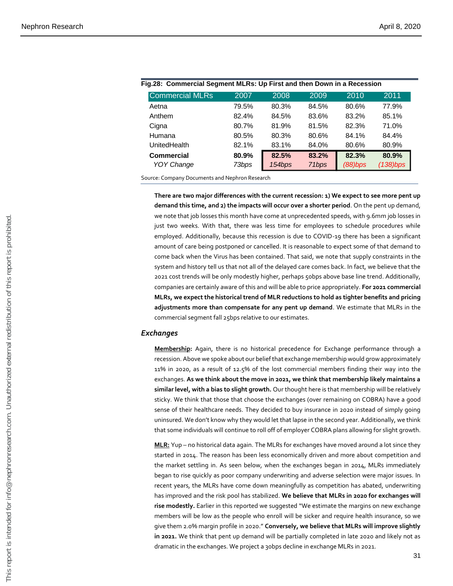| <b>Commercial MLRs</b> | 2007  | 2008   | 2009  | 2010    | 2011        |
|------------------------|-------|--------|-------|---------|-------------|
| Aetna                  | 79.5% | 80.3%  | 84.5% | 80.6%   | 77.9%       |
| Anthem                 | 82.4% | 84.5%  | 83.6% | 83.2%   | 85.1%       |
| Cigna                  | 80.7% | 81.9%  | 81.5% | 82.3%   | 71.0%       |
| Humana                 | 80.5% | 80.3%  | 80.6% | 84.1%   | 84.4%       |
| <b>UnitedHealth</b>    | 82.1% | 83.1%  | 84.0% | 80.6%   | 80.9%       |
| <b>Commercial</b>      | 80.9% | 82.5%  | 83.2% | 82.3%   | 80.9%       |
| <b>YOY Change</b>      | 73bps | 154bps | 71bps | (88)bps | $(138)$ bps |

| Fig.28: Commercial Segment MLRs: Up First and then Down in a Recession |       |       |       |       |                 |  |  |  |
|------------------------------------------------------------------------|-------|-------|-------|-------|-----------------|--|--|--|
| <b>Commercial MLRs</b>                                                 | 2007  | 2008  | 2009  | .2010 | 20 <sup>1</sup> |  |  |  |
| Aetna                                                                  | 79.5% | 80.3% | 84.5% | 80.6% | 77.9            |  |  |  |

Source: Company Documents and Nephron Research

**There are two major differences with the current recession: 1) We expect to see more pent up demand this time, and 2) the impacts will occur over a shorter period**. On the pent up demand, we note that job losses this month have come at unprecedented speeds, with 9.6mm job losses in just two weeks. With that, there was less time for employees to schedule procedures while employed. Additionally, because this recession is due to COVID-19 there has been a significant amount of care being postponed or cancelled. It is reasonable to expect some of that demand to come back when the Virus has been contained. That said, we note that supply constraints in the system and history tell us that not all of the delayed care comes back. In fact, we believe that the 2021 cost trends will be only modestly higher, perhaps 50bps above base line trend. Additionally, companies are certainly aware of this and will be able to price appropriately. **For 2021 commercial MLRs, we expect the historical trend of MLR reductions to hold as tighter benefits and pricing adjustments more than compensate for any pent up demand**. We estimate that MLRs in the commercial segment fall 25bps relative to our estimates.

#### *Exchanges*

**Membership:** Again, there is no historical precedence for Exchange performance through a recession. Above we spoke about our belief that exchange membership would grow approximately 11% in 2020, as a result of 12.5% of the lost commercial members finding their way into the exchanges. **As we think about the move in 2021, we think that membership likely maintains a similar level, with a bias to slight growth.** Our thought here is that membership will be relatively sticky. We think that those that choose the exchanges (over remaining on COBRA) have a good sense of their healthcare needs. They decided to buy insurance in 2020 instead of simply going uninsured. We don't know why they would let that lapse in the second year. Additionally, we think that some individuals will continue to roll off of employer COBRA plans allowing for slight growth.

**MLR:** Yup – no historical data again. The MLRs for exchanges have moved around a lot since they started in 2014. The reason has been less economically driven and more about competition and the market settling in. As seen below, when the exchanges began in 2014, MLRs immediately began to rise quickly as poor company underwriting and adverse selection were major issues. In recent years, the MLRs have come down meaningfully as competition has abated, underwriting has improved and the risk pool has stabilized. **We believe that MLRs in 2020 for exchanges will rise modestly.** Earlier in this reported we suggested "We estimate the margins on new exchange members will be low as the people who enroll will be sicker and require health insurance, so we give them 2.0% margin profile in 2020." **Conversely, we believe that MLRs will improve slightly in 2021.** We think that pent up demand will be partially completed in late 2020 and likely not as dramatic in the exchanges. We project a 30bps decline in exchange MLRs in 2021.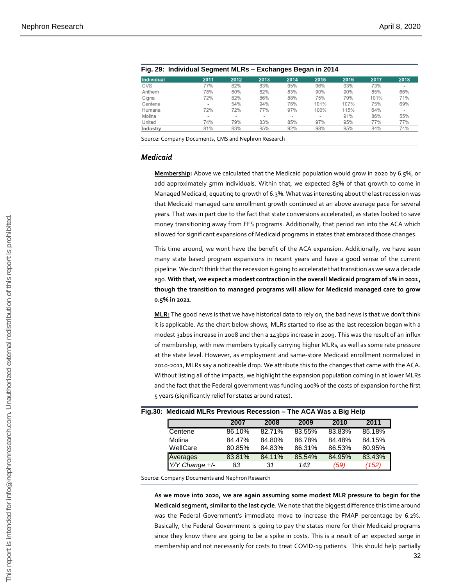|                   | Fig. 29: Individual Segment MLRs - Exchanges Began in 2014 |                |                          |                          |                          |      |      |                          |
|-------------------|------------------------------------------------------------|----------------|--------------------------|--------------------------|--------------------------|------|------|--------------------------|
| <b>Individual</b> | 2011                                                       | 2012           | 2013                     | 2014                     | 2015                     | 2016 | 2017 | 2018                     |
| <b>CVS</b>        | 77%                                                        | 82%            | 83%                      | 95%                      | 96%                      | 93%  | 73%  | ٠                        |
| Anthem            | 78%                                                        | 80%            | 82%                      | 83%                      | 90%                      | 90%  | 85%  | 66%                      |
| Cigna             | 72%                                                        | 82%            | 86%                      | 88%                      | 75%                      | 79%  | 101% | 71%                      |
| Centene           | ۰                                                          | 54%            | 94%                      | 76%                      | 101%                     | 107% | 75%  | 69%                      |
| Humana            | 72%                                                        | 72%            | 77%                      | 97%                      | 100%                     | 115% | 64%  | $\overline{\phantom{a}}$ |
| Molina            | $\overline{\phantom{a}}$                                   | $\blacksquare$ | $\overline{\phantom{a}}$ | $\overline{\phantom{a}}$ | $\overline{\phantom{a}}$ | 91%  | 86%  | 55%                      |
| United            | 74%                                                        | 79%            | 83%                      | 85%                      | 97%                      | 95%  | 77%  | 77%                      |
| Industry          | 81%                                                        | 83%            | 85%                      | 92%                      | 98%                      | 95%  | 84%  | 74%                      |

Source: Company Documents, CMS and Nephron Research

#### *Medicaid*

**Membership:** Above we calculated that the Medicaid population would grow in 2020 by 6.5%, or add approximately 5mm individuals. Within that, we expected 85% of that growth to come in Managed Medicaid, equating to growth of 6.3%. What was interesting about the last recession was that Medicaid managed care enrollment growth continued at an above average pace for several years. That was in part due to the fact that state conversions accelerated, as states looked to save money transitioning away from FFS programs. Additionally, that period ran into the ACA which allowed for significant expansions of Medicaid programs in states that embraced those changes.

This time around, we wont have the benefit of the ACA expansion. Additionally, we have seen many state based program expansions in recent years and have a good sense of the current pipeline. We don't think that the recession is going to accelerate that transition as we saw a decade ago. **With that, we expect a modest contraction in the overall Medicaid program of 1% in 2021, though the transition to managed programs will allow for Medicaid managed care to grow 0.5% in 2021**.

**MLR:** The good news is that we have historical data to rely on, the bad news is that we don't think it is applicable. As the chart below shows, MLRs started to rise as the last recession began with a modest 31bps increase in 2008 and then a 143bps increase in 2009. This was the result of an influx of membership, with new members typically carrying higher MLRs, as well as some rate pressure at the state level. However, as employment and same-store Medicaid enrollment normalized in 2010-2011, MLRs say a noticeable drop. We attribute this to the changes that came with the ACA. Without listing all of the impacts, we highlight the expansion population coming in at lower MLRs and the fact that the Federal government was funding 100% of the costs of expansion for the first 5 years (significantly relief for states around rates). *Y/Y Change +/- <sup>83</sup> <sup>31</sup> <sup>143</sup> (59) (152)* This report is intended for info@nephronresearch.com. Unauthorized external redistribution of this report is prohibited.

| וויסט. ואופעונעמוע ואובולט דופעוטעט ולפטסטווי – וווכ אכא זעפאן וופוט |        |        |        |        |        |
|----------------------------------------------------------------------|--------|--------|--------|--------|--------|
|                                                                      | 2007   | 2008   | 2009   | 2010   | 2011   |
| Centene                                                              | 86.10% | 82.71% | 83.55% | 83.83% | 85.18% |
| Molina                                                               | 84.47% | 84.80% | 86.78% | 84.48% | 84.15% |
| WellCare                                                             | 80.85% | 84.83% | 86.31% | 86.53% | 80.95% |
| Averages                                                             | 83.81% | 84.11% | 85.54% | 84.95% | 83.43% |
| Y/Y Change +/-                                                       | 83     | 31     | 143    | (59)   | (152)  |

## **Fig.30: Medicaid MLRs Previous Recession – The ACA Was a Big Help**

Source: Company Documents and Nephron Research

**As we move into 2020, we are again assuming some modest MLR pressure to begin for the Medicaid segment, similar to the last cycle**. We note that the biggest difference this time around was the Federal Government's immediate move to increase the FMAP percentage by 6.2%. Basically, the Federal Government is going to pay the states more for their Medicaid programs since they know there are going to be a spike in costs. This is a result of an expected surge in membership and not necessarily for costs to treat COVID-19 patients. This should help partially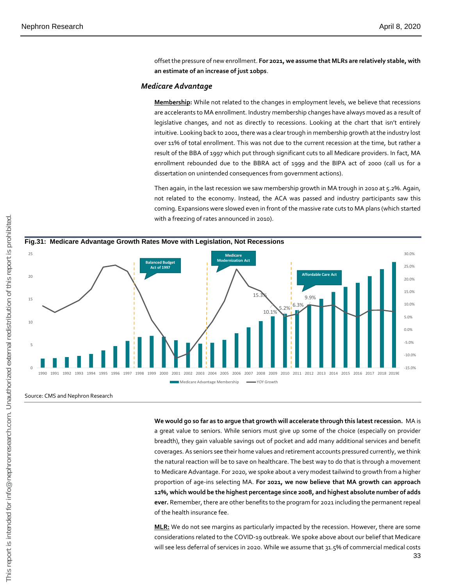offset the pressure of new enrollment. **For 2021, we assume that MLRs are relatively stable, with an estimate of an increase of just 10bps**.

#### *Medicare Advantage*

**Membership:** While not related to the changes in employment levels, we believe that recessions are accelerants to MA enrollment. Industry membership changes have always moved as a result of legislative changes, and not as directly to recessions. Looking at the chart that isn't entirely intuitive. Looking back to 2001, there was a clear trough in membership growth at the industry lost over 11% of total enrollment. This was not due to the current recession at the time, but rather a result of the BBA of 1997 which put through significant cuts to all Medicare providers. In fact, MA enrollment rebounded due to the BBRA act of 1999 and the BIPA act of 2000 (call us for a dissertation on unintended consequences from government actions).

Then again, in the last recession we saw membership growth in MA trough in 2010 at 5.2%. Again, not related to the economy. Instead, the ACA was passed and industry participants saw this coming. Expansions were slowed even in front of the massive rate cuts to MA plans (which started with a freezing of rates announced in 2010).



#### Source: CMS and Nephron Research

**We would go so far as to argue that growth will accelerate through this latest recession.** MA is a great value to seniors. While seniors must give up some of the choice (especially on provider breadth), they gain valuable savings out of pocket and add many additional services and benefit coverages. As seniors see their home values and retirement accounts pressured currently, we think the natural reaction will be to save on healthcare. The best way to do that is through a movement to Medicare Advantage. For 2020, we spoke about a very modest tailwind to growth from a higher proportion of age-ins selecting MA. **For 2021, we now believe that MA growth can approach 12%, which would be the highest percentage since 2008, and highest absolute number of adds ever.** Remember, there are other benefits to the program for 2021 including the permanent repeal of the health insurance fee.

**MLR:** We do not see margins as particularly impacted by the recession. However, there are some considerations related to the COVID-19 outbreak. We spoke above about our belief that Medicare will see less deferral of services in 2020. While we assume that 31.5% of commercial medical costs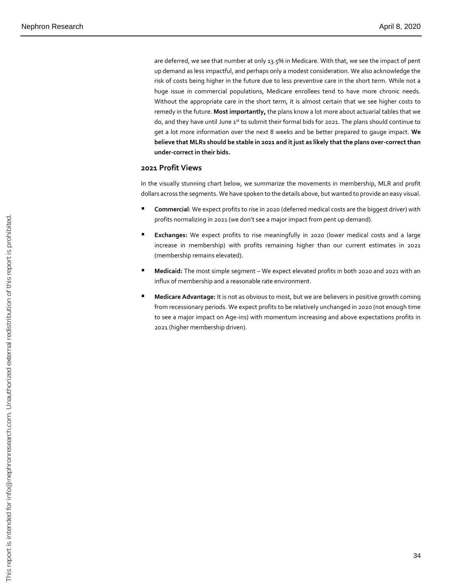are deferred, we see that number at only 13.5% in Medicare. With that, we see the impact of pent up demand as less impactful, and perhaps only a modest consideration. We also acknowledge the risk of costs being higher in the future due to less preventive care in the short term. While not a huge issue in commercial populations, Medicare enrollees tend to have more chronic needs. Without the appropriate care in the short term, it is almost certain that we see higher costs to remedy in the future. **Most importantly,** the plans know a lot more about actuarial tables that we do, and they have until June 1st to submit their formal bids for 2021. The plans should continue to get a lot more information over the next 8 weeks and be better prepared to gauge impact. **We believe that MLRs should be stable in 2021 and it just as likely that the plans over-correct than under-correct in their bids.**

#### **2021 Profit Views**

In the visually stunning chart below, we summarize the movements in membership, MLR and profit dollars across the segments. We have spoken to the details above, but wanted to provide an easy visual.

- Commercial: We expect profits to rise in 2020 (deferred medical costs are the biggest driver) with profits normalizing in 2021 (we don't see a major impact from pent up demand).
- **Exchanges:** We expect profits to rise meaningfully in 2020 (lower medical costs and a large increase in membership) with profits remaining higher than our current estimates in 2021 (membership remains elevated).
- **Medicaid:** The most simple segment We expect elevated profits in both 2020 and 2021 with an influx of membership and a reasonable rate environment.
- **Medicare Advantage:** It is not as obvious to most, but we are believers in positive growth coming from recessionary periods. We expect profits to be relatively unchanged in 2020 (not enough time to see a major impact on Age-ins) with momentum increasing and above expectations profits in 2021 (higher membership driven).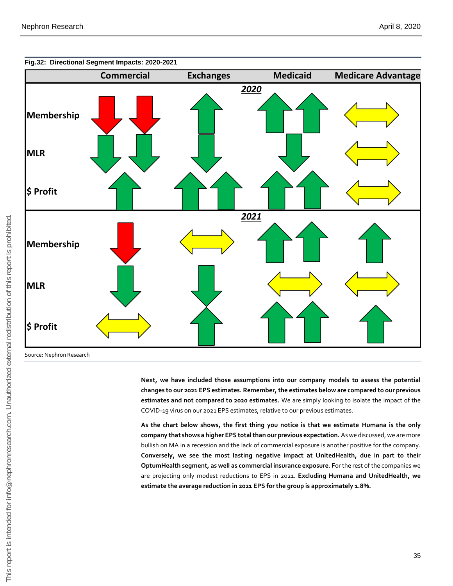

**Fig.32: Directional Segment Impacts: 2020-2021**

Source: Nephron Research

**Next, we have included those assumptions into our company models to assess the potential changes to our 2021 EPS estimates. Remember, the estimates below are compared to our previous estimates and not compared to 2020 estimates.** We are simply looking to isolate the impact of the COVID-19 virus on our 2021 EPS estimates, relative to our previous estimates.

**As the chart below shows, the first thing you notice is that we estimate Humana is the only company that shows a higher EPS total than our previous expectation.** As we discussed, we are more bullish on MA in a recession and the lack of commercial exposure is another positive for the company. **Conversely, we see the most lasting negative impact at UnitedHealth, due in part to their OptumHealth segment, as well as commercial insurance exposure**. For the rest of the companies we are projecting only modest reductions to EPS in 2021. **Excluding Humana and UnitedHealth, we estimate the average reduction in 2021 EPS for the group is approximately 1.8%.**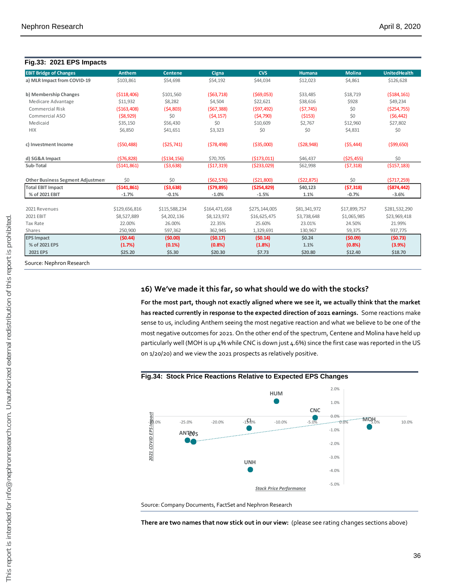#### **Fig.33: 2021 EPS Impacts EBIT Bridge of Changes Anthem Centene Cigna CVS Humana Molina UnitedHealth a) MLR Impact from COVID-19** \$103,861 \$54,698 \$54,192 \$44,034 \$12,023 \$4,861 \$126,628 **b)** Membership Changes (\$118,406) \$101,560 (\$63,718) (\$69,053) \$33,485 \$18,719 (\$184,161) Medicare Advantage  $$11,932$   $$8,282$   $$4,504$   $$22,621$   $$38,616$   $$928$   $$49,234$ Commercial Risk (\$163,408) (\$4,803) (\$67,388) (\$97,492) (\$7,745) \$0 (\$254,755) Commercial ASO (\$8,929) \$0 (\$4,157) (\$4,790) (\$153) \$0 (\$6,442) Medicaid \$35,150 \$56,430 \$0 \$10,609 \$2,767 \$12,960 \$27,802 HIX \$6,850 \$41,651 \$3,323 \$0 \$0 \$4,831 \$0 **c) Investment Income** (\$50,488) (\$25,741) (\$78,498) (\$35,000) (\$28,948) (\$5,444) (\$99,650) **d) SG&A Impact** (\$76,828) (\$134,156) \$70,705 (\$173,011) \$46,437 (\$25,455) \$0 **Sub-Total** (\$141,861) (\$3,638) (\$17,319) (\$233,029) \$62,998 (\$7,318) (\$157,183) **Other Business Segment Adjustmen** \$0 \$0 (\$62,576) (\$21,800) (\$22,875) \$0 (\$717,259) **Total EBIT Impact (\$141,861) (\$3,638) (\$79,895) (\$254,829) \$40,123 (\$7,318) (\$874,442) % of 2021 EBIT -1.7% -0.1% -1.0% -1.5% 1.1% -0.7% -3.6%** 2021 Revenues \$129,656,816 \$115,588,234 \$164,471,658 \$275,144,005 \$81,341,972 \$17,899,757 \$281,532,290 2021 EBIT \$8,527,889 \$4,202,136 \$8,123,972 \$16,625,475 \$3,738,648 \$1,065,985 \$23,969,418 Tax Rate 22.00% 26.00% 22.35% 25.60% 23.01% 24.50% 21.99% Shares 250,900 597,362 362,945 1,329,691 30,967 59,375 937,775 367,775 362,945 59,375 59,375 37,775 59,375 59,375 **EPS Impact (\$0.44) (\$0.00) (\$0.17) (\$0.14) \$0.24 (\$0.09) (\$0.73) % of 2021 EPS (1.7%) (0.1%) (0.8%) (1.8%) 1.1% (0.8%) (3.9%) 2021 EPS \$25.20 \$5.30 \$20.30 \$7.73 \$20.80 \$12.40 \$18.70**

Source: Nephron Research

#### **16) We've made it this far, so what should we do with the stocks?**

**For the most part, though not exactly aligned where we see it, we actually think that the market has reacted currently in response to the expected direction of 2021 earnings.** Some reactions make sense to us, including Anthem seeing the most negative reaction and what we believe to be one of the most negative outcomes for 2021. On the other end of the spectrum, Centene and Molina have held up particularly well (MOH is up 4% while CNC is down just 4.6%) since the first case was reported in the US on 1/20/20) and we view the 2021 prospects as relatively positive.

#### **Fig.34: Stock Price Reactions Relative to Expected EPS Changes**



Source: Company Documents, FactSet and Nephron Research

**There are two names that now stick out in our view:** (please see rating changes sections above)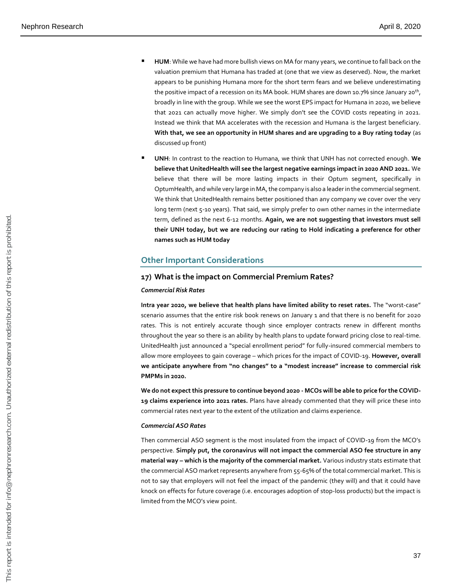- HUM: While we have had more bullish views on MA for many years, we continue to fall back on the valuation premium that Humana has traded at (one that we view as deserved). Now, the market appears to be punishing Humana more for the short term fears and we believe underestimating the positive impact of a recession on its MA book. HUM shares are down 10.7% since January 20<sup>th</sup>, broadly in line with the group. While we see the worst EPS impact for Humana in 2020, we believe that 2021 can actually move higher. We simply don't see the COVID costs repeating in 2021. Instead we think that MA accelerates with the recession and Humana is the largest beneficiary. **With that, we see an opportunity in HUM shares and are upgrading to a Buy rating today** (as discussed up front)
- **UNH**: In contrast to the reaction to Humana, we think that UNH has not corrected enough. **We believe that UnitedHealth will see the largest negative earnings impact in 2020 AND 2021.** We believe that there will be more lasting impacts in their Optum segment, specifically in OptumHealth, and while very large in MA, the company is also a leader in the commercial segment. We think that UnitedHealth remains better positioned than any company we cover over the very long term (next 5-10 years). That said, we simply prefer to own other names in the intermediate term, defined as the next 6-12 months. **Again, we are not suggesting that investors must sell their UNH today, but we are reducing our rating to Hold indicating a preference for other names such as HUM today**

#### **Other Important Considerations**

#### **17) What is the impact on Commercial Premium Rates?**

#### *Commercial Risk Rates*

**Intra year 2020, we believe that health plans have limited ability to reset rates.** The "worst-case" scenario assumes that the entire risk book renews on January 1 and that there is no benefit for 2020 rates. This is not entirely accurate though since employer contracts renew in different months throughout the year so there is an ability by health plans to update forward pricing close to real-time. UnitedHealth just announced a "special enrollment period" for fully-insured commercial members to allow more employees to gain coverage – which prices for the impact of COVID-19. **However, overall we anticipate anywhere from "no changes" to a "modest increase" increase to commercial risk PMPMs in 2020.**

**We do not expect this pressure to continue beyond 2020 - MCOs will be able to price for the COVID-19 claims experience into 2021 rates.** Plans have already commented that they will price these into commercial rates next year to the extent of the utilization and claims experience.

#### *Commercial ASO Rates*

Then commercial ASO segment is the most insulated from the impact of COVID-19 from the MCO's perspective. **Simply put, the coronavirus will not impact the commercial ASO fee structure in any material way – which is the majority of the commercial market.** Various industry stats estimate that the commercial ASO market represents anywhere from 55-65% of the total commercial market. This is not to say that employers will not feel the impact of the pandemic (they will) and that it could have knock on effects for future coverage (i.e. encourages adoption of stop-loss products) but the impact is limited from the MCO's view point.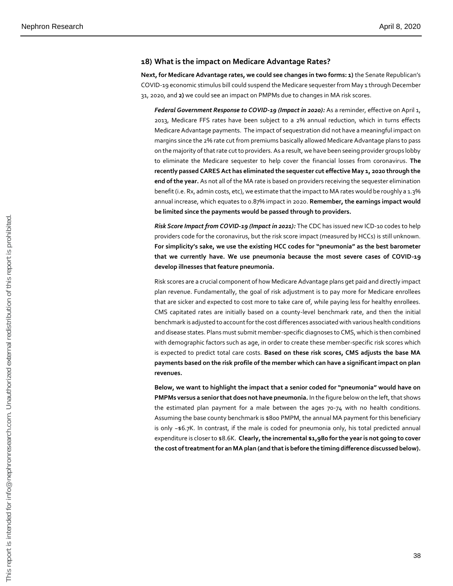#### **18) What is the impact on Medicare Advantage Rates?**

**Next, for Medicare Advantage rates, we could see changes in two forms: 1)** the Senate Republican's COVID-19 economic stimulus bill could suspend the Medicare sequester from May 1 through December 31, 2020, and **2)** we could see an impact on PMPMs due to changes in MA risk scores.

*Federal Government Response to COVID-19 (Impact in 2020):* As a reminder, effective on April 1, 2013, Medicare FFS rates have been subject to a 2% annual reduction, which in turns effects Medicare Advantage payments. The impact of sequestration did not have a meaningful impact on margins since the 2% rate cut from premiums basically allowed Medicare Advantage plans to pass on the majority of that rate cut to providers. As a result, we have been seeing provider groups lobby to eliminate the Medicare sequester to help cover the financial losses from coronavirus. **The recently passed CARES Act has eliminated the sequester cut effective May 1, 2020 through the end of the year.** As not all of the MA rate is based on providers receiving the sequester elimination benefit (i.e. Rx, admin costs, etc), we estimate that the impact to MA rates would be roughly a 1.3% annual increase, which equates to 0.87% impact in 2020. **Remember, the earnings impact would be limited since the payments would be passed through to providers.**

*Risk Score Impact from COVID-19 (Impact in 2021):* The CDC has issued new ICD-10 codes to help providers code for the coronavirus, but the risk score impact (measured by HCCs) is still unknown. **For simplicity's sake, we use the existing HCC codes for "pneumonia" as the best barometer that we currently have. We use pneumonia because the most severe cases of COVID-19 develop illnesses that feature pneumonia.**

Risk scores are a crucial component of how Medicare Advantage plans get paid and directly impact plan revenue. Fundamentally, the goal of risk adjustment is to pay more for Medicare enrollees that are sicker and expected to cost more to take care of, while paying less for healthy enrollees. CMS capitated rates are initially based on a county-level benchmark rate, and then the initial benchmark is adjusted to account for the cost differences associated with various health conditions and disease states. Plans must submit member-specific diagnoses to CMS, which is then combined with demographic factors such as age, in order to create these member-specific risk scores which is expected to predict total care costs. **Based on these risk scores, CMS adjusts the base MA payments based on the risk profile of the member which can have a significant impact on plan revenues.**

**Below, we want to highlight the impact that a senior coded for "pneumonia" would have on PMPMs versus a senior that does not have pneumonia.** In the figure below on the left, that shows the estimated plan payment for a male between the ages 70-74 with no health conditions. Assuming the base county benchmark is \$800 PMPM, the annual MA payment for this beneficiary is only ~\$6.7K. In contrast, if the male is coded for pneumonia only, his total predicted annual expenditure is closer to \$8.6K. **Clearly, the incremental \$1,980 for the year is not going to cover the cost of treatment for an MA plan (and that is before the timing difference discussed below).**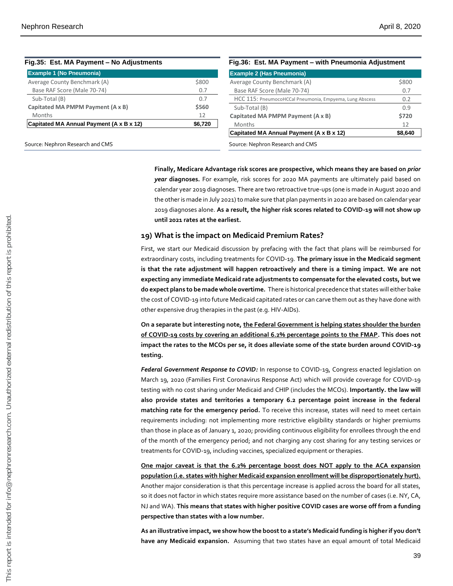| Fig.35: Est. MA Payment - No Adjustments |         | Fig.36: Est. MA Payment - with Pneumonia Adjustment     |         |
|------------------------------------------|---------|---------------------------------------------------------|---------|
| <b>Example 1 (No Pneumonia)</b>          |         | <b>Example 2 (Has Pneumonia)</b>                        |         |
| Average County Benchmark (A)             | \$800   | Average County Benchmark (A)                            | \$800   |
| Base RAF Score (Male 70-74)              | 0.7     | Base RAF Score (Male 70-74)                             | 0.7     |
| Sub-Total (B)                            | 0.7     | HCC 115: PneumocoHCCal Pneumonia, Empyema, Lung Abscess | 0.2     |
| Capitated MA PMPM Payment (A x B)        | \$560   | Sub-Total (B)                                           | 0.9     |
| Months                                   | 12      | Capitated MA PMPM Payment (A x B)                       | \$720   |
| Capitated MA Annual Payment (A x B x 12) | \$6,720 | Months                                                  | 12      |
|                                          |         | Capitated MA Annual Payment (A x B x 12)                | \$8,640 |
| Source: Nephron Research and CMS         |         | Source: Nephron Research and CMS                        |         |

**Finally, Medicare Advantage risk scores are prospective, which means they are based on** *prior year* **diagnoses.** For example, risk scores for 2020 MA payments are ultimately paid based on calendar year 2019 diagnoses. There are two retroactive true-ups (one is made in August 2020 and the other is made in July 2021) to make sure that plan payments in 2020 are based on calendar year 2019 diagnoses alone. **As a result, the higher risk scores related to COVID-19 will not show up until 2021 rates at the earliest.**

#### **19) What is the impact on Medicaid Premium Rates?**

First, we start our Medicaid discussion by prefacing with the fact that plans will be reimbursed for extraordinary costs, including treatments for COVID-19. **The primary issue in the Medicaid segment is that the rate adjustment will happen retroactively and there is a timing impact. We are not expecting any immediate Medicaid rate adjustments to compensate for the elevated costs, but we do expect plans to be made whole overtime.** There is historical precedence that states will either bake the cost of COVID-19 into future Medicaid capitated rates or can carve them out as they have done with other expensive drug therapies in the past (e.g. HIV-AIDs).

**On a separate but interesting note, the Federal Government is helping states shoulder the burden of COVID-19 costs by covering an additional 6.2% percentage points to the FMAP. This does not impact the rates to the MCOs per se, it does alleviate some of the state burden around COVID-19 testing.**

*Federal Government Response to COVID:* In response to COVID-19, Congress enacted legislation on March 19, 2020 (Families First Coronavirus Response Act) which will provide coverage for COVID-19 testing with no cost sharing under Medicaid and CHIP (includes the MCOs). **Importantly. the law will also provide states and territories a temporary 6.2 percentage point increase in the federal matching rate for the emergency period.** To receive this increase, states will need to meet certain requirements including: not implementing more restrictive eligibility standards or higher premiums than those in place as of January 1, 2020; providing continuous eligibility for enrollees through the end of the month of the emergency period; and not charging any cost sharing for any testing services or treatments for COVID-19, including vaccines, specialized equipment or therapies.

**One major caveat is that the 6.2% percentage boost does NOT apply to the ACA expansion population (i.e. states with higher Medicaid expansion enrollment will be disproportionately hurt).** Another major consideration is that this percentage increase is applied across the board for all states, so it does not factor in which states require more assistance based on the number of cases (i.e. NY, CA, NJ and WA). **This means that states with higher positive COVID cases are worse off from a funding perspective than states with a low number.**

**As an illustrative impact, we show how the boost to a state's Medicaid funding is higher if you don't have any Medicaid expansion.** Assuming that two states have an equal amount of total Medicaid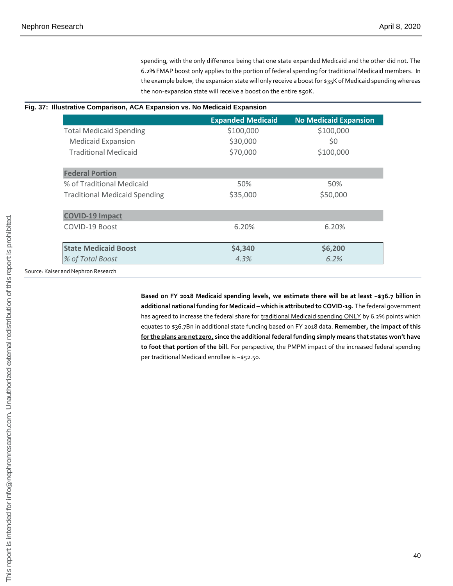spending, with the only difference being that one state expanded Medicaid and the other did not. The 6.2% FMAP boost only applies to the portion of federal spending for traditional Medicaid members. In the example below, the expansion state will only receive a boost for \$35K of Medicaid spending whereas the non-expansion state will receive a boost on the entire \$50K.

#### **Fig. 37: Illustrative Comparison, ACA Expansion vs. No Medicaid Expansion**

|                                      | <b>Expanded Medicaid</b>                                                                                                                                                                                                                                                                                                                                                                                                                                                                                                                                                                                                         | <b>No Medicaid Expansion</b> |
|--------------------------------------|----------------------------------------------------------------------------------------------------------------------------------------------------------------------------------------------------------------------------------------------------------------------------------------------------------------------------------------------------------------------------------------------------------------------------------------------------------------------------------------------------------------------------------------------------------------------------------------------------------------------------------|------------------------------|
| <b>Total Medicaid Spending</b>       | \$100,000                                                                                                                                                                                                                                                                                                                                                                                                                                                                                                                                                                                                                        | \$100,000                    |
| <b>Medicaid Expansion</b>            | \$30,000                                                                                                                                                                                                                                                                                                                                                                                                                                                                                                                                                                                                                         | \$0                          |
| <b>Traditional Medicaid</b>          | \$70,000                                                                                                                                                                                                                                                                                                                                                                                                                                                                                                                                                                                                                         | \$100,000                    |
| <b>Federal Portion</b>               |                                                                                                                                                                                                                                                                                                                                                                                                                                                                                                                                                                                                                                  |                              |
| % of Traditional Medicaid            | 50%                                                                                                                                                                                                                                                                                                                                                                                                                                                                                                                                                                                                                              | 50%                          |
| <b>Traditional Medicaid Spending</b> | \$35,000                                                                                                                                                                                                                                                                                                                                                                                                                                                                                                                                                                                                                         | \$50,000                     |
| <b>COVID-19 Impact</b>               |                                                                                                                                                                                                                                                                                                                                                                                                                                                                                                                                                                                                                                  |                              |
| COVID-19 Boost                       | 6.20%                                                                                                                                                                                                                                                                                                                                                                                                                                                                                                                                                                                                                            | 6.20%                        |
| <b>State Medicaid Boost</b>          | \$4,340                                                                                                                                                                                                                                                                                                                                                                                                                                                                                                                                                                                                                          | \$6,200                      |
| % of Total Boost                     | 4.3%                                                                                                                                                                                                                                                                                                                                                                                                                                                                                                                                                                                                                             | 6.2%                         |
| Source: Kaiser and Nephron Research  |                                                                                                                                                                                                                                                                                                                                                                                                                                                                                                                                                                                                                                  |                              |
|                                      | Based on FY 2018 Medicaid spending levels, we estimate there will be at least ~\$36.7<br>additional national funding for Medicaid - which is attributed to COVID-19. The federal got<br>has agreed to increase the federal share for traditional Medicaid spending ONLY by 6.2% poi<br>equates to \$36.7Bn in additional state funding based on FY 2018 data. Remember, the impa<br>for the plans are net zero, since the additional federal funding simply means that states w<br>to foot that portion of the bill. For perspective, the PMPM impact of the increased federal<br>per traditional Medicaid enrollee is ~\$52.50. |                              |
|                                      |                                                                                                                                                                                                                                                                                                                                                                                                                                                                                                                                                                                                                                  |                              |
|                                      |                                                                                                                                                                                                                                                                                                                                                                                                                                                                                                                                                                                                                                  |                              |
|                                      |                                                                                                                                                                                                                                                                                                                                                                                                                                                                                                                                                                                                                                  |                              |
|                                      |                                                                                                                                                                                                                                                                                                                                                                                                                                                                                                                                                                                                                                  |                              |
|                                      |                                                                                                                                                                                                                                                                                                                                                                                                                                                                                                                                                                                                                                  |                              |
|                                      |                                                                                                                                                                                                                                                                                                                                                                                                                                                                                                                                                                                                                                  |                              |
|                                      |                                                                                                                                                                                                                                                                                                                                                                                                                                                                                                                                                                                                                                  |                              |
|                                      |                                                                                                                                                                                                                                                                                                                                                                                                                                                                                                                                                                                                                                  |                              |
|                                      |                                                                                                                                                                                                                                                                                                                                                                                                                                                                                                                                                                                                                                  |                              |
|                                      |                                                                                                                                                                                                                                                                                                                                                                                                                                                                                                                                                                                                                                  |                              |
|                                      |                                                                                                                                                                                                                                                                                                                                                                                                                                                                                                                                                                                                                                  |                              |
|                                      |                                                                                                                                                                                                                                                                                                                                                                                                                                                                                                                                                                                                                                  |                              |
|                                      |                                                                                                                                                                                                                                                                                                                                                                                                                                                                                                                                                                                                                                  |                              |
|                                      |                                                                                                                                                                                                                                                                                                                                                                                                                                                                                                                                                                                                                                  |                              |
|                                      |                                                                                                                                                                                                                                                                                                                                                                                                                                                                                                                                                                                                                                  |                              |

**Based on FY 2018 Medicaid spending levels, we estimate there will be at least ~\$36.7 billion in additional national funding for Medicaid – which is attributed to COVID-19.** The federal government has agreed to increase the federal share for traditional Medicaid spending ONLY by 6.2% points which equates to \$36.7Bn in additional state funding based on FY 2018 data. **Remember, the impact of this for the plans are net zero, since the additional federal funding simply means that states won't have to foot that portion of the bill.** For perspective, the PMPM impact of the increased federal spending per traditional Medicaid enrollee is ~\$52.50.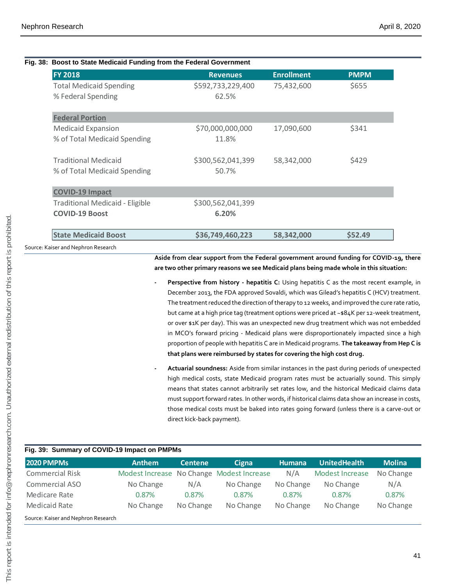|                                        | Fig. 38: Boost to State Medicaid Funding from the Federal Government |                   |             |
|----------------------------------------|----------------------------------------------------------------------|-------------------|-------------|
| <b>FY 2018</b>                         | <b>Revenues</b>                                                      | <b>Enrollment</b> | <b>PMPM</b> |
| <b>Total Medicaid Spending</b>         | \$592,733,229,400                                                    | 75,432,600        | \$655       |
| % Federal Spending                     | 62.5%                                                                |                   |             |
| <b>Federal Portion</b>                 |                                                                      |                   |             |
| <b>Medicaid Expansion</b>              | \$70,000,000,000                                                     | 17,090,600        | \$341       |
| % of Total Medicaid Spending           | 11.8%                                                                |                   |             |
| <b>Traditional Medicaid</b>            | \$300,562,041,399                                                    | 58,342,000        | \$429       |
| % of Total Medicaid Spending           | 50.7%                                                                |                   |             |
| <b>COVID-19 Impact</b>                 |                                                                      |                   |             |
| <b>Traditional Medicaid - Eligible</b> | \$300,562,041,399                                                    |                   |             |
| <b>COVID-19 Boost</b>                  | 6.20%                                                                |                   |             |
| <b>State Medicaid Boost</b>            | \$36,749,460,223                                                     | 58,342,000        | \$52.49     |

- **- Perspective from history - hepatitis C:** Using hepatitis C as the most recent example, in December 2013, the FDA approved Sovaldi, which was Gilead's hepatitis C (HCV) treatment. The treatment reduced the direction of therapy to 12 weeks, and improved the cure rate ratio, but came at a high price tag (treatment options were priced at ~\$84K per 12-week treatment, or over \$1K per day). This was an unexpected new drug treatment which was not embedded in MCO's forward pricing - Medicaid plans were disproportionately impacted since a high proportion of people with hepatitis C are in Medicaid programs. **The takeaway from Hep C is that plans were reimbursed by states for covering the high cost drug.**
- **- Actuarial soundness:** Aside from similar instances in the past during periods of unexpected high medical costs, state Medicaid program rates must be actuarially sound. This simply means that states cannot arbitrarily set rates low, and the historical Medicaid claims data must support forward rates. In other words, if historical claims data show an increase in costs, those medical costs must be baked into rates going forward (unless there is a carve-out or direct kick-back payment).

|                   | Source: Kaiser and Nephron Research          |               |                            |                                                                       |                  |                                                                                                                                                                                                                                                                                                                                                                                                                                                                                                                                                                                                                                                                           |                                     |
|-------------------|----------------------------------------------|---------------|----------------------------|-----------------------------------------------------------------------|------------------|---------------------------------------------------------------------------------------------------------------------------------------------------------------------------------------------------------------------------------------------------------------------------------------------------------------------------------------------------------------------------------------------------------------------------------------------------------------------------------------------------------------------------------------------------------------------------------------------------------------------------------------------------------------------------|-------------------------------------|
|                   |                                              |               |                            |                                                                       |                  | Aside from clear support from the Federal government around funding for COVID-19, there<br>are two other primary reasons we see Medicaid plans being made whole in this situation:                                                                                                                                                                                                                                                                                                                                                                                                                                                                                        |                                     |
|                   |                                              |               |                            |                                                                       |                  | Perspective from history - hepatitis C: Using hepatitis C as the most recent example, in<br>December 2013, the FDA approved Sovaldi, which was Gilead's hepatitis C (HCV) treatment.<br>The treatment reduced the direction of therapy to 12 weeks, and improved the cure rate ratio,<br>but came at a high price tag (treatment options were priced at ~\$84K per 12-week treatment,<br>or over \$1K per day). This was an unexpected new drug treatment which was not embedded<br>in MCO's forward pricing - Medicaid plans were disproportionately impacted since a high<br>proportion of people with hepatitis C are in Medicaid programs. The takeaway from Hep C is |                                     |
|                   |                                              |               |                            | that plans were reimbursed by states for covering the high cost drug. |                  |                                                                                                                                                                                                                                                                                                                                                                                                                                                                                                                                                                                                                                                                           |                                     |
|                   |                                              |               |                            |                                                                       |                  | Actuarial soundness: Aside from similar instances in the past during periods of unexpected                                                                                                                                                                                                                                                                                                                                                                                                                                                                                                                                                                                |                                     |
|                   |                                              |               | direct kick-back payment). |                                                                       |                  | high medical costs, state Medicaid program rates must be actuarially sound. This simply<br>means that states cannot arbitrarily set rates low, and the historical Medicaid claims data<br>must support forward rates. In other words, if historical claims data show an increase in costs,<br>those medical costs must be baked into rates going forward (unless there is a carve-out or                                                                                                                                                                                                                                                                                  |                                     |
|                   | Fig. 39: Summary of COVID-19 Impact on PMPMs |               |                            |                                                                       |                  |                                                                                                                                                                                                                                                                                                                                                                                                                                                                                                                                                                                                                                                                           |                                     |
| <b>2020 PMPMs</b> | <b>Commercial Risk</b>                       | <b>Anthem</b> | <b>Centene</b>             | <b>Cigna</b>                                                          | <b>Humana</b>    | <b>UnitedHealth</b><br><b>Modest Increase</b>                                                                                                                                                                                                                                                                                                                                                                                                                                                                                                                                                                                                                             |                                     |
|                   | Commercial ASO                               | No Change     | N/A                        | Modest Increase No Change Modest Increase<br>No Change                | N/A<br>No Change | No Change                                                                                                                                                                                                                                                                                                                                                                                                                                                                                                                                                                                                                                                                 | N/A                                 |
| Medicare Rate     |                                              | 0.87%         | 0.87%                      | 0.87%                                                                 | 0.87%            | 0.87%                                                                                                                                                                                                                                                                                                                                                                                                                                                                                                                                                                                                                                                                     | <b>Molina</b><br>No Change<br>0.87% |
| Medicaid Rate     |                                              | No Change     | No Change                  | No Change                                                             | No Change        | No Change                                                                                                                                                                                                                                                                                                                                                                                                                                                                                                                                                                                                                                                                 | No Change                           |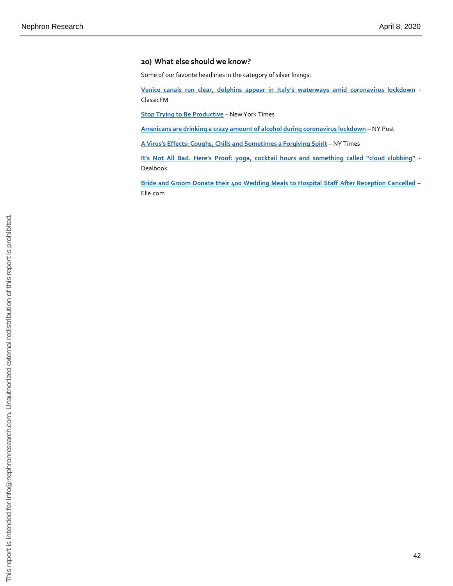#### **20) What else should we know?**

Some of our favorite headlines in the category of silver linings:

**[Venice canals run clear, dolphins appear in Italy's waterways amid coronav](https://www.classicfm.com/music-news/coronavirus/venice-canals-clear-dolphins-swim-italy-lockdown/)irus lockdown** - ClassicFM

**[Stop Trying to Be Productive](https://www.nytimes.com/2020/04/01/style/productivity-coronavirus.html)** – New York Times

**[Americans are drinking a crazy amount of alcohol during coronavirus lockdown](https://nypost.com/2020/03/31/americans-drinking-crazy-amount-of-alcohol-during-coronavirus-lockdown/)** – NY Post

**[A Virus's Effects: Coughs, Chills and Sometimes a Forgiving Spirit](https://www.nytimes.com/2020/03/27/us/coronavirus-evictions-jails-stimulus.html)** – NY Times

**[It's Not All Bad. Here's Proof: yoga, cocktail hours and something called "cloud clubbing"](https://www.nytimes.com/2020/03/27/business/dealbook/coronavirus-company-stories.html)** - Dealbook

**[Bride and Groom Donate their 400 Wedding Meals to Hospital Staff](https://www.elle.com/uk/life-and-culture/g31658888/coronavirus-covid-19-good-news/) After Reception Cancelled** – Elle.com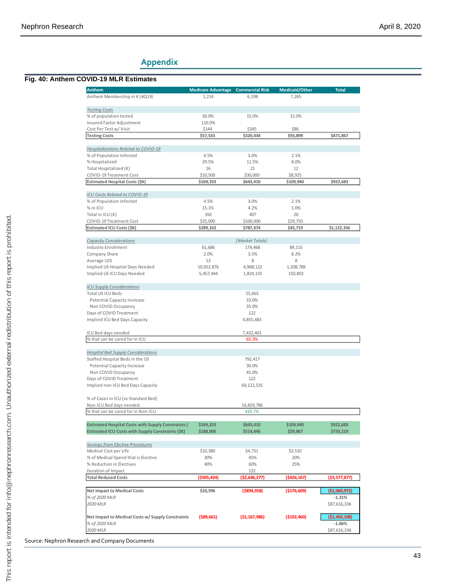## **Appendix**

#### **Fig. 40: Anthem COVID -19 MLR Estimates**

| <b>Anthem</b>                                                         | <b>Medicare Advantage</b> | <b>Commercial Risk</b> | Medicaid/Other | <b>Total</b>                                    |
|-----------------------------------------------------------------------|---------------------------|------------------------|----------------|-------------------------------------------------|
| Anthem Membership in K (4Q19)                                         | 1,214                     | 6,198                  | 7,265          |                                                 |
|                                                                       |                           |                        |                |                                                 |
| <b>Testing Costs</b>                                                  | 30.0%                     | 15.0%                  | 15.0%          |                                                 |
| % of population tested<br>Insured Factor Adjustment                   | 110.0%                    |                        |                |                                                 |
| Cost Per Test w/ Visit                                                | \$144                     | \$345                  | \$86           |                                                 |
| <b>Testing Costs</b>                                                  | \$57,533                  | \$320,434              | \$93,899       | \$471,867                                       |
|                                                                       |                           |                        |                |                                                 |
| Hospitalizations Related to COVID-19                                  |                           |                        |                |                                                 |
| % of Population Infected                                              | 4.5%                      | 3.0%                   | 2.1%           |                                                 |
| % Hospitalized                                                        | 29.5%                     | 11.5%                  | 8.0%           |                                                 |
| Total Hospitalized (K)                                                | 16                        | 21                     | 12             |                                                 |
| COVID-19 Treatment Cost                                               | \$10,500                  | \$30,000               | \$8,925        |                                                 |
| <b>Estimated Hospital Costs (SK)</b>                                  | \$169,333                 | \$643,410              | \$109,940      | \$922,683                                       |
|                                                                       |                           |                        |                |                                                 |
| ICU Costs Related to COVID-19<br>% of Population Infected             | 4.5%                      | 3.0%                   | 2.1%           |                                                 |
| % in ICU                                                              | 15.1%                     | 4.2%                   | 1.0%           |                                                 |
| Total in ICU (K)                                                      | 392                       | 407                    | 20             |                                                 |
| COVID-19 Treatment Cost                                               | \$35,000                  | \$100,000              | \$29,750       |                                                 |
| Estimated ICU Costs (\$K)                                             | \$289,163                 | \$787,474              | \$45,719       | \$1,122,356                                     |
|                                                                       |                           |                        |                |                                                 |
| <b>Capacity Considerations</b>                                        |                           | (Market Totals)        |                |                                                 |
| <b>Industry Enrollment</b>                                            | 61,686                    | 179,468                | 89,115         |                                                 |
| Company Share                                                         | 2.0%                      | 3.5%                   | 8.2%           |                                                 |
| Average LOS                                                           | 13                        | 8                      | 8              |                                                 |
| Implied US Hospital Days Needed                                       | 10,652,876                | 4,968,122              | 1,208,788      |                                                 |
| Implied US ICU Days Needed                                            | 5,457,444                 | 1,824,155              | 150,802        |                                                 |
| <b>ICU Supply Considerations</b>                                      |                           |                        |                |                                                 |
| Total US ICU Beds                                                     |                           | 55,663                 |                |                                                 |
| <b>Potential Capacity Increase</b>                                    |                           | 10.0%                  |                |                                                 |
| Non COVID Occupancy                                                   |                           | 35.0%                  |                |                                                 |
| Days of COVID Treatment                                               |                           | 122                    |                |                                                 |
| Implied ICU Bed Days Capacity                                         |                           | 4,855,483              |                |                                                 |
|                                                                       |                           |                        |                |                                                 |
| ICU Bed days needed                                                   |                           | 7,432,401              |                |                                                 |
| % that can be cared for in ICU                                        |                           | 65.3%                  |                |                                                 |
|                                                                       |                           |                        |                |                                                 |
| <b>Hospital Bed Supply Considerations</b>                             |                           |                        |                |                                                 |
| Staffed Hospital Beds in the US<br><b>Potential Capacity Increase</b> |                           | 792,417<br>30.0%       |                |                                                 |
| Non COVID Occupancy                                                   |                           | 45.0%                  |                |                                                 |
| Days of COVID Treatment                                               |                           | 122                    |                |                                                 |
| Implied non-ICU Bed Days Capacity                                     |                           | 69,122,535             |                |                                                 |
|                                                                       |                           |                        |                |                                                 |
| % of Cases in ICU (vs Standard Bed)                                   |                           |                        |                |                                                 |
| Non-ICU Bed days needed                                               |                           | 16,829,786             |                |                                                 |
| % that can be cared for in Non-ICU                                    |                           | 410.7%                 |                |                                                 |
| <b>Estimated Hospital Costs with Supply Constraints (</b>             | \$169,333                 | \$643,410              | \$109,940      | \$922,683                                       |
| <b>Estimated ICU Costs with Supply Constraints (\$K)</b>              | \$188,906                 | \$514,446              | \$29,867       | \$733,219                                       |
|                                                                       |                           |                        |                |                                                 |
| Savings from Elective Procedures                                      |                           |                        |                |                                                 |
| Medical Cost per Life                                                 | \$10,380                  | \$4,731                | \$3,510        |                                                 |
| % of Medical Spend that is Elective                                   | 30%                       | 45%                    | 20%            |                                                 |
| % Reduction in Electives                                              | 40%                       | 60%                    | 25%            |                                                 |
| Duration of Impact                                                    |                           | 122                    |                |                                                 |
| <b>Total Reduced Costs</b>                                            | (\$505,434)               | (\$2,646,277)          | $($ \$426,167) | (\$3,577,877)                                   |
|                                                                       |                           |                        |                |                                                 |
|                                                                       | \$10,596                  |                        |                |                                                 |
|                                                                       |                           | $($ \$894,958)         | ( \$176, 609)  | $-1.21%$                                        |
| <b>Net Impact to Medical Costs</b><br>% of 2020 MLR<br>2020 MLR       |                           |                        |                |                                                 |
|                                                                       |                           |                        |                |                                                 |
| Net Impact to Medical Costs w/ Supply Constraints                     | $($ \$89,661)             | (51, 167, 986)         | ( \$192,460)   | (\$1,060,972)<br>\$87,616,336<br>( \$1,450,108) |
| % of 2020 MLR                                                         |                           |                        |                | $-1.66%$                                        |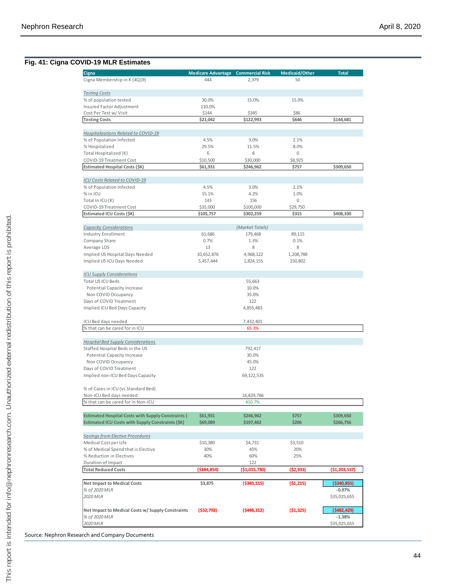#### **Fig. 41: Cigna COVID -19 MLR Estimates**

| Cigna                                                                                                                 | <b>Medicare Advantage Commercial Risk</b> |                        | Medicaid/Other   | <b>Total</b>             |
|-----------------------------------------------------------------------------------------------------------------------|-------------------------------------------|------------------------|------------------|--------------------------|
| Cigna Membership in K (4Q19)                                                                                          | 444                                       | 2,379                  | 50               |                          |
|                                                                                                                       |                                           |                        |                  |                          |
| <b>Testing Costs</b>                                                                                                  |                                           |                        |                  |                          |
| % of population tested                                                                                                | 30.0%                                     | 15.0%                  | 15.0%            |                          |
| Insured Factor Adjustment                                                                                             | 110.0%                                    |                        |                  |                          |
| Cost Per Test w/ Visit                                                                                                | \$144                                     | \$345                  | \$86             |                          |
| <b>Testing Costs</b>                                                                                                  | \$21,042                                  | \$122,993              | \$646            | \$144,681                |
|                                                                                                                       |                                           |                        |                  |                          |
| Hospitalizations Related to COVID-19                                                                                  |                                           |                        |                  |                          |
| % of Population Infected                                                                                              | 4.5%                                      | 3.0%                   | 2.1%             |                          |
| % Hospitalized                                                                                                        | 29.5%                                     | 11.5%                  | 8.0%             |                          |
| Total Hospitalized (K)                                                                                                | 6                                         | 8                      | 0                |                          |
| COVID-19 Treatment Cost<br>Estimated Hospital Costs (\$K)                                                             | \$10,500<br>\$61,931                      | \$30,000<br>\$246,962  | \$8,925<br>\$757 | \$309,650                |
|                                                                                                                       |                                           |                        |                  |                          |
| <b>ICU Costs Related to COVID-19</b>                                                                                  |                                           |                        |                  |                          |
| % of Population Infected                                                                                              | 4.5%                                      | 3.0%                   | 2.1%             |                          |
| % in ICU                                                                                                              | 15.1%                                     | 4.2%                   | 1.0%             |                          |
| Total in ICU (K)                                                                                                      | 143                                       | 156                    | $\mathsf 0$      |                          |
| COVID-19 Treatment Cost                                                                                               | \$35,000                                  | \$100,000              | \$29,750         |                          |
| Estimated ICU Costs (\$K)                                                                                             | \$105,757                                 | \$302,259              | \$315            | \$408,330                |
|                                                                                                                       |                                           |                        |                  |                          |
| <b>Capacity Considerations</b>                                                                                        |                                           | (Market Totals)        |                  |                          |
| Industry Enrollment                                                                                                   | 61,686                                    | 179,468                | 89,115           |                          |
| Company Share                                                                                                         | 0.7%                                      | 1.3%                   | 0.1%             |                          |
| Average LOS                                                                                                           | 13                                        | 8                      | 8                |                          |
| Implied US Hospital Days Needed                                                                                       | 10,652,876                                | 4,968,122              | 1,208,788        |                          |
| Implied US ICU Days Needed                                                                                            | 5,457,444                                 | 1,824,155              | 150,802          |                          |
| <b>ICU Supply Considerations</b>                                                                                      |                                           |                        |                  |                          |
| Total US ICU Beds                                                                                                     |                                           | 55,663                 |                  |                          |
| Potential Capacity Increase                                                                                           |                                           | 10.0%                  |                  |                          |
| Non COVID Occupancy                                                                                                   |                                           | 35.0%                  |                  |                          |
| Days of COVID Treatment                                                                                               |                                           | 122                    |                  |                          |
| Implied ICU Bed Days Capacity                                                                                         |                                           | 4,855,483              |                  |                          |
|                                                                                                                       |                                           |                        |                  |                          |
| ICU Bed days needed                                                                                                   |                                           | 7,432,401              |                  |                          |
| % that can be cared for in ICU                                                                                        |                                           | 65.3%                  |                  |                          |
| <b>Hospital Bed Supply Considerations</b>                                                                             |                                           |                        |                  |                          |
| Staffed Hospital Beds in the US                                                                                       |                                           | 792,417                |                  |                          |
| <b>Potential Capacity Increase</b>                                                                                    |                                           | 30.0%                  |                  |                          |
| Non COVID Occupancy                                                                                                   |                                           | 45.0%                  |                  |                          |
| Days of COVID Treatment                                                                                               |                                           | 122                    |                  |                          |
| Implied non-ICU Bed Days Capacity                                                                                     |                                           | 69, 122, 535           |                  |                          |
|                                                                                                                       |                                           |                        |                  |                          |
| % of Cases in ICU (vs Standard Bed)                                                                                   |                                           |                        |                  |                          |
| Non-ICU Bed days needed                                                                                               |                                           | 16,829,786             |                  |                          |
| % that can be cared for in Non-ICU                                                                                    |                                           | 410.7%                 |                  |                          |
|                                                                                                                       |                                           |                        |                  | \$309,650                |
| <b>Estimated Hospital Costs with Supply Constraints (</b><br><b>Estimated ICU Costs with Supply Constraints (\$K)</b> | \$61,931<br>\$69,089                      | \$246,962<br>\$197,462 | \$757<br>\$206   | \$266,756                |
|                                                                                                                       |                                           |                        |                  |                          |
| Savings from Elective Procedures                                                                                      |                                           |                        |                  |                          |
| Medical Cost per Life                                                                                                 | \$10,380                                  | \$4,731                | \$3,510          |                          |
| % of Medical Spend that is Elective                                                                                   | 30%                                       | 45%                    | 20%              |                          |
| % Reduction in Electives                                                                                              | 40%                                       | 60%                    | 25%              |                          |
| Duration of Impact                                                                                                    |                                           | 122                    |                  |                          |
| <b>Total Reduced Costs</b>                                                                                            | (\$184,854)                               | (\$1,015,730)          | (\$2,933)        | ( \$1,203,517)           |
|                                                                                                                       |                                           |                        |                  |                          |
| <b>Net Impact to Medical Costs</b>                                                                                    | \$3,875                                   | ( \$343, 515)          | (51, 215)        | ( \$340, 855)            |
| % of 2020 MLR                                                                                                         |                                           |                        |                  | $-0.97%$                 |
| 2020 MLR                                                                                                              |                                           |                        |                  | \$35,025,655             |
|                                                                                                                       |                                           |                        |                  | (5482, 429)              |
|                                                                                                                       |                                           |                        |                  |                          |
|                                                                                                                       | (532,792)                                 | (5448, 312)            | (51, 325)        |                          |
| Net Impact to Medical Costs w/ Supply Constraints<br>% of 2020 MLR<br>2020 MLR                                        |                                           |                        |                  | $-1.38%$<br>\$35,025,655 |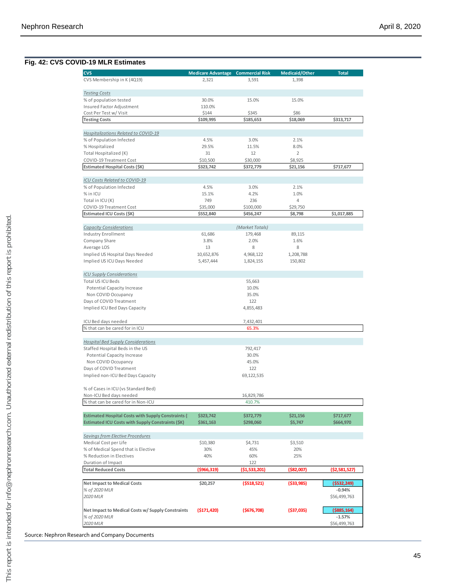#### **Fig. 42: CVS COVID -19 MLR Estimates**

| <b>CVS</b>                                                         | <b>Medicare Advantage Commercial Risk</b> |                 | Medicaid/Other | <b>Total</b>            |
|--------------------------------------------------------------------|-------------------------------------------|-----------------|----------------|-------------------------|
| CVS Membership in K (4Q19)                                         | 2,321                                     | 3,591           | 1,398          |                         |
| <b>Testing Costs</b>                                               |                                           |                 |                |                         |
| % of population tested                                             | 30.0%                                     | 15.0%           | 15.0%          |                         |
| Insured Factor Adjustment                                          | 110.0%                                    |                 |                |                         |
| Cost Per Test w/ Visit                                             | \$144                                     | \$345           | \$86           |                         |
| <b>Testing Costs</b>                                               | \$109,995                                 | \$185,653       | \$18,069       | \$313,717               |
| Hospitalizations Related to COVID-19                               |                                           |                 |                |                         |
| % of Population Infected                                           | 4.5%                                      | 3.0%            | 2.1%           |                         |
| % Hospitalized                                                     | 29.5%                                     | 11.5%           | 8.0%           |                         |
| Total Hospitalized (K)                                             | 31                                        | 12              | $\overline{2}$ |                         |
| COVID-19 Treatment Cost                                            | \$10,500                                  | \$30,000        | \$8,925        |                         |
| Estimated Hospital Costs (\$K)                                     | \$323,742                                 | \$372,779       | \$21,156       | \$717,677               |
| ICU Costs Related to COVID-19                                      |                                           |                 |                |                         |
| % of Population Infected                                           | 4.5%                                      | 3.0%            | 2.1%           |                         |
| % in ICU                                                           | 15.1%                                     | 4.2%            | 1.0%           |                         |
| Total in ICU (K)                                                   | 749                                       | 236             | $\overline{4}$ |                         |
| COVID-19 Treatment Cost                                            | \$35,000                                  | \$100,000       | \$29,750       |                         |
| Estimated ICU Costs (\$K)                                          | \$552,840                                 | \$456,247       | \$8,798        | \$1,017,885             |
| <b>Capacity Considerations</b>                                     |                                           | (Market Totals) |                |                         |
| Industry Enrollment                                                | 61,686                                    | 179,468         | 89,115         |                         |
| Company Share                                                      | 3.8%                                      | 2.0%            | 1.6%           |                         |
| Average LOS                                                        | 13                                        | 8               | 8              |                         |
| Implied US Hospital Days Needed                                    | 10,652,876                                | 4,968,122       | 1,208,788      |                         |
| Implied US ICU Days Needed                                         | 5,457,444                                 | 1,824,155       | 150,802        |                         |
| <b>ICU Supply Considerations</b>                                   |                                           |                 |                |                         |
| Total US ICU Beds                                                  |                                           | 55,663          |                |                         |
| Potential Capacity Increase                                        |                                           | 10.0%           |                |                         |
| Non COVID Occupancy                                                |                                           | 35.0%           |                |                         |
| Days of COVID Treatment                                            |                                           | 122             |                |                         |
| Implied ICU Bed Days Capacity                                      |                                           | 4,855,483       |                |                         |
| ICU Bed days needed                                                |                                           | 7,432,401       |                |                         |
| % that can be cared for in ICU                                     |                                           | 65.3%           |                |                         |
| <b>Hospital Bed Supply Considerations</b>                          |                                           |                 |                |                         |
| Staffed Hospital Beds in the US                                    |                                           | 792,417         |                |                         |
| Potential Capacity Increase                                        |                                           | 30.0%           |                |                         |
| Non COVID Occupancy                                                |                                           | 45.0%           |                |                         |
| Days of COVID Treatment                                            |                                           | 122             |                |                         |
| Implied non-ICU Bed Days Capacity                                  |                                           | 69, 122, 535    |                |                         |
| % of Cases in ICU (vs Standard Bed)                                |                                           |                 |                |                         |
| Non-ICU Bed days needed                                            |                                           | 16,829,786      |                |                         |
| % that can be cared for in Non-ICU                                 |                                           | 410.7%          |                |                         |
| <b>Estimated Hospital Costs with Supply Constraints (</b>          | \$323,742                                 | \$372,779       | \$21,156       | \$717,677               |
| <b>Estimated ICU Costs with Supply Constraints (\$K)</b>           | \$361,163                                 | \$298,060       | \$5,747        | \$664,970               |
| <b>Savings from Elective Procedures</b>                            |                                           |                 |                |                         |
| Medical Cost per Life                                              | \$10,380                                  | \$4,731         | \$3,510        |                         |
| % of Medical Spend that is Elective                                | 30%                                       | 45%             | 20%            |                         |
| % Reduction in Electives                                           | 40%                                       | 60%             | 25%            |                         |
| Duration of Impact                                                 |                                           | 122             |                |                         |
| <b>Total Reduced Costs</b>                                         | ( \$966, 319)                             | (\$1,533,201)   | (\$82,007)     | ( \$2,581,527]          |
| <b>Net Impact to Medical Costs</b>                                 | \$20,257                                  | (5518, 521)     | ( \$33, 985)   | (5532, 249)             |
|                                                                    |                                           |                 |                | $-0.94%$                |
| % of 2020 MLR                                                      |                                           |                 |                | \$56,499,763            |
| 2020 MLR                                                           |                                           |                 |                |                         |
|                                                                    |                                           |                 |                |                         |
| Net Impact to Medical Costs w/ Supply Constraints<br>% of 2020 MLR | (5171, 420)                               | (5676, 708)     | ( \$37,035)    | (\$885,164)<br>$-1.57%$ |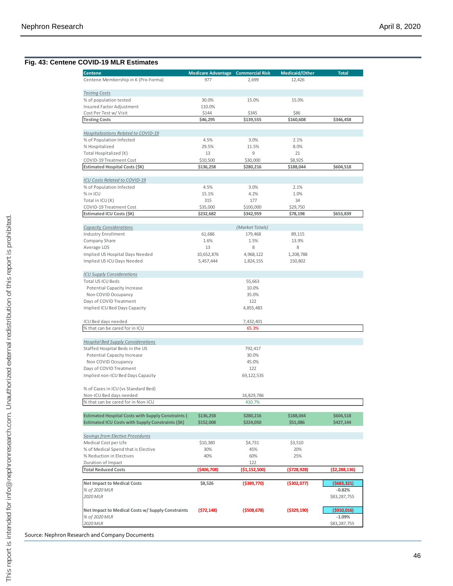#### **Fig. 43: Centene COVID -19 MLR Estimates**

| <b>Centene</b>                                                                 | <b>Medicare Advantage Commercial Risk</b> |                 | Medicaid/Other | <b>Total</b>             |
|--------------------------------------------------------------------------------|-------------------------------------------|-----------------|----------------|--------------------------|
| Centene Membership in K (Pro-Forma)                                            | 977                                       | 2,699           | 12,426         |                          |
|                                                                                |                                           |                 |                |                          |
| <b>Testing Costs</b>                                                           |                                           |                 |                |                          |
| % of population tested                                                         | 30.0%                                     | 15.0%           | 15.0%          |                          |
| Insured Factor Adjustment                                                      | 110.0%                                    |                 |                |                          |
| Cost Per Test w/ Visit                                                         | \$144                                     | \$345           | \$86           |                          |
| <b>Testing Costs</b>                                                           | \$46,295                                  | \$139,555       | \$160,608      | \$346,458                |
|                                                                                |                                           |                 |                |                          |
| Hospitalizations Related to COVID-19                                           |                                           |                 |                |                          |
| % of Population Infected                                                       | 4.5%                                      | 3.0%            | 2.1%           |                          |
| % Hospitalized                                                                 | 29.5%                                     | 11.5%           | 8.0%           |                          |
| Total Hospitalized (K)                                                         | 13                                        | 9               | 21             |                          |
| COVID-19 Treatment Cost                                                        | \$10,500                                  | \$30,000        | \$8,925        |                          |
| Estimated Hospital Costs (\$K)                                                 | \$136,258                                 | \$280,216       | \$188,044      | \$604,518                |
|                                                                                |                                           |                 |                |                          |
| <b>ICU Costs Related to COVID-19</b>                                           |                                           |                 |                |                          |
| % of Population Infected                                                       | 4.5%                                      | 3.0%            | 2.1%           |                          |
| % in ICU                                                                       | 15.1%                                     | 4.2%            | 1.0%           |                          |
| Total in ICU (K)                                                               | 315                                       | 177             | 34             |                          |
| COVID-19 Treatment Cost                                                        | \$35,000                                  | \$100,000       | \$29,750       |                          |
| Estimated ICU Costs (\$K)                                                      | \$232,682                                 | \$342,959       | \$78,198       | \$653,839                |
|                                                                                |                                           |                 |                |                          |
| <b>Capacity Considerations</b>                                                 |                                           | (Market Totals) |                |                          |
| Industry Enrollment                                                            | 61,686                                    | 179,468         | 89,115         |                          |
| Company Share                                                                  | 1.6%                                      | 1.5%            | 13.9%          |                          |
| Average LOS                                                                    | 13                                        | 8               | 8              |                          |
| Implied US Hospital Days Needed                                                | 10,652,876                                | 4,968,122       | 1,208,788      |                          |
| Implied US ICU Days Needed                                                     | 5,457,444                                 | 1,824,155       | 150,802        |                          |
|                                                                                |                                           |                 |                |                          |
| <b>ICU Supply Considerations</b><br>Total US ICU Beds                          |                                           |                 |                |                          |
|                                                                                |                                           | 55,663          |                |                          |
| Potential Capacity Increase                                                    |                                           | 10.0%           |                |                          |
| Non COVID Occupancy                                                            |                                           | 35.0%<br>122    |                |                          |
| Days of COVID Treatment                                                        |                                           |                 |                |                          |
| Implied ICU Bed Days Capacity                                                  |                                           | 4,855,483       |                |                          |
| ICU Bed days needed                                                            |                                           | 7,432,401       |                |                          |
| % that can be cared for in ICU                                                 |                                           | 65.3%           |                |                          |
|                                                                                |                                           |                 |                |                          |
| <b>Hospital Bed Supply Considerations</b>                                      |                                           |                 |                |                          |
| Staffed Hospital Beds in the US                                                |                                           | 792,417         |                |                          |
| Potential Capacity Increase                                                    |                                           | 30.0%           |                |                          |
| Non COVID Occupancy                                                            |                                           | 45.0%           |                |                          |
| Days of COVID Treatment                                                        |                                           | 122             |                |                          |
| Implied non-ICU Bed Days Capacity                                              |                                           | 69, 122, 535    |                |                          |
|                                                                                |                                           |                 |                |                          |
| % of Cases in ICU (vs Standard Bed)                                            |                                           |                 |                |                          |
| Non-ICU Bed days needed                                                        |                                           | 16,829,786      |                |                          |
| % that can be cared for in Non-ICU                                             |                                           | 410.7%          |                |                          |
|                                                                                |                                           |                 |                |                          |
| <b>Estimated Hospital Costs with Supply Constraints (</b>                      | \$136,258                                 | \$280,216       | \$188,044      | \$604,518                |
| <b>Estimated ICU Costs with Supply Constraints (\$K)</b>                       | \$152,008                                 | \$224,050       | \$51,086       | \$427,144                |
|                                                                                |                                           |                 |                |                          |
| Savings from Elective Procedures                                               |                                           |                 |                |                          |
| Medical Cost per Life                                                          | \$10,380                                  | \$4,731         | \$3,510        |                          |
| % of Medical Spend that is Elective                                            | 30%                                       | 45%             | 20%            |                          |
| % Reduction in Electives                                                       | 40%                                       | 60%             | 25%            |                          |
| Duration of Impact                                                             |                                           | 122             |                |                          |
| <b>Total Reduced Costs</b>                                                     | (\$406,708)                               | (\$1,152,500)   | (\$728,928)    | (\$2,288,136)            |
|                                                                                |                                           |                 |                |                          |
| <b>Net Impact to Medical Costs</b>                                             | \$8,526                                   | $($ \$389,770)  | ( \$302,077)   | (5683, 321)              |
| % of 2020 MLR                                                                  |                                           |                 |                | $-0.82%$                 |
|                                                                                |                                           |                 |                | \$83,287,755             |
| 2020 MLR                                                                       |                                           |                 |                |                          |
|                                                                                |                                           |                 |                |                          |
|                                                                                | (572, 148)                                | (5508, 678)     | ( \$329, 190)  | ( \$910,016)             |
| Net Impact to Medical Costs w/ Supply Constraints<br>% of 2020 MLR<br>2020 MLR |                                           |                 |                | $-1.09%$<br>\$83,287,755 |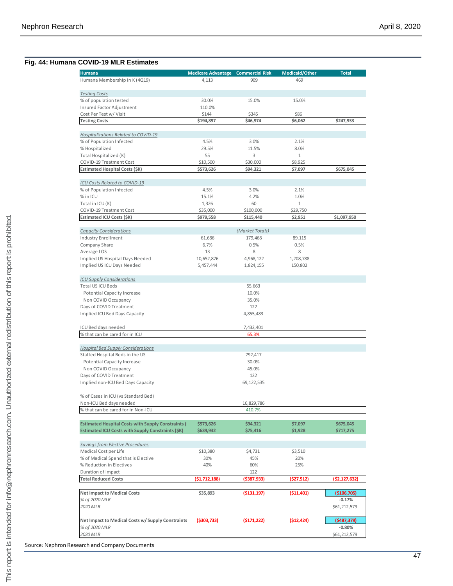#### **Fig. 44: Humana COVID -19 MLR Estimates**

| <b>Humana</b>                                                                                                  | <b>Medicare Advantage Commercial Risk</b> |                      | Medicaid/Other     | <b>Total</b>           |
|----------------------------------------------------------------------------------------------------------------|-------------------------------------------|----------------------|--------------------|------------------------|
| Humana Membership in K (4Q19)                                                                                  | 4,113                                     | 909                  | 469                |                        |
|                                                                                                                |                                           |                      |                    |                        |
| <b>Testing Costs</b>                                                                                           |                                           |                      |                    |                        |
| % of population tested                                                                                         | 30.0%                                     | 15.0%                | 15.0%              |                        |
| Insured Factor Adjustment                                                                                      | 110.0%                                    |                      |                    |                        |
| Cost Per Test w/ Visit<br><b>Testing Costs</b>                                                                 | \$144<br>\$194,897                        | \$345<br>\$46,974    | \$86<br>\$6,062    | \$247,933              |
|                                                                                                                |                                           |                      |                    |                        |
| Hospitalizations Related to COVID-19                                                                           |                                           |                      |                    |                        |
| % of Population Infected                                                                                       | 4.5%                                      | 3.0%                 | 2.1%               |                        |
| % Hospitalized                                                                                                 | 29.5%                                     | 11.5%                | 8.0%               |                        |
| Total Hospitalized (K)                                                                                         | 55                                        | 3                    | $\mathbf{1}$       |                        |
| COVID-19 Treatment Cost                                                                                        | \$10,500                                  | \$30,000             | \$8,925            |                        |
| <b>Estimated Hospital Costs (\$K)</b>                                                                          | \$573,626                                 | \$94,321             | \$7,097            | \$675,045              |
| ICU Costs Related to COVID-19                                                                                  |                                           |                      |                    |                        |
| % of Population Infected                                                                                       | 4.5%                                      | 3.0%                 | 2.1%               |                        |
| % in ICU                                                                                                       | 15.1%                                     | 4.2%                 | 1.0%               |                        |
| Total in ICU (K)                                                                                               | 1,326                                     | 60                   | $\mathbf{1}$       |                        |
| COVID-19 Treatment Cost                                                                                        | \$35,000                                  | \$100,000            | \$29,750           |                        |
| Estimated ICU Costs (\$K)                                                                                      | \$979,558                                 | \$115,440            | \$2,951            | \$1,097,950            |
|                                                                                                                |                                           |                      |                    |                        |
| <b>Capacity Considerations</b>                                                                                 |                                           | (Market Totals)      |                    |                        |
| <b>Industry Enrollment</b><br>Company Share                                                                    | 61,686<br>6.7%                            | 179,468<br>0.5%      | 89,115<br>0.5%     |                        |
| Average LOS                                                                                                    | 13                                        | 8                    | 8                  |                        |
| Implied US Hospital Days Needed                                                                                | 10,652,876                                | 4,968,122            | 1,208,788          |                        |
| Implied US ICU Days Needed                                                                                     | 5,457,444                                 | 1,824,155            | 150,802            |                        |
|                                                                                                                |                                           |                      |                    |                        |
| <b>ICU Supply Considerations</b>                                                                               |                                           |                      |                    |                        |
| Total US ICU Beds                                                                                              |                                           | 55,663               |                    |                        |
| <b>Potential Capacity Increase</b>                                                                             |                                           | 10.0%                |                    |                        |
| Non COVID Occupancy<br>Days of COVID Treatment                                                                 |                                           | 35.0%<br>122         |                    |                        |
| Implied ICU Bed Days Capacity                                                                                  |                                           | 4,855,483            |                    |                        |
|                                                                                                                |                                           |                      |                    |                        |
| ICU Bed days needed                                                                                            |                                           | 7,432,401            |                    |                        |
| % that can be cared for in ICU                                                                                 |                                           | 65.3%                |                    |                        |
|                                                                                                                |                                           |                      |                    |                        |
| <b>Hospital Bed Supply Considerations</b>                                                                      |                                           |                      |                    |                        |
| Staffed Hospital Beds in the US<br><b>Potential Capacity Increase</b>                                          |                                           | 792,417<br>30.0%     |                    |                        |
| Non COVID Occupancy                                                                                            |                                           | 45.0%                |                    |                        |
| Days of COVID Treatment                                                                                        |                                           | 122                  |                    |                        |
| Implied non-ICU Bed Days Capacity                                                                              |                                           | 69,122,535           |                    |                        |
|                                                                                                                |                                           |                      |                    |                        |
| % of Cases in ICU (vs Standard Bed)                                                                            |                                           |                      |                    |                        |
| Non-ICU Bed days needed                                                                                        |                                           | 16,829,786           |                    |                        |
| % that can be cared for in Non-ICU                                                                             |                                           | 410.7%               |                    |                        |
|                                                                                                                |                                           |                      |                    |                        |
| <b>Estimated Hospital Costs with Supply Constraints (</b><br>Estimated ICU Costs with Supply Constraints (\$K) | \$573,626<br>\$639,932                    | \$94,321<br>\$75,416 | \$7,097<br>\$1,928 | \$675,045<br>\$717,275 |
|                                                                                                                |                                           |                      |                    |                        |
| <b>Savings from Elective Procedures</b>                                                                        |                                           |                      |                    |                        |
| Medical Cost per Life                                                                                          | \$10,380                                  | \$4,731              | \$3,510            |                        |
| % of Medical Spend that is Elective                                                                            | 30%                                       | 45%                  | 20%                |                        |
| % Reduction in Electives                                                                                       | 40%                                       | 60%                  | 25%                |                        |
| Duration of Impact                                                                                             |                                           | 122                  |                    |                        |
| <b>Total Reduced Costs</b>                                                                                     | (51, 712, 188)                            | (\$387,933)          | (\$27,512)         | (\$2,127,632)          |
| <b>Net Impact to Medical Costs</b>                                                                             | \$35,893                                  | ( \$131, 197)        | ( \$11,401)        | ( \$106, 705)          |
| % of 2020 MLR                                                                                                  |                                           |                      |                    | $-0.17%$               |
| 2020 MLR                                                                                                       |                                           |                      |                    | \$61,212,579           |
|                                                                                                                |                                           |                      |                    |                        |
| Net Impact to Medical Costs w/ Supply Constraints                                                              | ( \$303, 733)                             | (5171, 222)          | (512, 424)         | (5487, 379)            |
| % of 2020 MLR                                                                                                  |                                           |                      |                    | $-0.80\%$              |
| 2020 MLR                                                                                                       |                                           |                      |                    | \$61,212,579           |
|                                                                                                                |                                           |                      |                    |                        |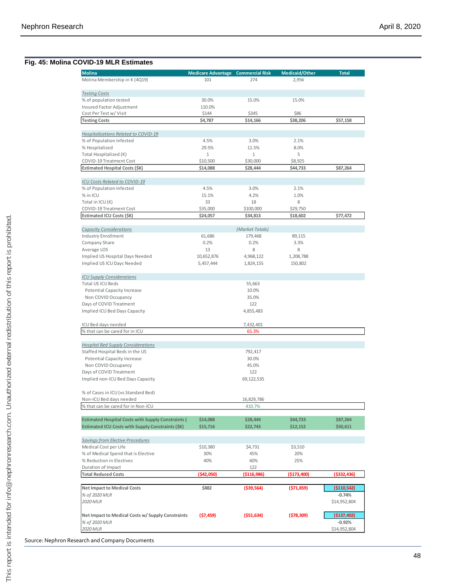#### **Fig. 45: Molina COVID -19 MLR Estimates**

| <b>Molina</b>                                                                | Medicare Advantage Commercial Risk |                      | Medicaid/Other | <b>Total</b>            |
|------------------------------------------------------------------------------|------------------------------------|----------------------|----------------|-------------------------|
| Molina Membership in K (4Q19)                                                | 101                                | 274                  | 2,956          |                         |
|                                                                              |                                    |                      |                |                         |
| <b>Testing Costs</b><br>% of population tested                               | 30.0%                              | 15.0%                | 15.0%          |                         |
| Insured Factor Adjustment                                                    | 110.0%                             |                      |                |                         |
| Cost Per Test w/ Visit                                                       | \$144                              | \$345                | \$86           |                         |
| <b>Testing Costs</b>                                                         | \$4,787                            | \$14,166             | \$38,206       | \$57,158                |
|                                                                              |                                    |                      |                |                         |
| Hospitalizations Related to COVID-19<br>% of Population Infected             | 4.5%                               | 3.0%                 | 2.1%           |                         |
| % Hospitalized                                                               | 29.5%                              | 11.5%                | 8.0%           |                         |
| Total Hospitalized (K)                                                       | $\mathbf{1}$                       | $\mathbf{1}$         | 5              |                         |
| COVID-19 Treatment Cost                                                      | \$10,500                           | \$30,000             | \$8,925        |                         |
| Estimated Hospital Costs (\$K)                                               | \$14,088                           | \$28,444             | \$44,733       | \$87,264                |
|                                                                              |                                    |                      |                |                         |
| ICU Costs Related to COVID-19                                                |                                    |                      |                |                         |
| % of Population Infected                                                     | 4.5%<br>15.1%                      | 3.0%<br>4.2%         | 2.1%           |                         |
| % in ICU<br>Total in ICU (K)                                                 | 33                                 | 18                   | 1.0%<br>8      |                         |
| COVID-19 Treatment Cost                                                      | \$35,000                           | \$100,000            | \$29,750       |                         |
| Estimated ICU Costs (\$K)                                                    | \$24,057                           | \$34,813             | \$18,602       | \$77,472                |
|                                                                              |                                    |                      |                |                         |
| <b>Capacity Considerations</b>                                               |                                    | (Market Totals)      |                |                         |
| <b>Industry Enrollment</b>                                                   | 61,686                             | 179,468              | 89,115         |                         |
| Company Share                                                                | 0.2%                               | 0.2%                 | 3.3%           |                         |
| Average LOS                                                                  | 13                                 | 8                    | 8              |                         |
| Implied US Hospital Days Needed                                              | 10,652,876                         | 4,968,122            | 1,208,788      |                         |
| Implied US ICU Days Needed                                                   | 5,457,444                          | 1,824,155            | 150,802        |                         |
| <b>ICU Supply Considerations</b>                                             |                                    |                      |                |                         |
| Total US ICU Beds                                                            |                                    | 55,663               |                |                         |
| Potential Capacity Increase                                                  |                                    | 10.0%                |                |                         |
| Non COVID Occupancy                                                          |                                    | 35.0%                |                |                         |
| Days of COVID Treatment                                                      |                                    | 122                  |                |                         |
| Implied ICU Bed Days Capacity                                                |                                    | 4,855,483            |                |                         |
| ICU Bed days needed                                                          |                                    | 7,432,401            |                |                         |
| % that can be cared for in ICU                                               |                                    | 65.3%                |                |                         |
|                                                                              |                                    |                      |                |                         |
| <b>Hospital Bed Supply Considerations</b><br>Staffed Hospital Beds in the US |                                    |                      |                |                         |
| <b>Potential Capacity Increase</b>                                           |                                    | 792,417<br>30.0%     |                |                         |
| Non COVID Occupancy                                                          |                                    | 45.0%                |                |                         |
| Days of COVID Treatment                                                      |                                    | 122                  |                |                         |
| Implied non-ICU Bed Days Capacity                                            |                                    | 69,122,535           |                |                         |
|                                                                              |                                    |                      |                |                         |
| % of Cases in ICU (vs Standard Bed)                                          |                                    |                      |                |                         |
| Non-ICU Bed days needed<br>% that can be cared for in Non-ICU                |                                    | 16,829,786<br>410.7% |                |                         |
|                                                                              |                                    |                      |                |                         |
| <b>Estimated Hospital Costs with Supply Constraints (</b>                    | \$14,088                           | \$28,444             | \$44,733       | \$87,264                |
| <b>Estimated ICU Costs with Supply Constraints (\$K)</b>                     | \$15,716                           | \$22,743             | \$12,152       | \$50,611                |
| Savings from Elective Procedures                                             |                                    |                      |                |                         |
| Medical Cost per Life                                                        | \$10,380                           | \$4,731              | \$3,510        |                         |
| % of Medical Spend that is Elective                                          | 30%                                | 45%                  | 20%            |                         |
| % Reduction in Electives                                                     | 40%                                | 60%                  | 25%            |                         |
| Duration of Impact                                                           |                                    | 122                  |                |                         |
| <b>Total Reduced Costs</b>                                                   | (\$42,050)                         | (\$116,986)          | (\$173,400)    | (\$332,436)             |
|                                                                              |                                    |                      |                |                         |
| <b>Net Impact to Medical Costs</b><br>% of 2020 MLR                          | \$882                              | $($ \$39,564)        | (571,859)      | (\$110,542)<br>$-0.74%$ |
| 2020 MLR                                                                     |                                    |                      |                | \$14,952,804            |
|                                                                              |                                    |                      |                |                         |
| Net Impact to Medical Costs w/ Supply Constraints                            | (\$7,459)                          | ( \$51,634)          | (578, 309)     | (\$137,402)             |
| % of 2020 MLR                                                                |                                    |                      |                | $-0.92%$                |
| 2020 MLR                                                                     |                                    |                      |                | \$14,952,804            |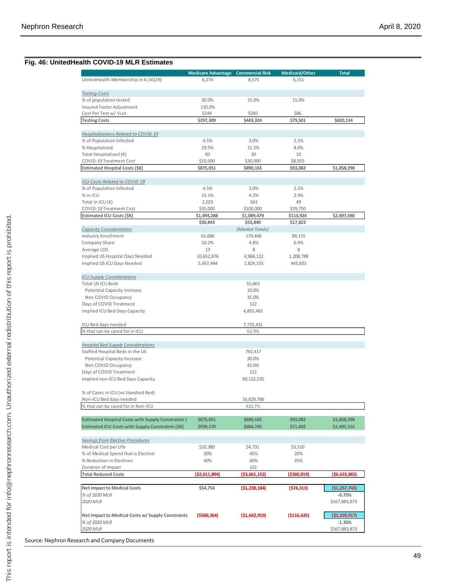#### **Fig. 46: UnitedHealth COVID -19 MLR Estimates**

|                                                           | <b>Medicare Advantage Commercial Risk</b> |                 | Medicaid/Other | <b>Total</b>  |
|-----------------------------------------------------------|-------------------------------------------|-----------------|----------------|---------------|
| UnitedHealth Membership in K (4Q19)                       | 6,274                                     | 8,575           | 6,151          |               |
| <b>Testing Costs</b>                                      |                                           |                 |                |               |
| % of population tested                                    | 30.0%                                     | 15.0%           | 15.0%          |               |
| Insured Factor Adjustment                                 | 110.0%                                    |                 |                |               |
| Cost Per Test w/ Visit                                    | \$144                                     | \$345           | \$86           |               |
| <b>Testing Costs</b>                                      | \$297,309                                 | \$443,324       | \$79,501       | \$820,134     |
| Hospitalizations Related to COVID-19                      |                                           |                 |                |               |
| % of Population Infected                                  | 4.5%                                      | 3.0%            | 2.1%           |               |
| % Hospitalized                                            | 29.5%                                     | 11.5%           | 8.0%           |               |
| Total Hospitalized (K)                                    | 83                                        | 30              | 10             |               |
| COVID-19 Treatment Cost                                   | \$10,500                                  | \$30,000        | \$8,925        |               |
| Estimated Hospital Costs (\$K)                            | \$875.051                                 | \$890,165       | \$93,082       | \$1,858,298   |
| ICU Costs Related to COVID-19                             |                                           |                 |                |               |
| % of Population Infected                                  | 4.5%                                      | 3.0%            | 2.1%           |               |
| % in ICU                                                  | 15.1%                                     | 4.2%            | 2.9%           |               |
| Total in ICU (K)                                          | 2,023                                     | 563             | 49             |               |
| COVID-19 Treatment Cost                                   | \$35,000                                  | \$100,000       | \$29,750       |               |
| Estimated ICU Costs (\$K)                                 | \$1,494,288                               | \$1,089,479     | \$113,924      | \$2,697,690   |
|                                                           | \$30,843                                  | \$53,840        | \$17,823       |               |
| <b>Capacity Considerations</b>                            |                                           | (Market Totals) |                |               |
| <b>Industry Enrollment</b>                                | 61,686                                    | 179,468         | 89,115         |               |
| Company Share                                             | 10.2%                                     | 4.8%            | 6.9%           |               |
| Average LOS                                               | 13                                        | 8               | 8              |               |
| Implied US Hospital Days Needed                           | 10,652,876                                | 4,968,122       | 1,208,788      |               |
| Implied US ICU Days Needed                                | 5,457,444                                 | 1,824,155       | 443,833        |               |
| <b>ICU Supply Considerations</b>                          |                                           |                 |                |               |
| Total US ICU Beds                                         |                                           | 55,663          |                |               |
| Potential Capacity Increase                               |                                           | 10.0%           |                |               |
| Non COVID Occupancy                                       |                                           | 35.0%           |                |               |
| Days of COVID Treatment                                   |                                           | 122             |                |               |
| Implied ICU Bed Days Capacity                             |                                           | 4,855,483       |                |               |
| ICU Bed days needed                                       |                                           | 7,725,431       |                |               |
| % that can be cared for in ICU                            |                                           | 62.9%           |                |               |
| <b>Hospital Bed Supply Considerations</b>                 |                                           |                 |                |               |
| Staffed Hospital Beds in the US                           |                                           | 792,417         |                |               |
| <b>Potential Capacity Increase</b>                        |                                           | 30.0%           |                |               |
| Non COVID Occupancy                                       |                                           | 45.0%           |                |               |
| Days of COVID Treatment                                   |                                           | 122             |                |               |
| Implied non-ICU Bed Days Capacity                         |                                           | 69, 122, 535    |                |               |
| % of Cases in ICU (vs Standard Bed)                       |                                           |                 |                |               |
| Non-ICU Bed days needed                                   |                                           | 16,829,786      |                |               |
| % that can be cared for in Non-ICU                        |                                           | 410.7%          |                |               |
| <b>Estimated Hospital Costs with Supply Constraints (</b> | \$875,051                                 | \$890,165       | \$93,082       | \$1,858,298   |
| <b>Estimated ICU Costs with Supply Constraints (\$K)</b>  | \$939,170                                 | \$684,745       | \$71,602       | \$1,695,516   |
|                                                           |                                           |                 |                |               |
| <b>Savings from Elective Procedures</b>                   |                                           |                 |                |               |
| Medical Cost per Life                                     | \$10,380                                  | \$4,731         | \$3,510        |               |
| % of Medical Spend that is Elective                       | 30%                                       | 45%             | 20%            |               |
| % Reduction in Electives<br>Duration of Impact            | 40%                                       | 60%<br>122      | 25%            |               |
| <b>Total Reduced Costs</b>                                | ( \$2,611,894)                            | ( \$3,661,152)  | (\$360,819)    | (\$6,633,865) |
|                                                           |                                           |                 |                |               |
| <b>Net Impact to Medical Costs</b>                        | \$54,754                                  | (51, 238, 184)  | (574, 313)     | (\$1,257,743) |
| % of 2020 MLR                                             |                                           |                 |                | $-0.75%$      |
| 2020 MLR                                                  |                                           |                 |                | \$167,883,873 |
| Net Impact to Medical Costs w/ Supply Constraints         | $($ \$500,364)                            | (51,642,919)    | ( \$116, 635)  | (\$2,259,917) |
| % of 2020 MLR                                             |                                           |                 |                | $-1.35%$      |
| 2020 MLR                                                  |                                           |                 |                | \$167,883,873 |